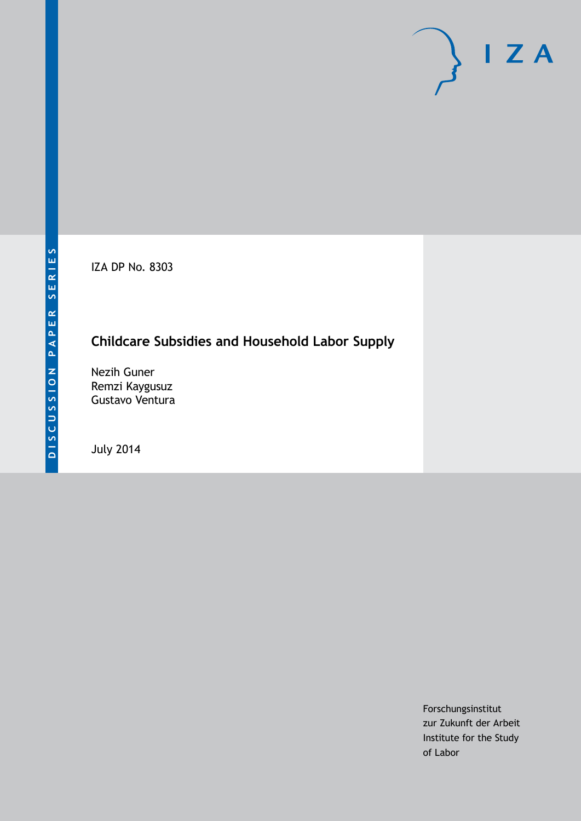IZA DP No. 8303

# **Childcare Subsidies and Household Labor Supply**

Nezih Guner Remzi Kaygusuz Gustavo Ventura

July 2014

Forschungsinstitut zur Zukunft der Arbeit Institute for the Study of Labor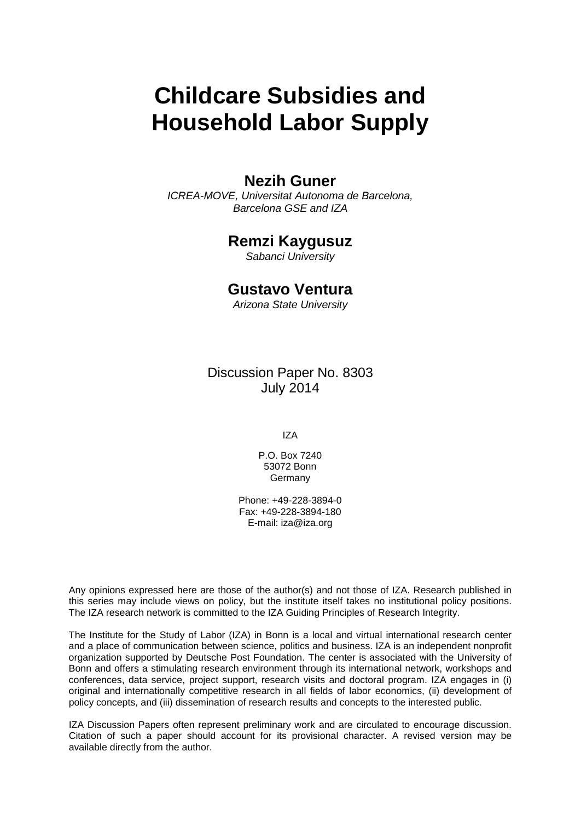# **Childcare Subsidies and Household Labor Supply**

# **Nezih Guner**

*ICREA-MOVE, Universitat Autonoma de Barcelona, Barcelona GSE and IZA*

# **Remzi Kaygusuz**

*Sabanci University*

### **Gustavo Ventura**

*Arizona State University*

Discussion Paper No. 8303 July 2014

IZA

P.O. Box 7240 53072 Bonn Germany

Phone: +49-228-3894-0 Fax: +49-228-3894-180 E-mail: [iza@iza.org](mailto:iza@iza.org)

Any opinions expressed here are those of the author(s) and not those of IZA. Research published in this series may include views on policy, but the institute itself takes no institutional policy positions. The IZA research network is committed to the IZA Guiding Principles of Research Integrity.

The Institute for the Study of Labor (IZA) in Bonn is a local and virtual international research center and a place of communication between science, politics and business. IZA is an independent nonprofit organization supported by Deutsche Post Foundation. The center is associated with the University of Bonn and offers a stimulating research environment through its international network, workshops and conferences, data service, project support, research visits and doctoral program. IZA engages in (i) original and internationally competitive research in all fields of labor economics, (ii) development of policy concepts, and (iii) dissemination of research results and concepts to the interested public.

<span id="page-1-0"></span>IZA Discussion Papers often represent preliminary work and are circulated to encourage discussion. Citation of such a paper should account for its provisional character. A revised version may be available directly from the author.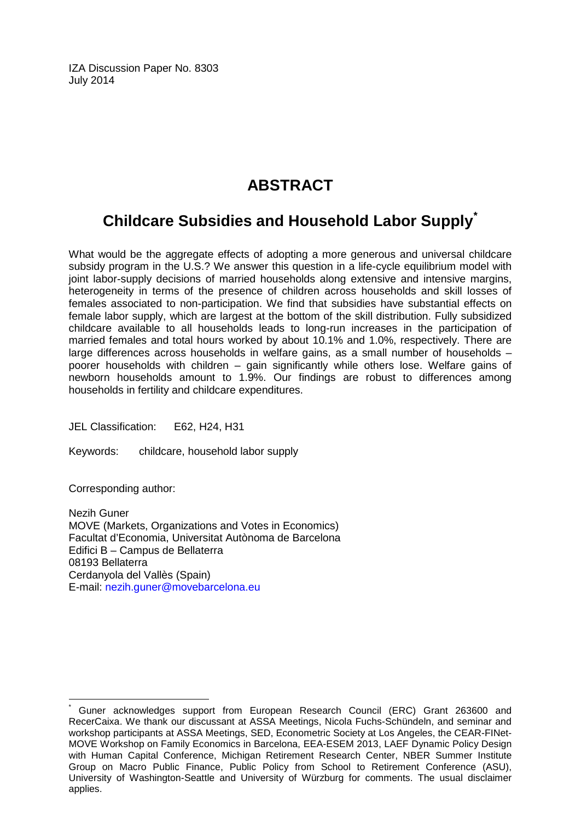IZA Discussion Paper No. 8303 July 2014

# **ABSTRACT**

# **Childcare Subsidies and Household Labor Supply[\\*](#page-1-0)**

What would be the aggregate effects of adopting a more generous and universal childcare subsidy program in the U.S.? We answer this question in a life-cycle equilibrium model with joint labor-supply decisions of married households along extensive and intensive margins, heterogeneity in terms of the presence of children across households and skill losses of females associated to non-participation. We find that subsidies have substantial effects on female labor supply, which are largest at the bottom of the skill distribution. Fully subsidized childcare available to all households leads to long-run increases in the participation of married females and total hours worked by about 10.1% and 1.0%, respectively. There are large differences across households in welfare gains, as a small number of households – poorer households with children – gain significantly while others lose. Welfare gains of newborn households amount to 1.9%. Our findings are robust to differences among households in fertility and childcare expenditures.

JEL Classification: E62, H24, H31

Keywords: childcare, household labor supply

Corresponding author:

Nezih Guner MOVE (Markets, Organizations and Votes in Economics) Facultat d'Economia, Universitat Autònoma de Barcelona Edifici B – Campus de Bellaterra 08193 Bellaterra Cerdanyola del Vallès (Spain) E-mail: [nezih.guner@movebarcelona.eu](mailto:nezih.guner@movebarcelona.eu)

Guner acknowledges support from European Research Council (ERC) Grant 263600 and RecerCaixa. We thank our discussant at ASSA Meetings, Nicola Fuchs-Schündeln, and seminar and workshop participants at ASSA Meetings, SED, Econometric Society at Los Angeles, the CEAR-FINet-MOVE Workshop on Family Economics in Barcelona, EEA-ESEM 2013, LAEF Dynamic Policy Design with Human Capital Conference, Michigan Retirement Research Center, NBER Summer Institute Group on Macro Public Finance, Public Policy from School to Retirement Conference (ASU), University of Washington-Seattle and University of Würzburg for comments. The usual disclaimer applies.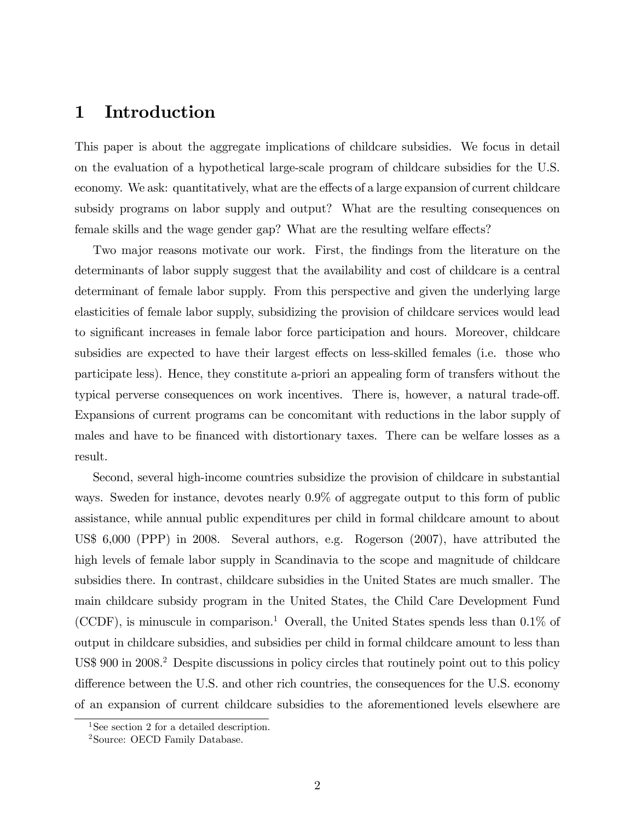### 1 Introduction

This paper is about the aggregate implications of childcare subsidies. We focus in detail on the evaluation of a hypothetical large-scale program of childcare subsidies for the U.S. economy. We ask: quantitatively, what are the effects of a large expansion of current childcare subsidy programs on labor supply and output? What are the resulting consequences on female skills and the wage gender gap? What are the resulting welfare effects?

Two major reasons motivate our work. First, the findings from the literature on the determinants of labor supply suggest that the availability and cost of childcare is a central determinant of female labor supply. From this perspective and given the underlying large elasticities of female labor supply, subsidizing the provision of childcare services would lead to significant increases in female labor force participation and hours. Moreover, childcare subsidies are expected to have their largest effects on less-skilled females (i.e. those who participate less). Hence, they constitute a-priori an appealing form of transfers without the typical perverse consequences on work incentives. There is, however, a natural trade-off. Expansions of current programs can be concomitant with reductions in the labor supply of males and have to be financed with distortionary taxes. There can be welfare losses as a result.

Second, several high-income countries subsidize the provision of childcare in substantial ways. Sweden for instance, devotes nearly 0.9% of aggregate output to this form of public assistance, while annual public expenditures per child in formal childcare amount to about US\$ 6,000 (PPP) in 2008. Several authors, e.g. Rogerson (2007), have attributed the high levels of female labor supply in Scandinavia to the scope and magnitude of childcare subsidies there. In contrast, childcare subsidies in the United States are much smaller. The main childcare subsidy program in the United States, the Child Care Development Fund (CCDF), is minuscule in comparison.<sup>1</sup> Overall, the United States spends less than  $0.1\%$  of output in childcare subsidies, and subsidies per child in formal childcare amount to less than US\$ 900 in 2008.<sup>2</sup> Despite discussions in policy circles that routinely point out to this policy difference between the U.S. and other rich countries, the consequences for the U.S. economy of an expansion of current childcare subsidies to the aforementioned levels elsewhere are

<sup>&</sup>lt;sup>1</sup>See section 2 for a detailed description.

<sup>2</sup>Source: OECD Family Database.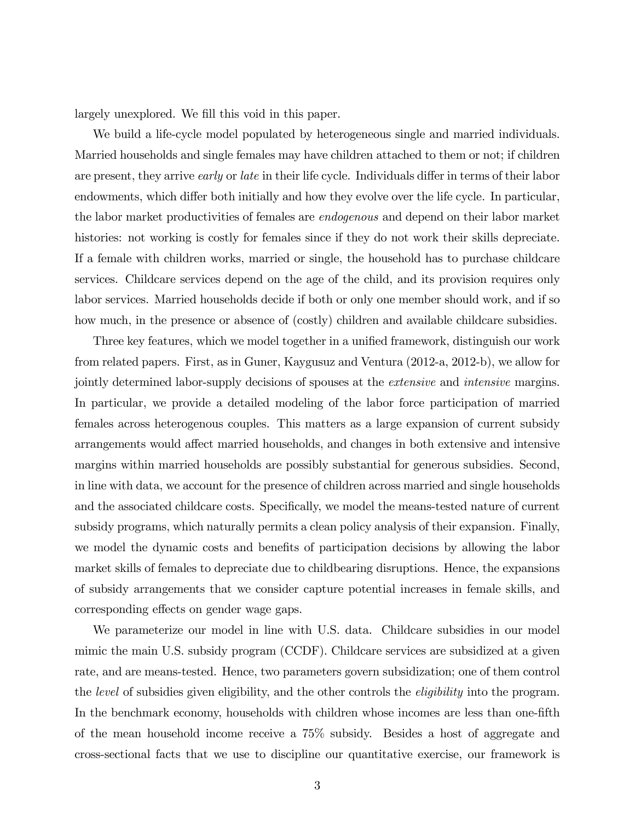largely unexplored. We fill this void in this paper.

We build a life-cycle model populated by heterogeneous single and married individuals. Married households and single females may have children attached to them or not; if children are present, they arrive *early* or *late* in their life cycle. Individuals differ in terms of their labor endowments, which differ both initially and how they evolve over the life cycle. In particular, the labor market productivities of females are endogenous and depend on their labor market histories: not working is costly for females since if they do not work their skills depreciate. If a female with children works, married or single, the household has to purchase childcare services. Childcare services depend on the age of the child, and its provision requires only labor services. Married households decide if both or only one member should work, and if so how much, in the presence or absence of (costly) children and available childcare subsidies.

Three key features, which we model together in a unified framework, distinguish our work from related papers. First, as in Guner, Kaygusuz and Ventura (2012-a, 2012-b), we allow for jointly determined labor-supply decisions of spouses at the extensive and intensive margins. In particular, we provide a detailed modeling of the labor force participation of married females across heterogenous couples. This matters as a large expansion of current subsidy arrangements would affect married households, and changes in both extensive and intensive margins within married households are possibly substantial for generous subsidies. Second, in line with data, we account for the presence of children across married and single households and the associated childcare costs. Specifically, we model the means-tested nature of current subsidy programs, which naturally permits a clean policy analysis of their expansion. Finally, we model the dynamic costs and benefits of participation decisions by allowing the labor market skills of females to depreciate due to childbearing disruptions. Hence, the expansions of subsidy arrangements that we consider capture potential increases in female skills, and corresponding effects on gender wage gaps.

We parameterize our model in line with U.S. data. Childcare subsidies in our model mimic the main U.S. subsidy program (CCDF). Childcare services are subsidized at a given rate, and are means-tested. Hence, two parameters govern subsidization; one of them control the level of subsidies given eligibility, and the other controls the eligibility into the program. In the benchmark economy, households with children whose incomes are less than one-fifth of the mean household income receive a 75% subsidy. Besides a host of aggregate and cross-sectional facts that we use to discipline our quantitative exercise, our framework is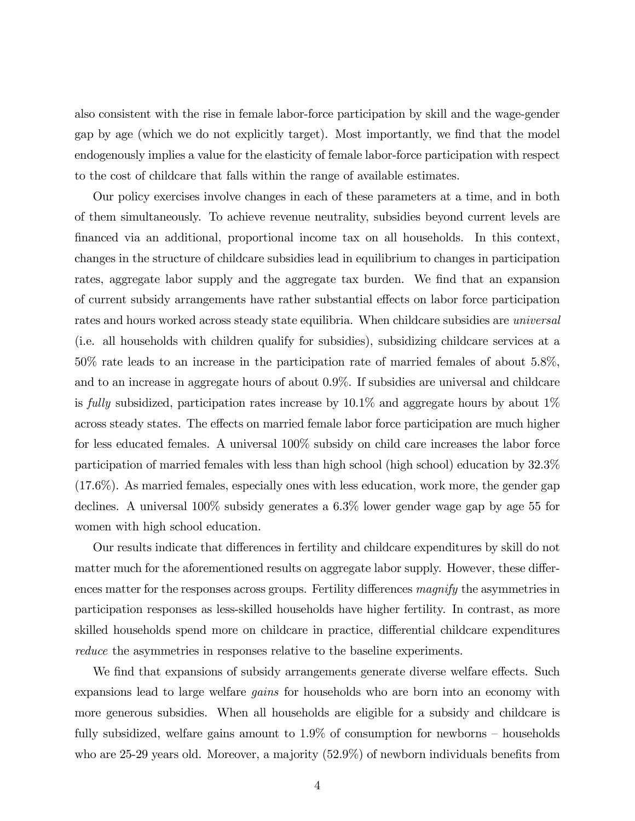also consistent with the rise in female labor-force participation by skill and the wage-gender gap by age (which we do not explicitly target). Most importantly, we find that the model endogenously implies a value for the elasticity of female labor-force participation with respect to the cost of childcare that falls within the range of available estimates.

Our policy exercises involve changes in each of these parameters at a time, and in both of them simultaneously. To achieve revenue neutrality, subsidies beyond current levels are financed via an additional, proportional income tax on all households. In this context, changes in the structure of childcare subsidies lead in equilibrium to changes in participation rates, aggregate labor supply and the aggregate tax burden. We find that an expansion of current subsidy arrangements have rather substantial effects on labor force participation rates and hours worked across steady state equilibria. When childcare subsidies are *universal* (i.e. all households with children qualify for subsidies), subsidizing childcare services at a 50% rate leads to an increase in the participation rate of married females of about 5.8%, and to an increase in aggregate hours of about 0.9%. If subsidies are universal and childcare is fully subsidized, participation rates increase by  $10.1\%$  and aggregate hours by about  $1\%$ across steady states. The effects on married female labor force participation are much higher for less educated females. A universal 100% subsidy on child care increases the labor force participation of married females with less than high school (high school) education by 32.3% (17.6%). As married females, especially ones with less education, work more, the gender gap declines. A universal 100% subsidy generates a 6.3% lower gender wage gap by age 55 for women with high school education.

Our results indicate that differences in fertility and childcare expenditures by skill do not matter much for the aforementioned results on aggregate labor supply. However, these differences matter for the responses across groups. Fertility differences magnify the asymmetries in participation responses as less-skilled households have higher fertility. In contrast, as more skilled households spend more on childcare in practice, differential childcare expenditures reduce the asymmetries in responses relative to the baseline experiments.

We find that expansions of subsidy arrangements generate diverse welfare effects. Such expansions lead to large welfare gains for households who are born into an economy with more generous subsidies. When all households are eligible for a subsidy and childcare is fully subsidized, welfare gains amount to  $1.9\%$  of consumption for newborns – households who are 25-29 years old. Moreover, a majority  $(52.9\%)$  of newborn individuals benefits from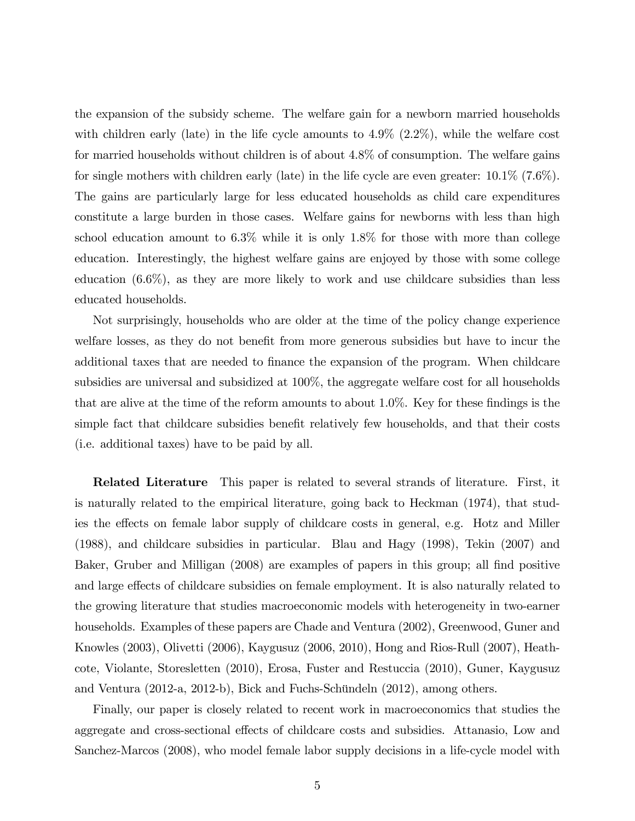the expansion of the subsidy scheme. The welfare gain for a newborn married households with children early (late) in the life cycle amounts to  $4.9\%$   $(2.2\%)$ , while the welfare cost for married households without children is of about 4.8% of consumption. The welfare gains for single mothers with children early (late) in the life cycle are even greater: 10.1% (7.6%). The gains are particularly large for less educated households as child care expenditures constitute a large burden in those cases. Welfare gains for newborns with less than high school education amount to 6.3% while it is only 1.8% for those with more than college education. Interestingly, the highest welfare gains are enjoyed by those with some college education  $(6.6\%)$ , as they are more likely to work and use childcare subsidies than less educated households.

Not surprisingly, households who are older at the time of the policy change experience welfare losses, as they do not benefit from more generous subsidies but have to incur the additional taxes that are needed to finance the expansion of the program. When childcare subsidies are universal and subsidized at 100%, the aggregate welfare cost for all households that are alive at the time of the reform amounts to about  $1.0\%$ . Key for these findings is the simple fact that childcare subsidies benefit relatively few households, and that their costs (i.e. additional taxes) have to be paid by all.

Related Literature This paper is related to several strands of literature. First, it is naturally related to the empirical literature, going back to Heckman (1974), that studies the effects on female labor supply of childcare costs in general, e.g. Hotz and Miller (1988), and childcare subsidies in particular. Blau and Hagy (1998), Tekin (2007) and Baker, Gruber and Milligan (2008) are examples of papers in this group; all find positive and large effects of childcare subsidies on female employment. It is also naturally related to the growing literature that studies macroeconomic models with heterogeneity in two-earner households. Examples of these papers are Chade and Ventura (2002), Greenwood, Guner and Knowles (2003), Olivetti (2006), Kaygusuz (2006, 2010), Hong and Rios-Rull (2007), Heathcote, Violante, Storesletten (2010), Erosa, Fuster and Restuccia (2010), Guner, Kaygusuz and Ventura  $(2012-a, 2012-b)$ , Bick and Fuchs-Schündeln  $(2012)$ , among others.

Finally, our paper is closely related to recent work in macroeconomics that studies the aggregate and cross-sectional effects of childcare costs and subsidies. Attanasio, Low and Sanchez-Marcos (2008), who model female labor supply decisions in a life-cycle model with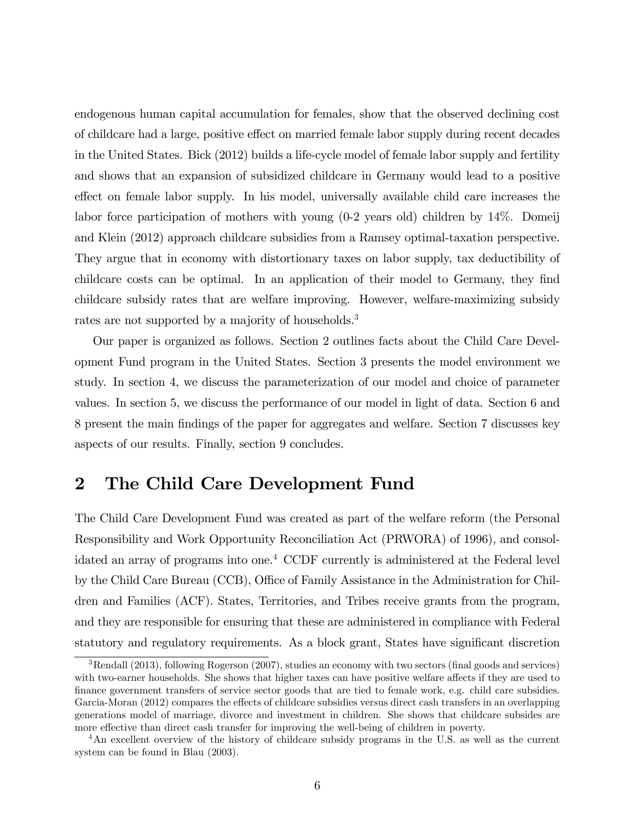endogenous human capital accumulation for females, show that the observed declining cost of childcare had a large, positive effect on married female labor supply during recent decades in the United States. Bick (2012) builds a life-cycle model of female labor supply and fertility and shows that an expansion of subsidized childcare in Germany would lead to a positive effect on female labor supply. In his model, universally available child care increases the labor force participation of mothers with young (0-2 years old) children by 14%. Domeij and Klein (2012) approach childcare subsidies from a Ramsey optimal-taxation perspective. They argue that in economy with distortionary taxes on labor supply, tax deductibility of childcare costs can be optimal. In an application of their model to Germany, they find childcare subsidy rates that are welfare improving. However, welfare-maximizing subsidy rates are not supported by a majority of households.<sup>3</sup>

Our paper is organized as follows. Section 2 outlines facts about the Child Care Development Fund program in the United States. Section 3 presents the model environment we study. In section 4, we discuss the parameterization of our model and choice of parameter values. In section 5, we discuss the performance of our model in light of data. Section 6 and 8 present the main Öndings of the paper for aggregates and welfare. Section 7 discusses key aspects of our results. Finally, section 9 concludes.

# 2 The Child Care Development Fund

The Child Care Development Fund was created as part of the welfare reform (the Personal Responsibility and Work Opportunity Reconciliation Act (PRWORA) of 1996), and consolidated an array of programs into one.<sup>4</sup> CCDF currently is administered at the Federal level by the Child Care Bureau (CCB), Office of Family Assistance in the Administration for Children and Families (ACF). States, Territories, and Tribes receive grants from the program, and they are responsible for ensuring that these are administered in compliance with Federal statutory and regulatory requirements. As a block grant, States have significant discretion

<sup>&</sup>lt;sup>3</sup>Rendall (2013), following Rogerson (2007), studies an economy with two sectors (final goods and services) with two-earner households. She shows that higher taxes can have positive welfare affects if they are used to Önance government transfers of service sector goods that are tied to female work, e.g. child care subsidies. Garcia-Moran (2012) compares the effects of childcare subsidies versus direct cash transfers in an overlapping generations model of marriage, divorce and investment in children. She shows that childcare subsides are more effective than direct cash transfer for improving the well-being of children in poverty.

<sup>4</sup>An excellent overview of the history of childcare subsidy programs in the U.S. as well as the current system can be found in Blau (2003).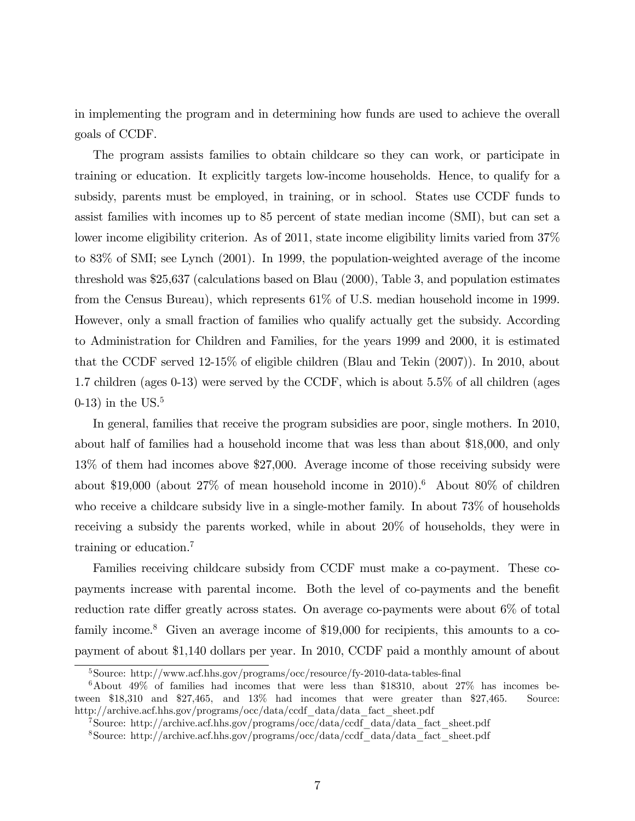in implementing the program and in determining how funds are used to achieve the overall goals of CCDF.

The program assists families to obtain childcare so they can work, or participate in training or education. It explicitly targets low-income households. Hence, to qualify for a subsidy, parents must be employed, in training, or in school. States use CCDF funds to assist families with incomes up to 85 percent of state median income (SMI), but can set a lower income eligibility criterion. As of 2011, state income eligibility limits varied from 37% to 83% of SMI; see Lynch (2001). In 1999, the population-weighted average of the income threshold was \$25,637 (calculations based on Blau (2000), Table 3, and population estimates from the Census Bureau), which represents 61% of U.S. median household income in 1999. However, only a small fraction of families who qualify actually get the subsidy. According to Administration for Children and Families, for the years 1999 and 2000, it is estimated that the CCDF served 12-15% of eligible children (Blau and Tekin (2007)). In 2010, about 1.7 children (ages 0-13) were served by the CCDF, which is about 5.5% of all children (ages  $(0-13)$  in the US.<sup>5</sup>

In general, families that receive the program subsidies are poor, single mothers. In 2010, about half of families had a household income that was less than about \$18,000, and only 13% of them had incomes above \$27,000. Average income of those receiving subsidy were about \$19,000 (about  $27\%$  of mean household income in 2010).<sup>6</sup> About 80% of children who receive a childcare subsidy live in a single-mother family. In about 73% of households receiving a subsidy the parents worked, while in about 20% of households, they were in training or education.<sup>7</sup>

Families receiving childcare subsidy from CCDF must make a co-payment. These copayments increase with parental income. Both the level of co-payments and the benefit reduction rate differ greatly across states. On average co-payments were about  $6\%$  of total family income.<sup>8</sup> Given an average income of \$19,000 for recipients, this amounts to a copayment of about \$1,140 dollars per year. In 2010, CCDF paid a monthly amount of about

 $5$ Source: http://www.acf.hhs.gov/programs/occ/resource/fy-2010-data-tables-final

 $6A$ bout 49% of families had incomes that were less than \$18310, about 27% has incomes between \$18,310 and \$27,465, and 13% had incomes that were greater than \$27,465. Source: http://archive.acf.hhs.gov/programs/occ/data/ccdf\_data/data\_fact\_sheet.pdf

<sup>7</sup>Source: http://archive.acf.hhs.gov/programs/occ/data/ccdf\_data/data\_fact\_sheet.pdf

<sup>8</sup>Source: http://archive.acf.hhs.gov/programs/occ/data/ccdf\_data/data\_fact\_sheet.pdf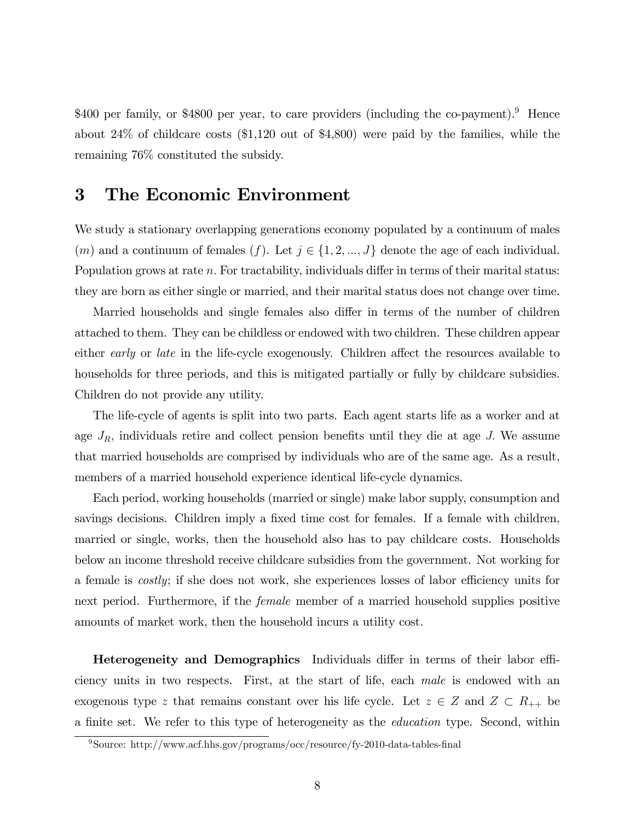\$400 per family, or \$4800 per year, to care providers (including the co-payment).<sup>9</sup> Hence about 24% of childcare costs (\$1,120 out of \$4,800) were paid by the families, while the remaining 76% constituted the subsidy.

# 3 The Economic Environment

We study a stationary overlapping generations economy populated by a continuum of males (*m*) and a continuum of females (*f*). Let  $j \in \{1, 2, ..., J\}$  denote the age of each individual. Population grows at rate  $n$ . For tractability, individuals differ in terms of their marital status: they are born as either single or married, and their marital status does not change over time.

Married households and single females also differ in terms of the number of children attached to them. They can be childless or endowed with two children. These children appear either early or late in the life-cycle exogenously. Children affect the resources available to households for three periods, and this is mitigated partially or fully by childcare subsidies. Children do not provide any utility.

The life-cycle of agents is split into two parts. Each agent starts life as a worker and at age  $J_R$ , individuals retire and collect pension benefits until they die at age J. We assume that married households are comprised by individuals who are of the same age. As a result, members of a married household experience identical life-cycle dynamics.

Each period, working households (married or single) make labor supply, consumption and savings decisions. Children imply a fixed time cost for females. If a female with children, married or single, works, then the household also has to pay childcare costs. Households below an income threshold receive childcare subsidies from the government. Not working for a female is *costly*; if she does not work, she experiences losses of labor efficiency units for next period. Furthermore, if the *female* member of a married household supplies positive amounts of market work, then the household incurs a utility cost.

Heterogeneity and Demographics Individuals differ in terms of their labor efficiency units in two respects. First, at the start of life, each male is endowed with an exogenous type z that remains constant over his life cycle. Let  $z \in Z$  and  $Z \subset R_{++}$  be a finite set. We refer to this type of heterogeneity as the *education* type. Second, within

 $\frac{9}{9}$ Source: http://www.acf.hhs.gov/programs/occ/resource/fy-2010-data-tables-final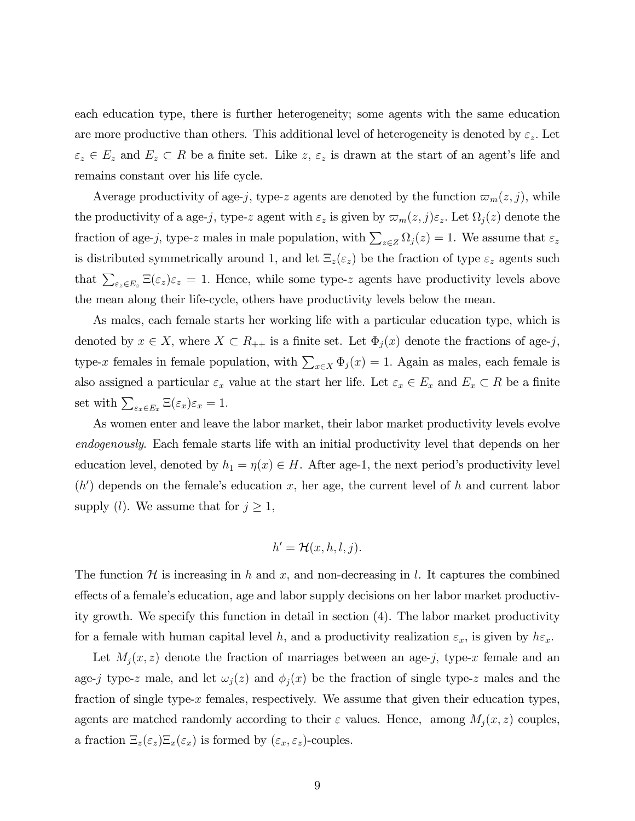each education type, there is further heterogeneity; some agents with the same education are more productive than others. This additional level of heterogeneity is denoted by  $\varepsilon_z$ . Let  $\varepsilon_z \in E_z$  and  $E_z \subset R$  be a finite set. Like z,  $\varepsilon_z$  is drawn at the start of an agent's life and remains constant over his life cycle.

Average productivity of age-j, type-z agents are denoted by the function  $\varpi_m(z, j)$ , while the productivity of a age-j, type-z agent with  $\varepsilon_z$  is given by  $\varpi_m(z, j)\varepsilon_z$ . Let  $\Omega_j(z)$  denote the fraction of age-j, type-z males in male population, with  $\sum_{z\in Z} \Omega_j(z) = 1$ . We assume that  $\varepsilon_z$ is distributed symmetrically around 1, and let  $\Xi_z(\varepsilon_z)$  be the fraction of type  $\varepsilon_z$  agents such that  $\sum_{\varepsilon_z \in E_z} \Xi(\varepsilon_z) \varepsilon_z = 1$ . Hence, while some type-z agents have productivity levels above the mean along their life-cycle, others have productivity levels below the mean.

As males, each female starts her working life with a particular education type, which is denoted by  $x \in X$ , where  $X \subset R_{++}$  is a finite set. Let  $\Phi_j(x)$  denote the fractions of age-j, type-x females in female population, with  $\sum_{x \in X} \Phi_j(x) = 1$ . Again as males, each female is also assigned a particular  $\varepsilon_x$  value at the start her life. Let  $\varepsilon_x \in E_x$  and  $E_x \subset R$  be a finite set with  $\sum_{\varepsilon_x \in E_x} \Xi(\varepsilon_x) \varepsilon_x = 1.$ 

As women enter and leave the labor market, their labor market productivity levels evolve endogenously. Each female starts life with an initial productivity level that depends on her education level, denoted by  $h_1 = \eta(x) \in H$ . After age-1, the next period's productivity level  $(h')$  depends on the female's education x, her age, the current level of h and current labor supply (*l*). We assume that for  $j \geq 1$ ,

$$
h' = \mathcal{H}(x, h, l, j).
$$

The function  $\mathcal H$  is increasing in h and x, and non-decreasing in l. It captures the combined effects of a female's education, age and labor supply decisions on her labor market productivity growth. We specify this function in detail in section (4). The labor market productivity for a female with human capital level h, and a productivity realization  $\varepsilon_x$ , is given by  $h\varepsilon_x$ .

Let  $M_j(x, z)$  denote the fraction of marriages between an age-j, type-x female and an age-j type-z male, and let  $\omega_j(z)$  and  $\phi_j(x)$  be the fraction of single type-z males and the fraction of single type- $x$  females, respectively. We assume that given their education types, agents are matched randomly according to their  $\varepsilon$  values. Hence, among  $M_j(x, z)$  couples, a fraction  $\Xi_z(\varepsilon_z)\Xi_x(\varepsilon_x)$  is formed by  $(\varepsilon_x, \varepsilon_z)$ -couples.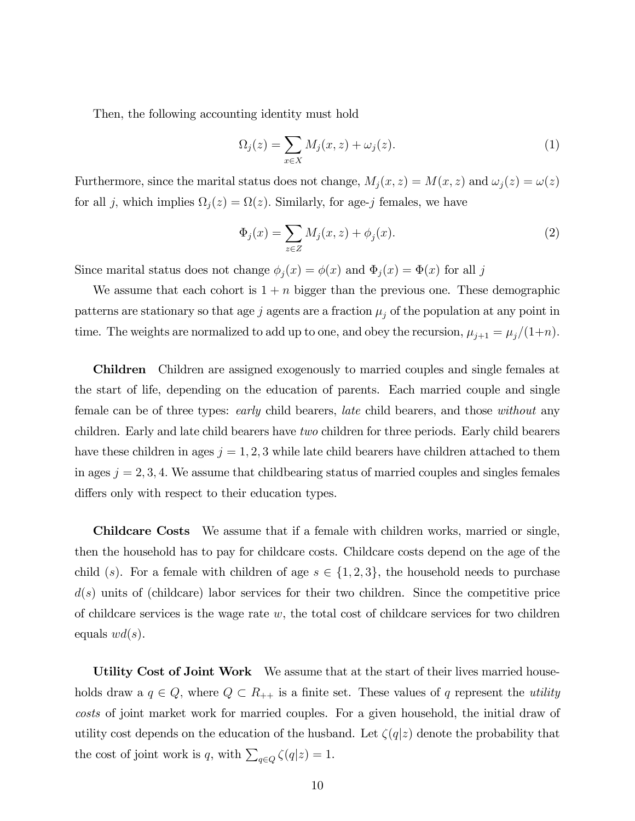Then, the following accounting identity must hold

$$
\Omega_j(z) = \sum_{x \in X} M_j(x, z) + \omega_j(z). \tag{1}
$$

Furthermore, since the marital status does not change,  $M_j(x, z) = M(x, z)$  and  $\omega_j(z) = \omega(z)$ for all j, which implies  $\Omega_j(z) = \Omega(z)$ . Similarly, for age-j females, we have

$$
\Phi_j(x) = \sum_{z \in Z} M_j(x, z) + \phi_j(x). \tag{2}
$$

Since marital status does not change  $\phi_j(x) = \phi(x)$  and  $\Phi_j(x) = \Phi(x)$  for all j

We assume that each cohort is  $1 + n$  bigger than the previous one. These demographic patterns are stationary so that age j agents are a fraction  $\mu_j$  of the population at any point in time. The weights are normalized to add up to one, and obey the recursion,  $\mu_{j+1} = \mu_j/(1+n)$ .

Children Children are assigned exogenously to married couples and single females at the start of life, depending on the education of parents. Each married couple and single female can be of three types: *early* child bearers, *late* child bearers, and those *without* any children. Early and late child bearers have two children for three periods. Early child bearers have these children in ages  $j = 1, 2, 3$  while late child bearers have children attached to them in ages  $j = 2, 3, 4$ . We assume that childbearing status of married couples and singles females differs only with respect to their education types.

Childcare Costs We assume that if a female with children works, married or single, then the household has to pay for childcare costs. Childcare costs depend on the age of the child (s). For a female with children of age  $s \in \{1, 2, 3\}$ , the household needs to purchase  $d(s)$  units of (childcare) labor services for their two children. Since the competitive price of childcare services is the wage rate  $w$ , the total cost of childcare services for two children equals  $wd(s)$ .

Utility Cost of Joint Work We assume that at the start of their lives married households draw a  $q \in Q$ , where  $Q \subset R_{++}$  is a finite set. These values of q represent the *utility* costs of joint market work for married couples. For a given household, the initial draw of utility cost depends on the education of the husband. Let  $\zeta(q|z)$  denote the probability that the cost of joint work is q, with  $\sum_{q \in Q} \zeta(q|z) = 1$ .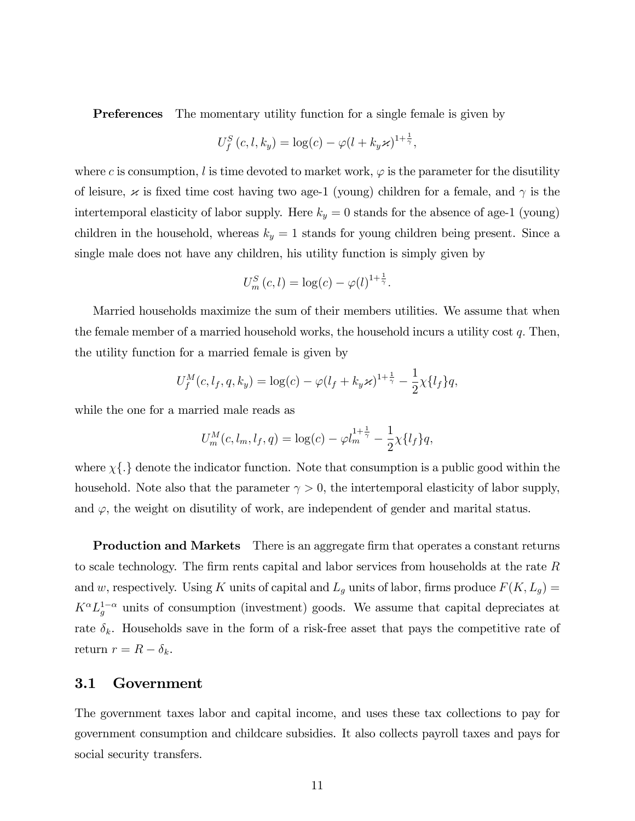Preferences The momentary utility function for a single female is given by

$$
U_f^S(c, l, k_y) = \log(c) - \varphi(l + k_y \varkappa)^{1 + \frac{1}{\gamma}},
$$

where c is consumption, l is time devoted to market work,  $\varphi$  is the parameter for the disutility of leisure,  $\times$  is fixed time cost having two age-1 (young) children for a female, and  $\gamma$  is the intertemporal elasticity of labor supply. Here  $k_y = 0$  stands for the absence of age-1 (young) children in the household, whereas  $k_y = 1$  stands for young children being present. Since a single male does not have any children, his utility function is simply given by

$$
U_m^S(c,l) = \log(c) - \varphi(l)^{1+\frac{1}{\gamma}}.
$$

Married households maximize the sum of their members utilities. We assume that when the female member of a married household works, the household incurs a utility cost  $q$ . Then, the utility function for a married female is given by

$$
U_f^M(c, l_f, q, k_y) = \log(c) - \varphi (l_f + k_y \varkappa)^{1 + \frac{1}{\gamma}} - \frac{1}{2} \chi \{l_f\} q,
$$

while the one for a married male reads as

$$
U_m^M(c, l_m, l_f, q) = \log(c) - \varphi l_m^{1 + \frac{1}{\gamma}} - \frac{1}{2} \chi \{l_f\} q,
$$

where  $\chi$ { $\cdot$ } denote the indicator function. Note that consumption is a public good within the household. Note also that the parameter  $\gamma > 0$ , the intertemporal elasticity of labor supply, and  $\varphi$ , the weight on disutility of work, are independent of gender and marital status.

**Production and Markets** There is an aggregate firm that operates a constant returns to scale technology. The firm rents capital and labor services from households at the rate  $R$ and w, respectively. Using K units of capital and  $L_g$  units of labor, firms produce  $F(K, L_g)$  =  $K^{\alpha}L_g^{1-\alpha}$  units of consumption (investment) goods. We assume that capital depreciates at rate  $\delta_k$ . Households save in the form of a risk-free asset that pays the competitive rate of return  $r = R - \delta_k$ .

#### 3.1 Government

The government taxes labor and capital income, and uses these tax collections to pay for government consumption and childcare subsidies. It also collects payroll taxes and pays for social security transfers.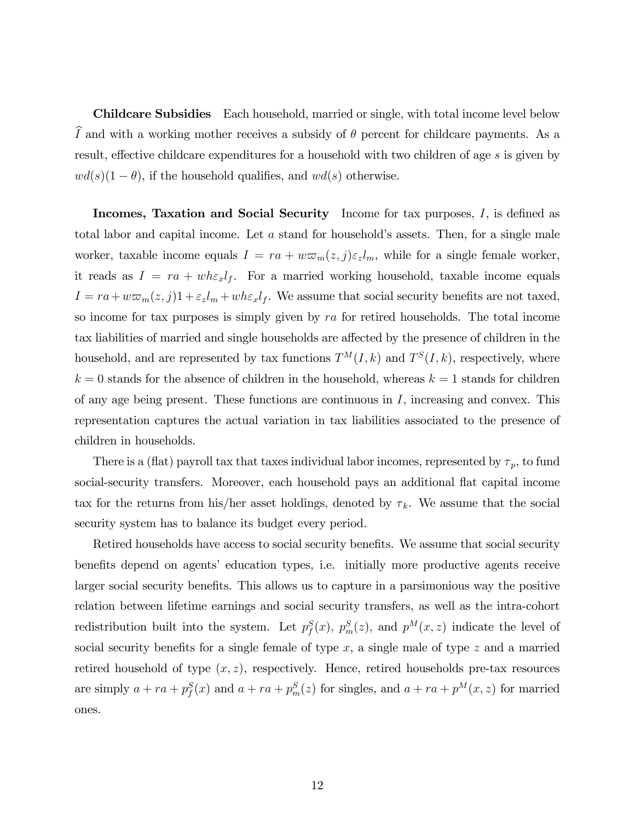Childcare Subsidies Each household, married or single, with total income level below  $\tilde{I}$  and with a working mother receives a subsidy of  $\theta$  percent for childcare payments. As a result, effective childcare expenditures for a household with two children of age  $s$  is given by  $wd(s)(1 - \theta)$ , if the household qualifies, and  $wd(s)$  otherwise.

**Incomes, Taxation and Social Security** Income for tax purposes,  $I$ , is defined as total labor and capital income. Let  $a$  stand for household's assets. Then, for a single male worker, taxable income equals  $I = ra + w \varpi_m(z, j) \varepsilon_z l_m$ , while for a single female worker, it reads as  $I = ra + wh \epsilon_x l_f$ . For a married working household, taxable income equals  $I = ra + w\varpi_m(z, j)1 + \varepsilon_z l_m + wh\varepsilon_x l_f$ . We assume that social security benefits are not taxed, so income for tax purposes is simply given by ra for retired households. The total income tax liabilities of married and single households are affected by the presence of children in the household, and are represented by tax functions  $T^{M}(I, k)$  and  $T^{S}(I, k)$ , respectively, where  $k = 0$  stands for the absence of children in the household, whereas  $k = 1$  stands for children of any age being present. These functions are continuous in  $I$ , increasing and convex. This representation captures the actual variation in tax liabilities associated to the presence of children in households.

There is a (flat) payroll tax that taxes individual labor incomes, represented by  $\tau_p$ , to fund social-security transfers. Moreover, each household pays an additional flat capital income tax for the returns from his/her asset holdings, denoted by  $\tau_k$ . We assume that the social security system has to balance its budget every period.

Retired households have access to social security benefits. We assume that social security benefits depend on agents' education types, i.e. initially more productive agents receive larger social security benefits. This allows us to capture in a parsimonious way the positive relation between lifetime earnings and social security transfers, as well as the intra-cohort redistribution built into the system. Let  $p_f^S(x)$ ,  $p_m^S(z)$ , and  $p^M(x, z)$  indicate the level of social security benefits for a single female of type  $x$ , a single male of type  $z$  and a married retired household of type  $(x, z)$ , respectively. Hence, retired households pre-tax resources are simply  $a + ra + p_f^S(x)$  and  $a + ra + p_m^S(z)$  for singles, and  $a + ra + p^M(x, z)$  for married ones.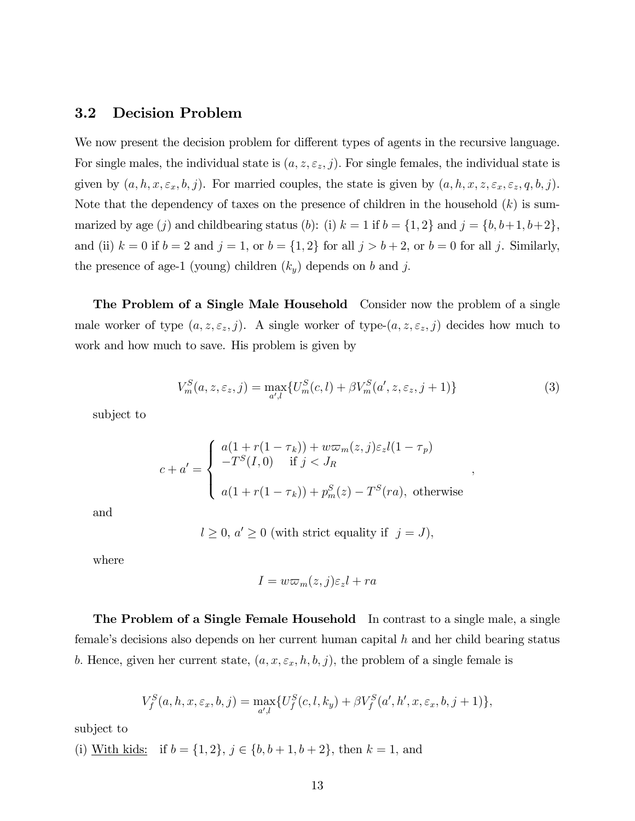#### 3.2 Decision Problem

We now present the decision problem for different types of agents in the recursive language. For single males, the individual state is  $(a, z, \varepsilon_z, j)$ . For single females, the individual state is given by  $(a, h, x, \varepsilon_x, b, j)$ . For married couples, the state is given by  $(a, h, x, z, \varepsilon_x, \varepsilon_z, q, b, j)$ . Note that the dependency of taxes on the presence of children in the household  $(k)$  is summarized by age (j) and childbearing status (b): (i)  $k = 1$  if  $b = \{1, 2\}$  and  $j = \{b, b+1, b+2\}$ , and (ii)  $k = 0$  if  $b = 2$  and  $j = 1$ , or  $b = \{1, 2\}$  for all  $j > b + 2$ , or  $b = 0$  for all j. Similarly, the presence of age-1 (young) children  $(k_y)$  depends on b and j.

The Problem of a Single Male Household Consider now the problem of a single male worker of type  $(a, z, \varepsilon_z, j)$ . A single worker of type- $(a, z, \varepsilon_z, j)$  decides how much to work and how much to save. His problem is given by

$$
V_m^S(a, z, \varepsilon_z, j) = \max_{a',l} \{ U_m^S(c, l) + \beta V_m^S(a', z, \varepsilon_z, j+1) \}
$$
(3)

;

subject to

$$
c + a' = \begin{cases} a(1 + r(1 - \tau_k)) + w\varpi_m(z, j)\varepsilon_z l(1 - \tau_p) \\ -T^S(I, 0) & \text{if } j < J_R \\ a(1 + r(1 - \tau_k)) + p_m^S(z) - T^S(ra), \text{ otherwise} \end{cases}
$$

and

$$
l \geq 0, a' \geq 0
$$
 (with strict equality if  $j = J$ ),

where

$$
I = w\varpi_m(z, j)\varepsilon_z l + ra
$$

The Problem of a Single Female Household In contrast to a single male, a single female's decisions also depends on her current human capital  $h$  and her child bearing status b. Hence, given her current state,  $(a, x, \varepsilon_x, h, b, j)$ , the problem of a single female is

$$
V_f^S(a, h, x, \varepsilon_x, b, j) = \max_{a',l} \{ U_f^S(c, l, k_y) + \beta V_f^S(a', h', x, \varepsilon_x, b, j + 1) \},\,
$$

subject to

(i) With kids: if  $b = \{1, 2\}, j \in \{b, b + 1, b + 2\},\$  then  $k = 1$ , and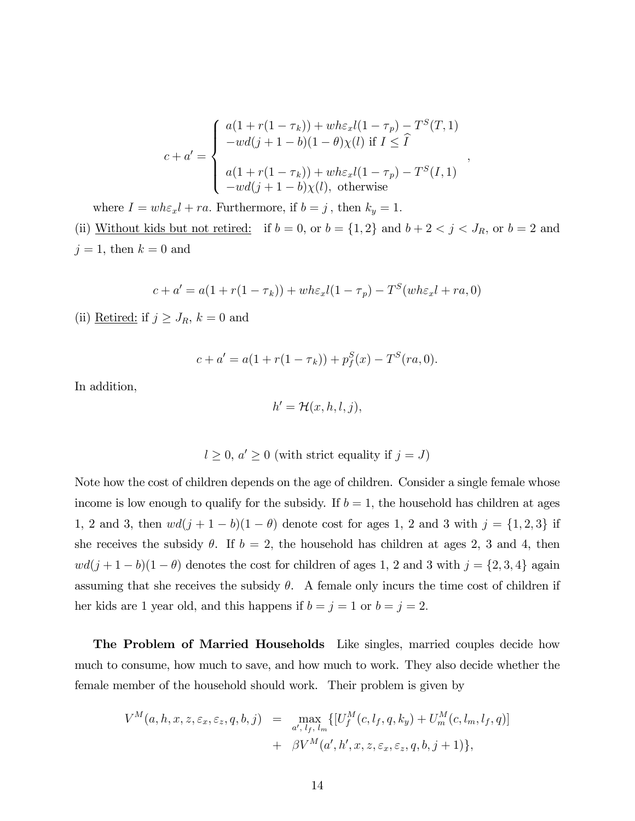$$
c + a' = \begin{cases} a(1 + r(1 - \tau_k)) + wh\varepsilon_x l(1 - \tau_p) - T^S(T, 1) \\ -wd(j + 1 - b)(1 - \theta)\chi(l) & \text{if } I \leq \hat{I} \\ a(1 + r(1 - \tau_k)) + wh\varepsilon_x l(1 - \tau_p) - T^S(I, 1) \\ -wd(j + 1 - b)\chi(l), \text{otherwise} \end{cases}
$$

;

where  $I = wh \varepsilon_x l + ra$ . Furthermore, if  $b = j$ , then  $k_y = 1$ . (ii) Without kids but not retired: if  $b = 0$ , or  $b = \{1, 2\}$  and  $b + 2 < j < J_R$ , or  $b = 2$  and  $j = 1$ , then  $k = 0$  and

$$
c + a' = a(1 + r(1 - \tau_k)) + wh\varepsilon_x l(1 - \tau_p) - T^S(wh\varepsilon_x l + ra, 0)
$$

(ii) <u>Retired:</u> if  $j \geq J_R$ ,  $k = 0$  and

$$
c + a' = a(1 + r(1 - \tau_k)) + p_f^S(x) - T^S(re, 0).
$$

In addition,

$$
h' = \mathcal{H}(x, h, l, j),
$$

$$
l \geq 0, a' \geq 0
$$
 (with strict equality if  $j = J$ )

Note how the cost of children depends on the age of children. Consider a single female whose income is low enough to qualify for the subsidy. If  $b = 1$ , the household has children at ages 1, 2 and 3, then  $wd(j + 1 - b)(1 - \theta)$  denote cost for ages 1, 2 and 3 with  $j = \{1, 2, 3\}$  if she receives the subsidy  $\theta$ . If  $b = 2$ , the household has children at ages 2, 3 and 4, then  $wd(j + 1 - b)(1 - \theta)$  denotes the cost for children of ages 1, 2 and 3 with  $j = \{2, 3, 4\}$  again assuming that she receives the subsidy  $\theta$ . A female only incurs the time cost of children if her kids are 1 year old, and this happens if  $b = j = 1$  or  $b = j = 2$ .

The Problem of Married Households Like singles, married couples decide how much to consume, how much to save, and how much to work. They also decide whether the female member of the household should work. Their problem is given by

$$
V^M(a, h, x, z, \varepsilon_x, \varepsilon_z, q, b, j) = \max_{a', l_f, l_m} \{ [U_f^M(c, l_f, q, k_y) + U_m^M(c, l_m, l_f, q)] + \beta V^M(a', h', x, z, \varepsilon_x, \varepsilon_z, q, b, j + 1) \},\
$$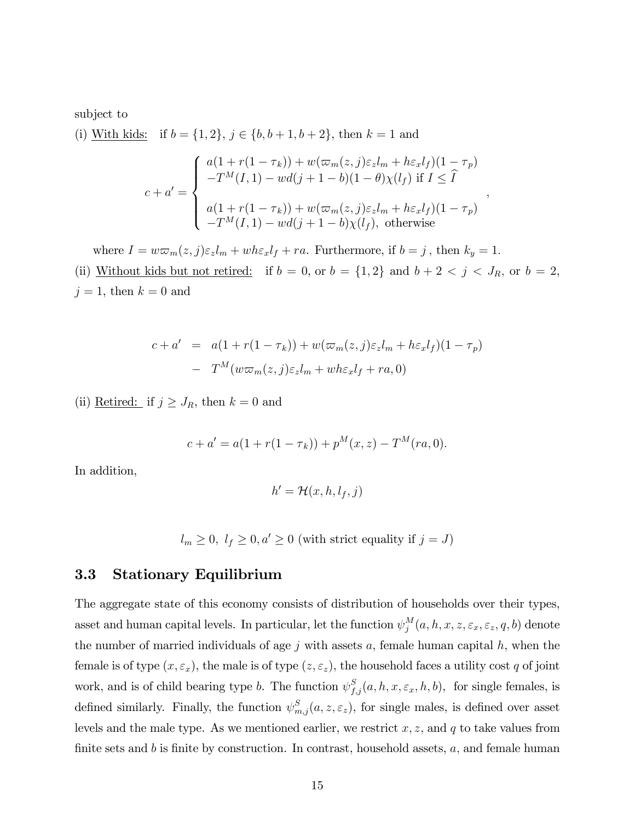subject to

(i) With kids: if  $b = \{1, 2\}, j \in \{b, b + 1, b + 2\},\$  then  $k = 1$  and  $c + a' =$  $\sqrt{ }$  $\Big\}$  $\left\lfloor \right\rfloor$  $a(1 + r(1 - \tau_k)) + w(\varpi_m(z, j)\varepsilon_z l_m + h\varepsilon_x l_f)(1 - \tau_p)$  $-T^{M}(I, 1) - wd(j + 1 - b)(1 - \theta)\chi(l_f)$  if  $I \leq \tilde{I}$  $a(1 + r(1 - \tau_k)) + w(\varpi_m(z, j)\varepsilon_z l_m + h\varepsilon_x l_f)(1 - \tau_p)$  $-T^M(I, 1) - wd(j + 1 - b)\chi(l_f)$ , otherwise ;

where  $I = w \varpi_m(z, j) \varepsilon_z l_m + w h \varepsilon_x l_f + ra$ . Furthermore, if  $b = j$ , then  $k_y = 1$ . (ii) Without kids but not retired: if  $b = 0$ , or  $b = \{1, 2\}$  and  $b + 2 < j < J_R$ , or  $b = 2$ ,  $j = 1$ , then  $k = 0$  and

$$
c + a' = a(1 + r(1 - \tau_k)) + w(\varpi_m(z, j)\varepsilon_z l_m + h\varepsilon_x l_f)(1 - \tau_p)
$$

$$
- T^M(w\varpi_m(z, j)\varepsilon_z l_m + wh\varepsilon_x l_f + ra, 0)
$$

(ii) <u>Retired:</u> if  $j \geq J_R$ , then  $k = 0$  and

$$
c + a' = a(1 + r(1 - \tau_k)) + p^M(x, z) - T^M(ra, 0).
$$

In addition,

$$
h' = \mathcal{H}(x, h, l_f, j)
$$

 $l_m \geq 0, l_f \geq 0, a' \geq 0$  (with strict equality if  $j = J$ )

### 3.3 Stationary Equilibrium

The aggregate state of this economy consists of distribution of households over their types, asset and human capital levels. In particular, let the function  $\psi_i^M$  $j^M_{j}(a,h,x,z,\varepsilon_x,\varepsilon_z,q,b) \text{ denote }$ the number of married individuals of age  $j$  with assets  $a$ , female human capital  $h$ , when the female is of type  $(x, \varepsilon_x)$ , the male is of type  $(z, \varepsilon_z)$ , the household faces a utility cost q of joint work, and is of child bearing type b. The function  $\psi_{f,j}^S(a, h, x, \varepsilon_x, h, b)$ , for single females, is defined similarly. Finally, the function  $\psi^S_{m,j}(a,z,\epsilon_z)$ , for single males, is defined over asset levels and the male type. As we mentioned earlier, we restrict  $x, z$ , and q to take values from finite sets and b is finite by construction. In contrast, household assets,  $a$ , and female human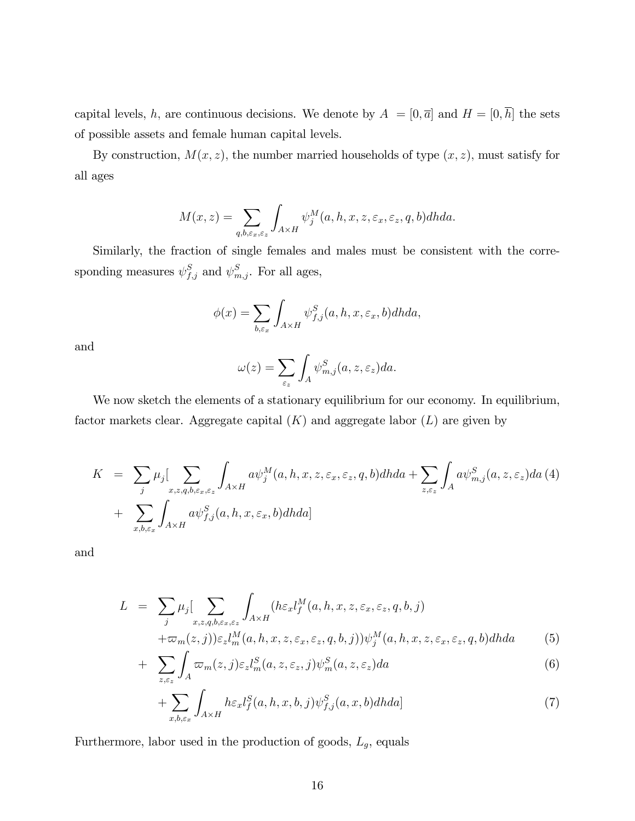capital levels, h, are continuous decisions. We denote by  $A = [0, \overline{a}]$  and  $H = [0, \overline{h}]$  the sets of possible assets and female human capital levels.

By construction,  $M(x, z)$ , the number married households of type  $(x, z)$ , must satisfy for all ages

$$
M(x, z) = \sum_{q, b, \varepsilon_x, \varepsilon_z} \int_{A \times H} \psi_j^M(a, h, x, z, \varepsilon_x, \varepsilon_z, q, b) dh da.
$$

Similarly, the fraction of single females and males must be consistent with the corresponding measures  $\psi_{f,j}^S$  and  $\psi_{m,j}^S$ . For all ages,

$$
\phi(x) = \sum_{b,\varepsilon_x} \int_{A \times H} \psi_{f,j}^S(a,h,x,\varepsilon_x,b) dh da,
$$

and

$$
\omega(z) = \sum_{\varepsilon_z} \int_A \psi_{m,j}^S(a, z, \varepsilon_z) da.
$$

We now sketch the elements of a stationary equilibrium for our economy. In equilibrium, factor markets clear. Aggregate capital  $(K)$  and aggregate labor  $(L)$  are given by

$$
K = \sum_{j} \mu_{j} \Big[ \sum_{x,z,q,b,\varepsilon_{x},\varepsilon_{z}} \int_{A\times H} a \psi_{j}^{M}(a,h,x,z,\varepsilon_{x},\varepsilon_{z},q,b) dh da + \sum_{z,\varepsilon_{z}} \int_{A} a \psi_{m,j}^{S}(a,z,\varepsilon_{z}) da (4) + \sum_{x,b,\varepsilon_{x}} \int_{A\times H} a \psi_{f,j}^{S}(a,h,x,\varepsilon_{x},b) dh da \Big]
$$

and

$$
L = \sum_{j} \mu_{j} \Big[ \sum_{x,z,q,b,\varepsilon_{x},\varepsilon_{z}} \int_{A\times H} (h\varepsilon_{x} l_{f}^{M}(a,h,x,z,\varepsilon_{x},\varepsilon_{z},q,b,j) + \varpi_{m}(z,j)) \varepsilon_{z} l_{m}^{M}(a,h,x,z,\varepsilon_{x},\varepsilon_{z},q,b,j) \Big) \psi_{j}^{M}(a,h,x,z,\varepsilon_{x},\varepsilon_{z},q,b) dhda \tag{5}
$$

$$
+ \sum_{z,\varepsilon_z} \int_A \varpi_m(z,j) \varepsilon_z l_m^S(a,z,\varepsilon_z,j) \psi_m^S(a,z,\varepsilon_z) da \tag{6}
$$

$$
+\sum_{x,b,\varepsilon_x} \int_{A\times H} h\varepsilon_x l_f^S(a,h,x,b,j) \psi_{f,j}^S(a,x,b) dhda] \tag{7}
$$

Furthermore, labor used in the production of goods,  $L_g$ , equals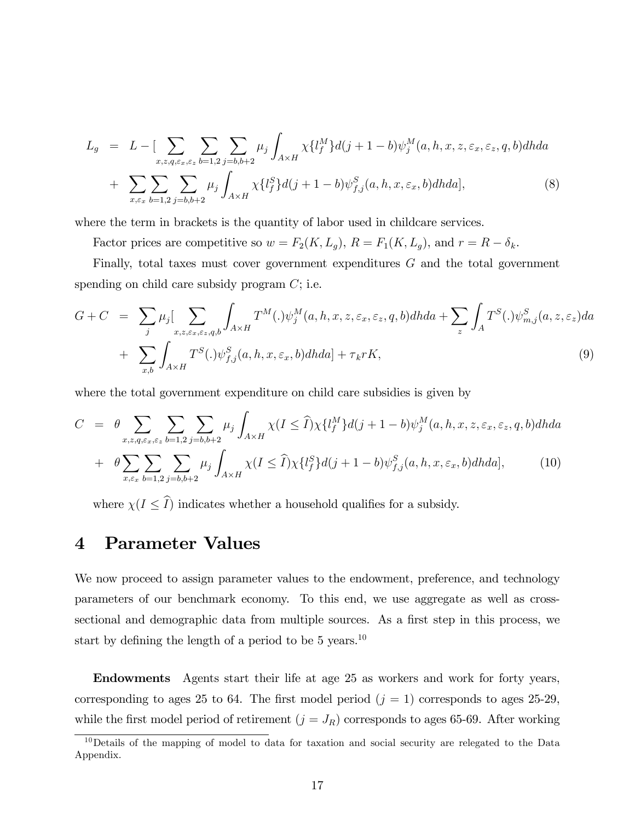$$
L_g = L - \left[ \sum_{x,z,q,\varepsilon_x,\varepsilon_z} \sum_{b=1,2} \sum_{j=b,b+2} \mu_j \int_{A \times H} \chi \{ l_f^M \} d(j+1-b) \psi_j^M(a,h,x,z,\varepsilon_x,\varepsilon_z,q,b) dh da + \sum_{x,\varepsilon_x} \sum_{b=1,2} \sum_{j=b,b+2} \mu_j \int_{A \times H} \chi \{ l_f^S \} d(j+1-b) \psi_{f,j}^S(a,h,x,\varepsilon_x,b) dh da \right],
$$
 (8)

where the term in brackets is the quantity of labor used in childcare services.

Factor prices are competitive so  $w = F_2(K, L_g)$ ,  $R = F_1(K, L_g)$ , and  $r = R - \delta_k$ .

Finally, total taxes must cover government expenditures G and the total government spending on child care subsidy program  $C$ ; i.e.

$$
G + C = \sum_{j} \mu_{j} \Big[ \sum_{x,z,\varepsilon_{x},\varepsilon_{z},q,b} \int_{A\times H} T^{M}(.) \psi_{j}^{M}(a,b,x,z,\varepsilon_{x},\varepsilon_{z},q,b) dh da + \sum_{z} \int_{A} T^{S}(.) \psi_{m,j}^{S}(a,z,\varepsilon_{z}) da + \sum_{x,b} \int_{A\times H} T^{S}(.) \psi_{f,j}^{S}(a,b,x,\varepsilon_{x},b) dh da] + \tau_{k} r K,
$$
\n(9)

where the total government expenditure on child care subsidies is given by

$$
C = \theta \sum_{x,z,q,\varepsilon_x,\varepsilon_z} \sum_{b=1,2} \sum_{j=b,b+2} \mu_j \int_{A\times H} \chi(I \leq \widehat{I}) \chi \{l_f^M\} d(j+1-b) \psi_j^M(a,h,x,z,\varepsilon_x,\varepsilon_z,q,b) dh da
$$
  
+ 
$$
\theta \sum_{x,\varepsilon_x} \sum_{b=1,2} \sum_{j=b,b+2} \mu_j \int_{A\times H} \chi(I \leq \widehat{I}) \chi \{l_f^S\} d(j+1-b) \psi_{f,j}^S(a,h,x,\varepsilon_x,b) dh da],
$$
 (10)

where  $\chi(I \leq \hat{I})$  indicates whether a household qualifies for a subsidy.

# 4 Parameter Values

We now proceed to assign parameter values to the endowment, preference, and technology parameters of our benchmark economy. To this end, we use aggregate as well as crosssectional and demographic data from multiple sources. As a first step in this process, we start by defining the length of a period to be 5 years.<sup>10</sup>

Endowments Agents start their life at age 25 as workers and work for forty years, corresponding to ages 25 to 64. The first model period  $(j = 1)$  corresponds to ages 25-29, while the first model period of retirement  $(j = J_R)$  corresponds to ages 65-69. After working

<sup>10</sup>Details of the mapping of model to data for taxation and social security are relegated to the Data Appendix.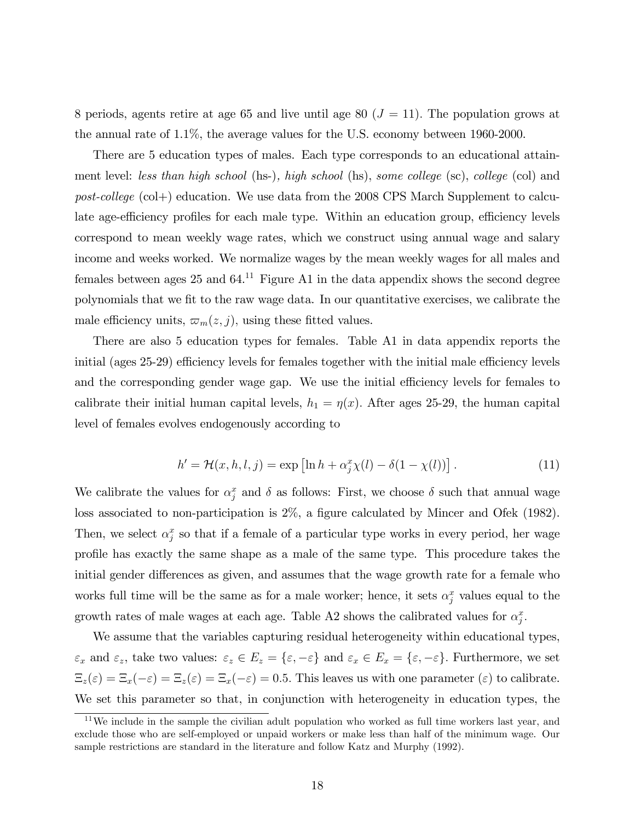8 periods, agents retire at age 65 and live until age 80 ( $J = 11$ ). The population grows at the annual rate of 1.1%, the average values for the U.S. economy between 1960-2000.

There are 5 education types of males. Each type corresponds to an educational attainment level: less than high school (hs-), high school (hs), some college (sc), college (col) and post-college (col+) education. We use data from the 2008 CPS March Supplement to calculate age-efficiency profiles for each male type. Within an education group, efficiency levels correspond to mean weekly wage rates, which we construct using annual wage and salary income and weeks worked. We normalize wages by the mean weekly wages for all males and females between ages 25 and  $64<sup>11</sup>$  Figure A1 in the data appendix shows the second degree polynomials that we Öt to the raw wage data. In our quantitative exercises, we calibrate the male efficiency units,  $\varpi_m(z, j)$ , using these fitted values.

There are also 5 education types for females. Table A1 in data appendix reports the initial (ages  $25-29$ ) efficiency levels for females together with the initial male efficiency levels and the corresponding gender wage gap. We use the initial efficiency levels for females to calibrate their initial human capital levels,  $h_1 = \eta(x)$ . After ages 25-29, the human capital level of females evolves endogenously according to

$$
h' = \mathcal{H}(x, h, l, j) = \exp\left[\ln h + \alpha_j^x \chi(l) - \delta(1 - \chi(l))\right].\tag{11}
$$

We calibrate the values for  $\alpha_j^x$  and  $\delta$  as follows: First, we choose  $\delta$  such that annual wage loss associated to non-participation is  $2\%$ , a figure calculated by Mincer and Ofek (1982). Then, we select  $\alpha_j^x$  so that if a female of a particular type works in every period, her wage profile has exactly the same shape as a male of the same type. This procedure takes the initial gender differences as given, and assumes that the wage growth rate for a female who works full time will be the same as for a male worker; hence, it sets  $\alpha_j^x$  values equal to the growth rates of male wages at each age. Table A2 shows the calibrated values for  $\alpha_j^x$ .

We assume that the variables capturing residual heterogeneity within educational types,  $\varepsilon_x$  and  $\varepsilon_z$ , take two values:  $\varepsilon_z \in E_z = \{\varepsilon, -\varepsilon\}$  and  $\varepsilon_x \in E_x = \{\varepsilon, -\varepsilon\}$ . Furthermore, we set  $\Xi_z(\varepsilon) = \Xi_x(-\varepsilon) = \Xi_z(\varepsilon) = \Xi_x(-\varepsilon) = 0.5$ . This leaves us with one parameter  $(\varepsilon)$  to calibrate. We set this parameter so that, in conjunction with heterogeneity in education types, the

<sup>&</sup>lt;sup>11</sup>We include in the sample the civilian adult population who worked as full time workers last year, and exclude those who are self-employed or unpaid workers or make less than half of the minimum wage. Our sample restrictions are standard in the literature and follow Katz and Murphy (1992).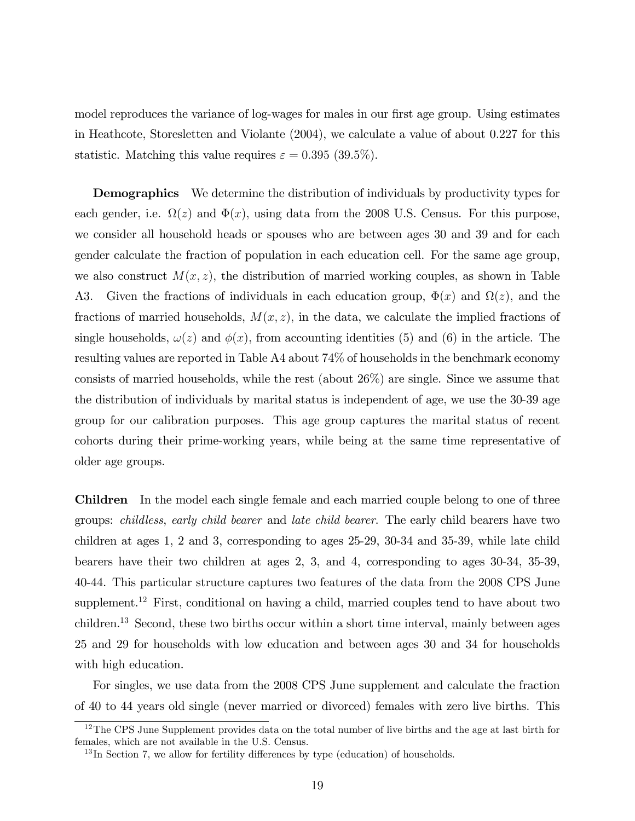model reproduces the variance of log-wages for males in our first age group. Using estimates in Heathcote, Storesletten and Violante (2004), we calculate a value of about 0.227 for this statistic. Matching this value requires  $\varepsilon = 0.395$  (39.5%).

**Demographics** We determine the distribution of individuals by productivity types for each gender, i.e.  $\Omega(z)$  and  $\Phi(x)$ , using data from the 2008 U.S. Census. For this purpose, we consider all household heads or spouses who are between ages 30 and 39 and for each gender calculate the fraction of population in each education cell. For the same age group, we also construct  $M(x, z)$ , the distribution of married working couples, as shown in Table A3. Given the fractions of individuals in each education group,  $\Phi(x)$  and  $\Omega(z)$ , and the fractions of married households,  $M(x, z)$ , in the data, we calculate the implied fractions of single households,  $\omega(z)$  and  $\phi(x)$ , from accounting identities (5) and (6) in the article. The resulting values are reported in Table A4 about 74% of households in the benchmark economy consists of married households, while the rest (about 26%) are single. Since we assume that the distribution of individuals by marital status is independent of age, we use the 30-39 age group for our calibration purposes. This age group captures the marital status of recent cohorts during their prime-working years, while being at the same time representative of older age groups.

Children In the model each single female and each married couple belong to one of three groups: childless, early child bearer and late child bearer. The early child bearers have two children at ages 1, 2 and 3, corresponding to ages 25-29, 30-34 and 35-39, while late child bearers have their two children at ages 2, 3, and 4, corresponding to ages 30-34, 35-39, 40-44. This particular structure captures two features of the data from the 2008 CPS June supplement.<sup>12</sup> First, conditional on having a child, married couples tend to have about two children.<sup>13</sup> Second, these two births occur within a short time interval, mainly between ages 25 and 29 for households with low education and between ages 30 and 34 for households with high education.

For singles, we use data from the 2008 CPS June supplement and calculate the fraction of 40 to 44 years old single (never married or divorced) females with zero live births. This

<sup>&</sup>lt;sup>12</sup>The CPS June Supplement provides data on the total number of live births and the age at last birth for females, which are not available in the U.S. Census.

 $13$  In Section 7, we allow for fertility differences by type (education) of households.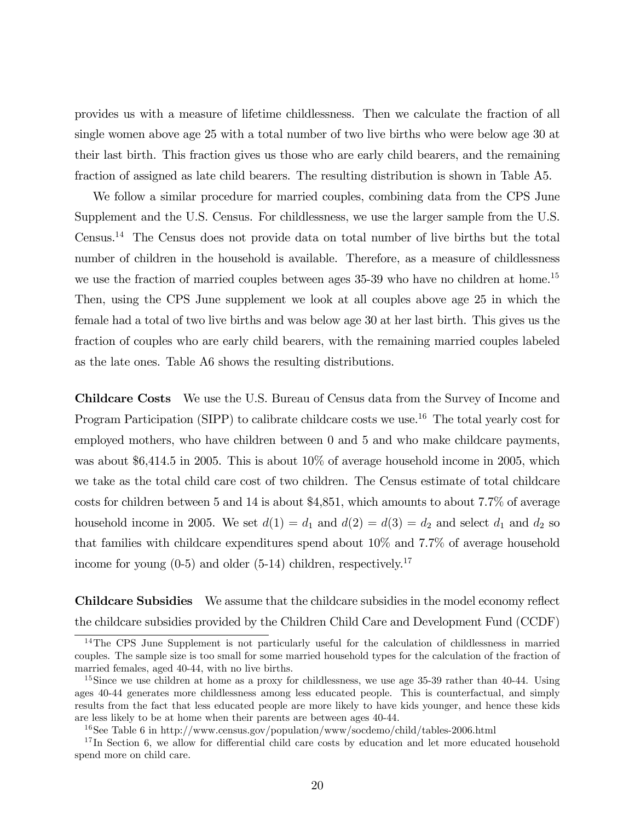provides us with a measure of lifetime childlessness. Then we calculate the fraction of all single women above age 25 with a total number of two live births who were below age 30 at their last birth. This fraction gives us those who are early child bearers, and the remaining fraction of assigned as late child bearers. The resulting distribution is shown in Table A5.

We follow a similar procedure for married couples, combining data from the CPS June Supplement and the U.S. Census. For childlessness, we use the larger sample from the U.S. Census.<sup>14</sup> The Census does not provide data on total number of live births but the total number of children in the household is available. Therefore, as a measure of childlessness we use the fraction of married couples between ages 35-39 who have no children at home.<sup>15</sup> Then, using the CPS June supplement we look at all couples above age 25 in which the female had a total of two live births and was below age 30 at her last birth. This gives us the fraction of couples who are early child bearers, with the remaining married couples labeled as the late ones. Table A6 shows the resulting distributions.

Childcare Costs We use the U.S. Bureau of Census data from the Survey of Income and Program Participation (SIPP) to calibrate childcare costs we use.<sup>16</sup> The total yearly cost for employed mothers, who have children between 0 and 5 and who make childcare payments, was about \$6,414.5 in 2005. This is about 10% of average household income in 2005, which we take as the total child care cost of two children. The Census estimate of total childcare costs for children between 5 and 14 is about \$4,851, which amounts to about 7.7% of average household income in 2005. We set  $d(1) = d_1$  and  $d(2) = d(3) = d_2$  and select  $d_1$  and  $d_2$  so that families with childcare expenditures spend about 10% and 7.7% of average household income for young  $(0-5)$  and older  $(5-14)$  children, respectively.<sup>17</sup>

Childcare Subsidies We assume that the childcare subsidies in the model economy reflect the childcare subsidies provided by the Children Child Care and Development Fund (CCDF)

<sup>&</sup>lt;sup>14</sup>The CPS June Supplement is not particularly useful for the calculation of childlessness in married couples. The sample size is too small for some married household types for the calculation of the fraction of married females, aged 40-44, with no live births.

<sup>&</sup>lt;sup>15</sup>Since we use children at home as a proxy for childlessness, we use age 35-39 rather than 40-44. Using ages 40-44 generates more childlessness among less educated people. This is counterfactual, and simply results from the fact that less educated people are more likely to have kids younger, and hence these kids are less likely to be at home when their parents are between ages 40-44.

<sup>16</sup>See Table 6 in http://www.census.gov/population/www/socdemo/child/tables-2006.html

 $17$  In Section 6, we allow for differential child care costs by education and let more educated household spend more on child care.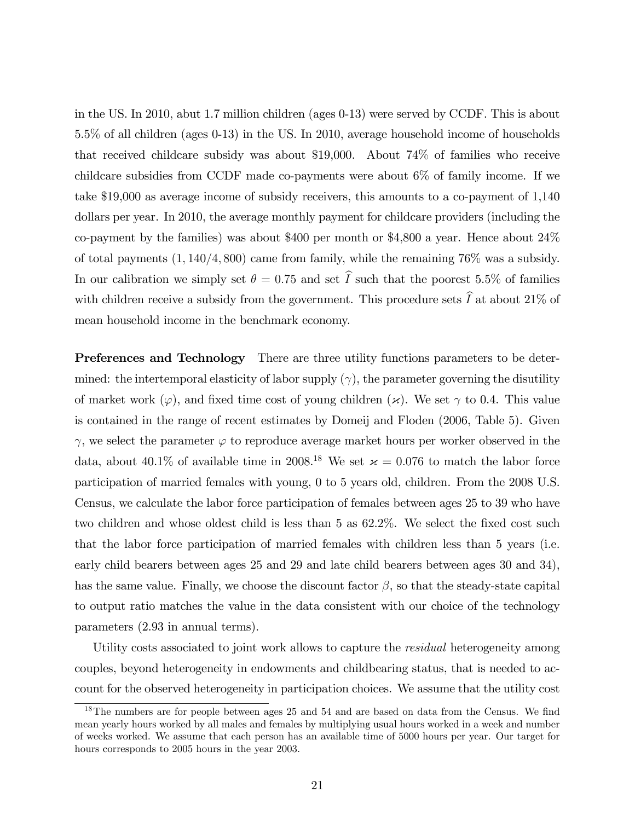in the US. In 2010, abut 1.7 million children (ages 0-13) were served by CCDF. This is about 5.5% of all children (ages 0-13) in the US. In 2010, average household income of households that received childcare subsidy was about \$19,000. About 74% of families who receive childcare subsidies from CCDF made co-payments were about 6% of family income. If we take \$19,000 as average income of subsidy receivers, this amounts to a co-payment of 1,140 dollars per year. In 2010, the average monthly payment for childcare providers (including the co-payment by the families) was about \$400 per month or \$4,800 a year. Hence about 24% of total payments  $(1, 140/4, 800)$  came from family, while the remaining 76% was a subsidy. In our calibration we simply set  $\theta = 0.75$  and set  $\hat{I}$  such that the poorest 5.5% of families with children receive a subsidy from the government. This procedure sets  $\widehat{I}$  at about 21% of mean household income in the benchmark economy.

Preferences and Technology There are three utility functions parameters to be determined: the intertemporal elasticity of labor supply  $(\gamma)$ , the parameter governing the disutility of market work ( $\varphi$ ), and fixed time cost of young children ( $\varkappa$ ). We set  $\gamma$  to 0.4. This value is contained in the range of recent estimates by Domeij and Floden (2006, Table 5). Given  $\gamma$ , we select the parameter  $\varphi$  to reproduce average market hours per worker observed in the data, about 40.1% of available time in 2008.<sup>18</sup> We set  $\alpha$  = 0.076 to match the labor force participation of married females with young, 0 to 5 years old, children. From the 2008 U.S. Census, we calculate the labor force participation of females between ages 25 to 39 who have two children and whose oldest child is less than  $5$  as  $62.2\%$ . We select the fixed cost such that the labor force participation of married females with children less than 5 years (i.e. early child bearers between ages 25 and 29 and late child bearers between ages 30 and 34), has the same value. Finally, we choose the discount factor  $\beta$ , so that the steady-state capital to output ratio matches the value in the data consistent with our choice of the technology parameters (2.93 in annual terms).

Utility costs associated to joint work allows to capture the *residual* heterogeneity among couples, beyond heterogeneity in endowments and childbearing status, that is needed to account for the observed heterogeneity in participation choices. We assume that the utility cost

 $18$ The numbers are for people between ages 25 and 54 and are based on data from the Census. We find mean yearly hours worked by all males and females by multiplying usual hours worked in a week and number of weeks worked. We assume that each person has an available time of 5000 hours per year. Our target for hours corresponds to 2005 hours in the year 2003.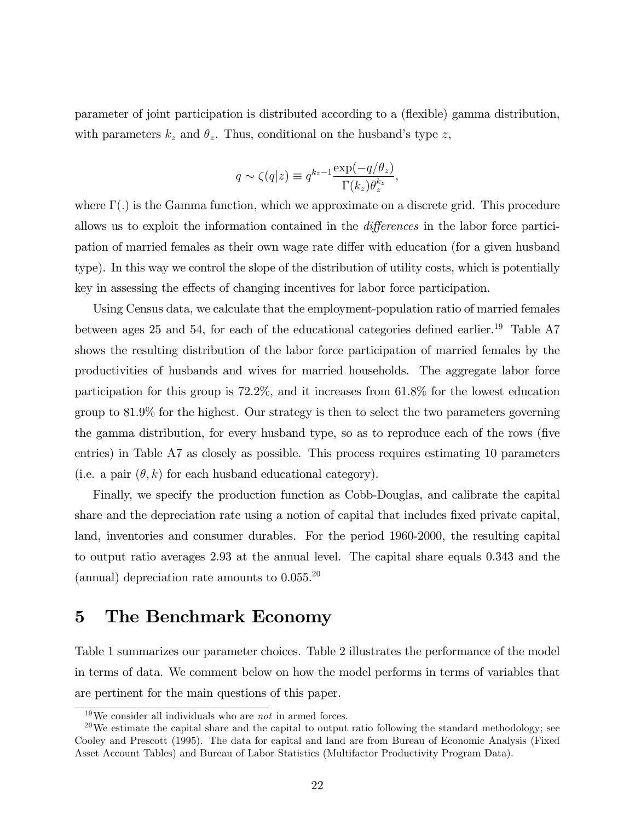parameter of joint participation is distributed according to a (áexible) gamma distribution, with parameters  $k_z$  and  $\theta_z$ . Thus, conditional on the husband's type z,

$$
q \sim \zeta(q|z) \equiv q^{k_z - 1} \frac{\exp(-q/\theta_z)}{\Gamma(k_z)\theta_z^{k_z}},
$$

where  $\Gamma(.)$  is the Gamma function, which we approximate on a discrete grid. This procedure allows us to exploit the information contained in the *differences* in the labor force participation of married females as their own wage rate differ with education (for a given husband type). In this way we control the slope of the distribution of utility costs, which is potentially key in assessing the effects of changing incentives for labor force participation.

Using Census data, we calculate that the employment-population ratio of married females between ages 25 and 54, for each of the educational categories defined earlier.<sup>19</sup> Table A7 shows the resulting distribution of the labor force participation of married females by the productivities of husbands and wives for married households. The aggregate labor force participation for this group is 72.2%, and it increases from 61.8% for the lowest education group to 81.9% for the highest. Our strategy is then to select the two parameters governing the gamma distribution, for every husband type, so as to reproduce each of the rows (five entries) in Table A7 as closely as possible. This process requires estimating 10 parameters (i.e. a pair  $(\theta, k)$  for each husband educational category).

Finally, we specify the production function as Cobb-Douglas, and calibrate the capital share and the depreciation rate using a notion of capital that includes fixed private capital, land, inventories and consumer durables. For the period 1960-2000, the resulting capital to output ratio averages 2.93 at the annual level. The capital share equals 0.343 and the (annual) depreciation rate amounts to 0.055.<sup>20</sup>

### 5 The Benchmark Economy

Table 1 summarizes our parameter choices. Table 2 illustrates the performance of the model in terms of data. We comment below on how the model performs in terms of variables that are pertinent for the main questions of this paper.

 $19\,\text{We consider all individuals who are } not\text{ in armed forces.}$ 

<sup>&</sup>lt;sup>20</sup>We estimate the capital share and the capital to output ratio following the standard methodology; see Cooley and Prescott (1995). The data for capital and land are from Bureau of Economic Analysis (Fixed Asset Account Tables) and Bureau of Labor Statistics (Multifactor Productivity Program Data).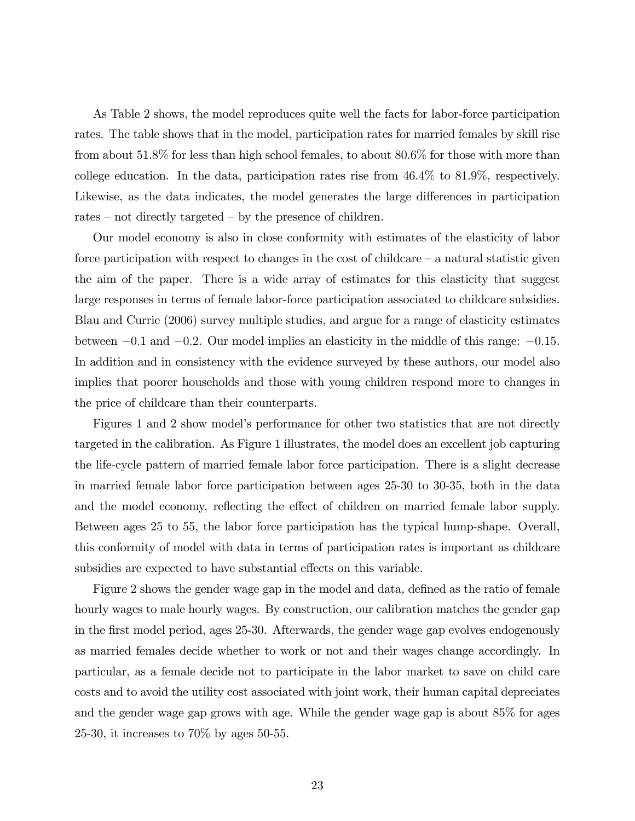As Table 2 shows, the model reproduces quite well the facts for labor-force participation rates. The table shows that in the model, participation rates for married females by skill rise from about 51.8% for less than high school females, to about 80.6% for those with more than college education. In the data, participation rates rise from 46.4% to 81.9%, respectively. Likewise, as the data indicates, the model generates the large differences in participation rates  $-$  not directly targeted  $-$  by the presence of children.

Our model economy is also in close conformity with estimates of the elasticity of labor force participation with respect to changes in the cost of childcare  $-\alpha$  natural statistic given the aim of the paper. There is a wide array of estimates for this elasticity that suggest large responses in terms of female labor-force participation associated to childcare subsidies. Blau and Currie (2006) survey multiple studies, and argue for a range of elasticity estimates between  $-0.1$  and  $-0.2$ . Our model implies an elasticity in the middle of this range:  $-0.15$ . In addition and in consistency with the evidence surveyed by these authors, our model also implies that poorer households and those with young children respond more to changes in the price of childcare than their counterparts.

Figures 1 and 2 show model's performance for other two statistics that are not directly targeted in the calibration. As Figure 1 illustrates, the model does an excellent job capturing the life-cycle pattern of married female labor force participation. There is a slight decrease in married female labor force participation between ages 25-30 to 30-35, both in the data and the model economy, reflecting the effect of children on married female labor supply. Between ages 25 to 55, the labor force participation has the typical hump-shape. Overall, this conformity of model with data in terms of participation rates is important as childcare subsidies are expected to have substantial effects on this variable.

Figure 2 shows the gender wage gap in the model and data, defined as the ratio of female hourly wages to male hourly wages. By construction, our calibration matches the gender gap in the first model period, ages 25-30. Afterwards, the gender wage gap evolves endogenously as married females decide whether to work or not and their wages change accordingly. In particular, as a female decide not to participate in the labor market to save on child care costs and to avoid the utility cost associated with joint work, their human capital depreciates and the gender wage gap grows with age. While the gender wage gap is about 85% for ages 25-30, it increases to 70% by ages 50-55.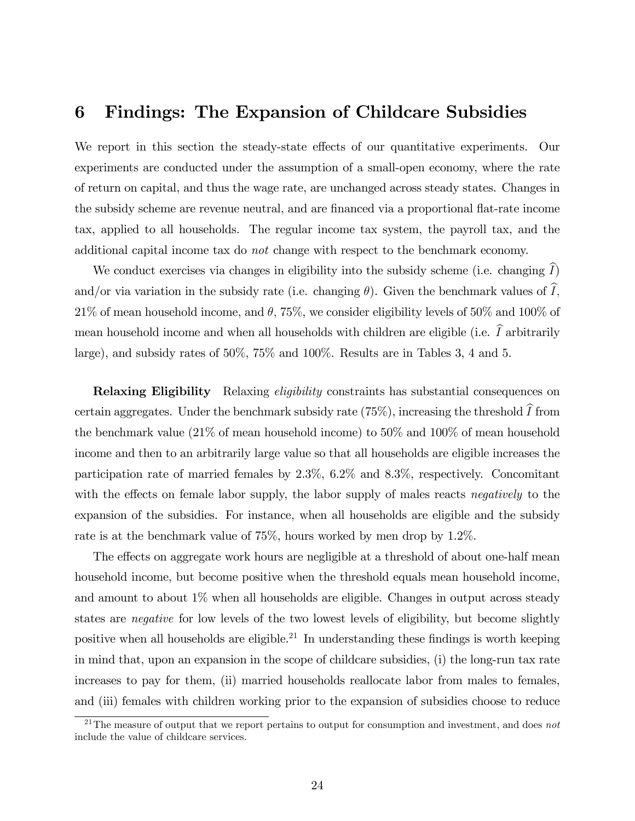# 6 Findings: The Expansion of Childcare Subsidies

We report in this section the steady-state effects of our quantitative experiments. Our experiments are conducted under the assumption of a small-open economy, where the rate of return on capital, and thus the wage rate, are unchanged across steady states. Changes in the subsidy scheme are revenue neutral, and are financed via a proportional flat-rate income tax, applied to all households. The regular income tax system, the payroll tax, and the additional capital income tax do not change with respect to the benchmark economy.

We conduct exercises via changes in eligibility into the subsidy scheme (i.e. changing  $\tilde{I}$ ) and/or via variation in the subsidy rate (i.e. changing  $\theta$ ). Given the benchmark values of  $\widehat{I}$ ,  $21\%$  of mean household income, and  $\theta$ , 75%, we consider eligibility levels of 50% and 100% of mean household income and when all households with children are eligible (i.e.  $\widehat{I}$  arbitrarily large), and subsidy rates of 50%, 75% and 100%. Results are in Tables 3, 4 and 5.

**Relaxing Eligibility** Relaxing *eligibility* constraints has substantial consequences on certain aggregates. Under the benchmark subsidy rate (75%), increasing the threshold  $\tilde{I}$  from the benchmark value (21% of mean household income) to 50% and 100% of mean household income and then to an arbitrarily large value so that all households are eligible increases the participation rate of married females by 2.3%, 6.2% and 8.3%, respectively. Concomitant with the effects on female labor supply, the labor supply of males reacts negatively to the expansion of the subsidies. For instance, when all households are eligible and the subsidy rate is at the benchmark value of 75%, hours worked by men drop by 1.2%.

The effects on aggregate work hours are negligible at a threshold of about one-half mean household income, but become positive when the threshold equals mean household income, and amount to about  $1\%$  when all households are eligible. Changes in output across steady states are negative for low levels of the two lowest levels of eligibility, but become slightly positive when all households are eligible.<sup>21</sup> In understanding these findings is worth keeping in mind that, upon an expansion in the scope of childcare subsidies, (i) the long-run tax rate increases to pay for them, (ii) married households reallocate labor from males to females, and (iii) females with children working prior to the expansion of subsidies choose to reduce

<sup>&</sup>lt;sup>21</sup>The measure of output that we report pertains to output for consumption and investment, and does *not* include the value of childcare services.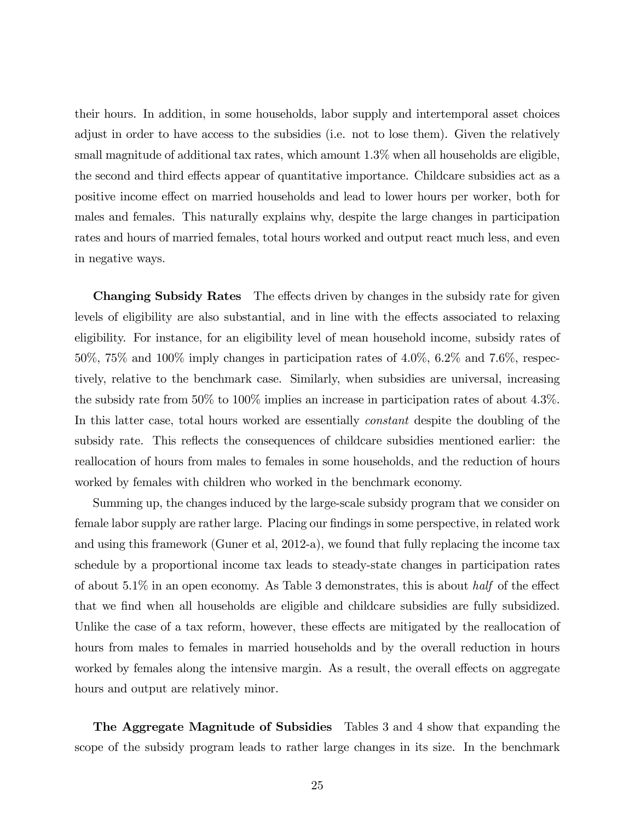their hours. In addition, in some households, labor supply and intertemporal asset choices adjust in order to have access to the subsidies (i.e. not to lose them). Given the relatively small magnitude of additional tax rates, which amount 1.3% when all households are eligible, the second and third effects appear of quantitative importance. Childcare subsidies act as a positive income effect on married households and lead to lower hours per worker, both for males and females. This naturally explains why, despite the large changes in participation rates and hours of married females, total hours worked and output react much less, and even in negative ways.

Changing Subsidy Rates The effects driven by changes in the subsidy rate for given levels of eligibility are also substantial, and in line with the effects associated to relaxing eligibility. For instance, for an eligibility level of mean household income, subsidy rates of 50%, 75% and 100% imply changes in participation rates of 4.0%, 6.2% and 7.6%, respectively, relative to the benchmark case. Similarly, when subsidies are universal, increasing the subsidy rate from 50% to 100% implies an increase in participation rates of about 4.3%. In this latter case, total hours worked are essentially *constant* despite the doubling of the subsidy rate. This reflects the consequences of childcare subsidies mentioned earlier: the reallocation of hours from males to females in some households, and the reduction of hours worked by females with children who worked in the benchmark economy.

Summing up, the changes induced by the large-scale subsidy program that we consider on female labor supply are rather large. Placing our findings in some perspective, in related work and using this framework (Guner et al, 2012-a), we found that fully replacing the income tax schedule by a proportional income tax leads to steady-state changes in participation rates of about  $5.1\%$  in an open economy. As Table 3 demonstrates, this is about *half* of the effect that we Önd when all households are eligible and childcare subsidies are fully subsidized. Unlike the case of a tax reform, however, these effects are mitigated by the reallocation of hours from males to females in married households and by the overall reduction in hours worked by females along the intensive margin. As a result, the overall effects on aggregate hours and output are relatively minor.

The Aggregate Magnitude of Subsidies Tables 3 and 4 show that expanding the scope of the subsidy program leads to rather large changes in its size. In the benchmark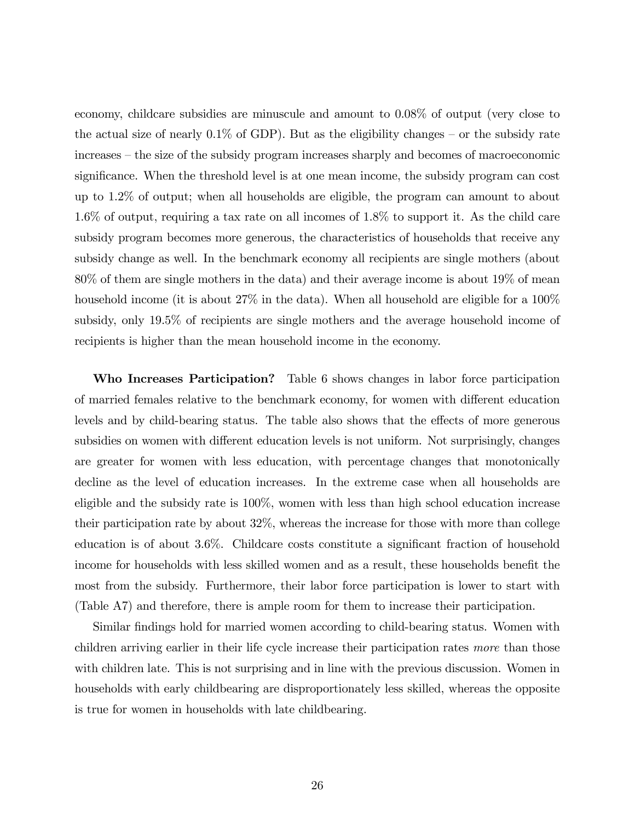economy, childcare subsidies are minuscule and amount to 0.08% of output (very close to the actual size of nearly  $0.1\%$  of GDP). But as the eligibility changes – or the subsidy rate increases – the size of the subsidy program increases sharply and becomes of macroeconomic significance. When the threshold level is at one mean income, the subsidy program can cost up to 1.2% of output; when all households are eligible, the program can amount to about 1.6% of output, requiring a tax rate on all incomes of 1.8% to support it. As the child care subsidy program becomes more generous, the characteristics of households that receive any subsidy change as well. In the benchmark economy all recipients are single mothers (about 80% of them are single mothers in the data) and their average income is about 19% of mean household income (it is about  $27\%$  in the data). When all household are eligible for a  $100\%$ subsidy, only 19.5% of recipients are single mothers and the average household income of recipients is higher than the mean household income in the economy.

Who Increases Participation? Table 6 shows changes in labor force participation of married females relative to the benchmark economy, for women with different education levels and by child-bearing status. The table also shows that the effects of more generous subsidies on women with different education levels is not uniform. Not surprisingly, changes are greater for women with less education, with percentage changes that monotonically decline as the level of education increases. In the extreme case when all households are eligible and the subsidy rate is 100%, women with less than high school education increase their participation rate by about 32%, whereas the increase for those with more than college education is of about  $3.6\%$ . Childcare costs constitute a significant fraction of household income for households with less skilled women and as a result, these households benefit the most from the subsidy. Furthermore, their labor force participation is lower to start with (Table A7) and therefore, there is ample room for them to increase their participation.

Similar findings hold for married women according to child-bearing status. Women with children arriving earlier in their life cycle increase their participation rates more than those with children late. This is not surprising and in line with the previous discussion. Women in households with early childbearing are disproportionately less skilled, whereas the opposite is true for women in households with late childbearing.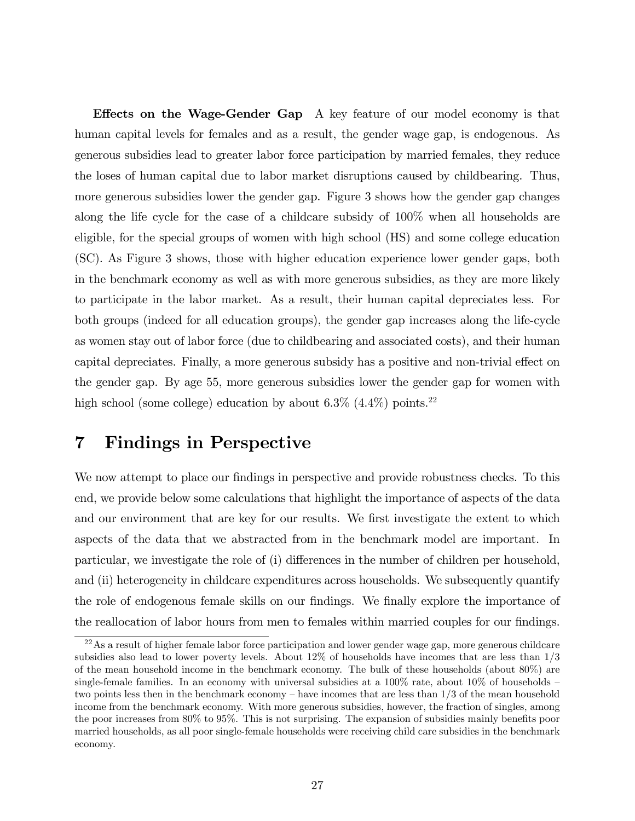**Effects on the Wage-Gender Gap** A key feature of our model economy is that human capital levels for females and as a result, the gender wage gap, is endogenous. As generous subsidies lead to greater labor force participation by married females, they reduce the loses of human capital due to labor market disruptions caused by childbearing. Thus, more generous subsidies lower the gender gap. Figure 3 shows how the gender gap changes along the life cycle for the case of a childcare subsidy of 100% when all households are eligible, for the special groups of women with high school (HS) and some college education (SC). As Figure 3 shows, those with higher education experience lower gender gaps, both in the benchmark economy as well as with more generous subsidies, as they are more likely to participate in the labor market. As a result, their human capital depreciates less. For both groups (indeed for all education groups), the gender gap increases along the life-cycle as women stay out of labor force (due to childbearing and associated costs), and their human capital depreciates. Finally, a more generous subsidy has a positive and non-trivial effect on the gender gap. By age 55, more generous subsidies lower the gender gap for women with high school (some college) education by about  $6.3\%$   $(4.4\%)$  points.<sup>22</sup>

# 7 Findings in Perspective

We now attempt to place our findings in perspective and provide robustness checks. To this end, we provide below some calculations that highlight the importance of aspects of the data and our environment that are key for our results. We first investigate the extent to which aspects of the data that we abstracted from in the benchmark model are important. In particular, we investigate the role of  $(i)$  differences in the number of children per household, and (ii) heterogeneity in childcare expenditures across households. We subsequently quantify the role of endogenous female skills on our findings. We finally explore the importance of the reallocation of labor hours from men to females within married couples for our findings.

<sup>&</sup>lt;sup>22</sup>As a result of higher female labor force participation and lower gender wage gap, more generous childcare subsidies also lead to lower poverty levels. About 12% of households have incomes that are less than 1/3 of the mean household income in the benchmark economy. The bulk of these households (about 80%) are single-female families. In an economy with universal subsidies at a  $100\%$  rate, about  $10\%$  of households – two points less then in the benchmark economy – have incomes that are less than  $1/3$  of the mean household income from the benchmark economy. With more generous subsidies, however, the fraction of singles, among the poor increases from 80% to 95%. This is not surprising. The expansion of subsidies mainly benefits poor married households, as all poor single-female households were receiving child care subsidies in the benchmark economy.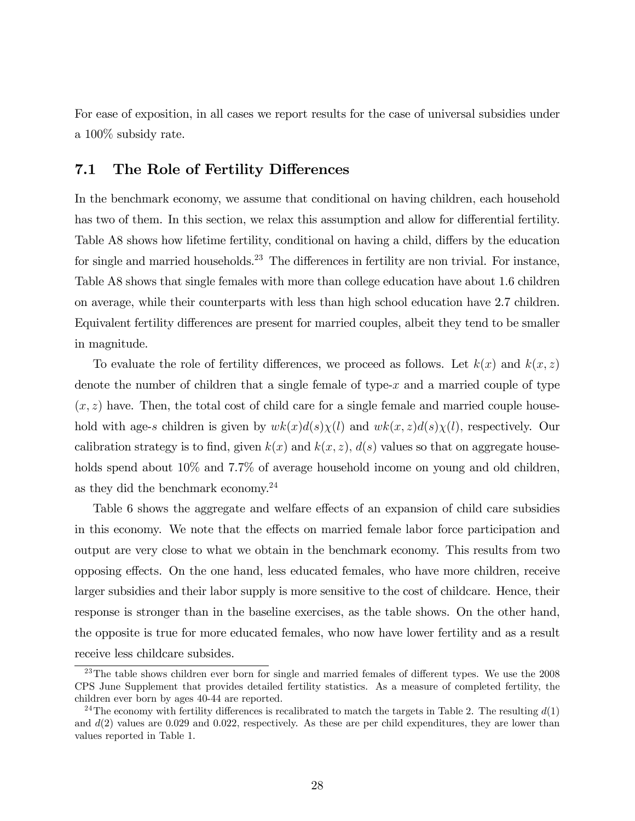For ease of exposition, in all cases we report results for the case of universal subsidies under a 100% subsidy rate.

### 7.1 The Role of Fertility Differences

In the benchmark economy, we assume that conditional on having children, each household has two of them. In this section, we relax this assumption and allow for differential fertility. Table A8 shows how lifetime fertility, conditional on having a child, differs by the education for single and married households.<sup>23</sup> The differences in fertility are non trivial. For instance, Table A8 shows that single females with more than college education have about 1.6 children on average, while their counterparts with less than high school education have 2.7 children. Equivalent fertility differences are present for married couples, albeit they tend to be smaller in magnitude.

To evaluate the role of fertility differences, we proceed as follows. Let  $k(x)$  and  $k(x, z)$ denote the number of children that a single female of type- $x$  and a married couple of type  $(x, z)$  have. Then, the total cost of child care for a single female and married couple household with age-s children is given by  $wk(x)d(s)\chi(l)$  and  $wk(x, z)d(s)\chi(l)$ , respectively. Our calibration strategy is to find, given  $k(x)$  and  $k(x, z)$ ,  $d(s)$  values so that on aggregate households spend about  $10\%$  and  $7.7\%$  of average household income on young and old children, as they did the benchmark economy.<sup>24</sup>

Table 6 shows the aggregate and welfare effects of an expansion of child care subsidies in this economy. We note that the effects on married female labor force participation and output are very close to what we obtain in the benchmark economy. This results from two opposing effects. On the one hand, less educated females, who have more children, receive larger subsidies and their labor supply is more sensitive to the cost of childcare. Hence, their response is stronger than in the baseline exercises, as the table shows. On the other hand, the opposite is true for more educated females, who now have lower fertility and as a result receive less childcare subsides.

 $23$ The table shows children ever born for single and married females of different types. We use the 2008 CPS June Supplement that provides detailed fertility statistics. As a measure of completed fertility, the children ever born by ages 40-44 are reported.

<sup>&</sup>lt;sup>24</sup>The economy with fertility differences is recalibrated to match the targets in Table 2. The resulting  $d(1)$ and  $d(2)$  values are 0.029 and 0.022, respectively. As these are per child expenditures, they are lower than values reported in Table 1.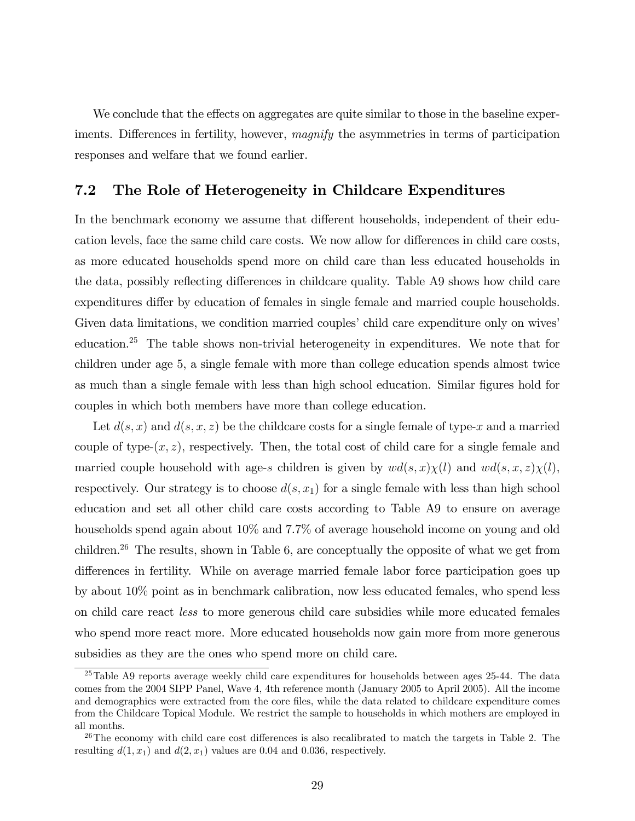We conclude that the effects on aggregates are quite similar to those in the baseline experiments. Differences in fertility, however, *magnify* the asymmetries in terms of participation responses and welfare that we found earlier.

### 7.2 The Role of Heterogeneity in Childcare Expenditures

In the benchmark economy we assume that different households, independent of their education levels, face the same child care costs. We now allow for differences in child care costs, as more educated households spend more on child care than less educated households in the data, possibly reflecting differences in childcare quality. Table A9 shows how child care expenditures differ by education of females in single female and married couple households. Given data limitations, we condition married couples' child care expenditure only on wives education.<sup>25</sup> The table shows non-trivial heterogeneity in expenditures. We note that for children under age 5, a single female with more than college education spends almost twice as much than a single female with less than high school education. Similar figures hold for couples in which both members have more than college education.

Let  $d(s, x)$  and  $d(s, x, z)$  be the childcare costs for a single female of type-x and a married couple of type- $(x, z)$ , respectively. Then, the total cost of child care for a single female and married couple household with age-s children is given by  $wd(s, x)\chi(l)$  and  $wd(s, x, z)\chi(l)$ , respectively. Our strategy is to choose  $d(s, x_1)$  for a single female with less than high school education and set all other child care costs according to Table A9 to ensure on average households spend again about  $10\%$  and  $7.7\%$  of average household income on young and old children.<sup>26</sup> The results, shown in Table 6, are conceptually the opposite of what we get from differences in fertility. While on average married female labor force participation goes up by about 10% point as in benchmark calibration, now less educated females, who spend less on child care react less to more generous child care subsidies while more educated females who spend more react more. More educated households now gain more from more generous subsidies as they are the ones who spend more on child care.

<sup>&</sup>lt;sup>25</sup>Table A9 reports average weekly child care expenditures for households between ages 25-44. The data comes from the 2004 SIPP Panel, Wave 4, 4th reference month (January 2005 to April 2005). All the income and demographics were extracted from the core files, while the data related to childcare expenditure comes from the Childcare Topical Module. We restrict the sample to households in which mothers are employed in all months.

 $^{26}$ The economy with child care cost differences is also recalibrated to match the targets in Table 2. The resulting  $d(1, x_1)$  and  $d(2, x_1)$  values are 0.04 and 0.036, respectively.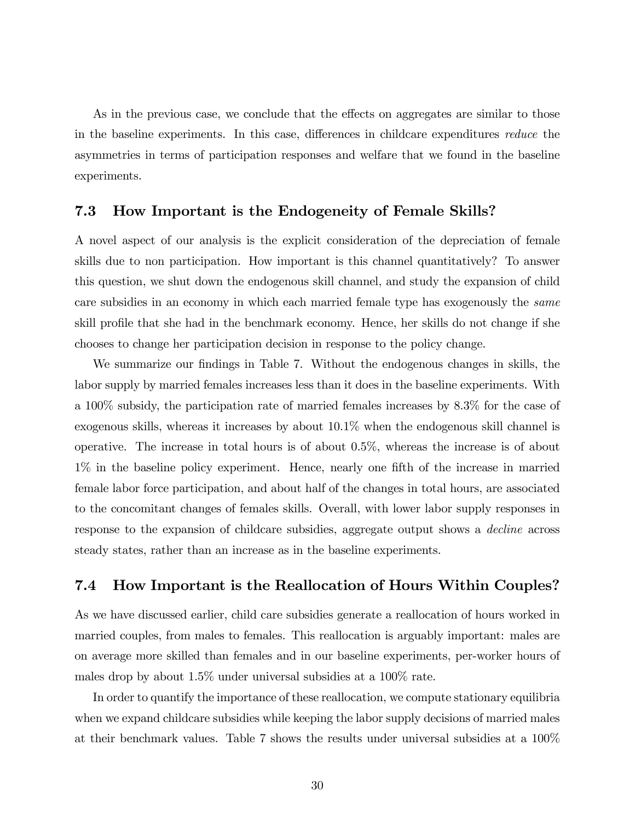As in the previous case, we conclude that the effects on aggregates are similar to those in the baseline experiments. In this case, differences in childcare expenditures reduce the asymmetries in terms of participation responses and welfare that we found in the baseline experiments.

### 7.3 How Important is the Endogeneity of Female Skills?

A novel aspect of our analysis is the explicit consideration of the depreciation of female skills due to non participation. How important is this channel quantitatively? To answer this question, we shut down the endogenous skill channel, and study the expansion of child care subsidies in an economy in which each married female type has exogenously the same skill profile that she had in the benchmark economy. Hence, her skills do not change if she chooses to change her participation decision in response to the policy change.

We summarize our findings in Table 7. Without the endogenous changes in skills, the labor supply by married females increases less than it does in the baseline experiments. With a 100% subsidy, the participation rate of married females increases by 8.3% for the case of exogenous skills, whereas it increases by about 10.1% when the endogenous skill channel is operative. The increase in total hours is of about 0.5%, whereas the increase is of about  $1\%$  in the baseline policy experiment. Hence, nearly one fifth of the increase in married female labor force participation, and about half of the changes in total hours, are associated to the concomitant changes of females skills. Overall, with lower labor supply responses in response to the expansion of childcare subsidies, aggregate output shows a decline across steady states, rather than an increase as in the baseline experiments.

### 7.4 How Important is the Reallocation of Hours Within Couples?

As we have discussed earlier, child care subsidies generate a reallocation of hours worked in married couples, from males to females. This reallocation is arguably important: males are on average more skilled than females and in our baseline experiments, per-worker hours of males drop by about 1.5% under universal subsidies at a 100% rate.

In order to quantify the importance of these reallocation, we compute stationary equilibria when we expand childcare subsidies while keeping the labor supply decisions of married males at their benchmark values. Table 7 shows the results under universal subsidies at a 100%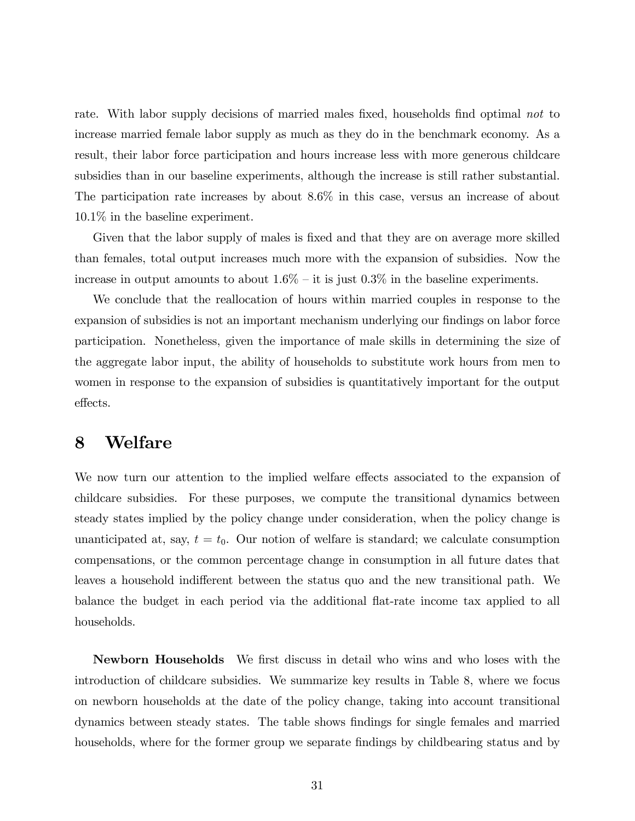rate. With labor supply decisions of married males fixed, households find optimal not to increase married female labor supply as much as they do in the benchmark economy. As a result, their labor force participation and hours increase less with more generous childcare subsidies than in our baseline experiments, although the increase is still rather substantial. The participation rate increases by about 8.6% in this case, versus an increase of about 10.1% in the baseline experiment.

Given that the labor supply of males is fixed and that they are on average more skilled than females, total output increases much more with the expansion of subsidies. Now the increase in output amounts to about  $1.6\%$  – it is just 0.3% in the baseline experiments.

We conclude that the reallocation of hours within married couples in response to the expansion of subsidies is not an important mechanism underlying our findings on labor force participation. Nonetheless, given the importance of male skills in determining the size of the aggregate labor input, the ability of households to substitute work hours from men to women in response to the expansion of subsidies is quantitatively important for the output effects.

# 8 Welfare

We now turn our attention to the implied welfare effects associated to the expansion of childcare subsidies. For these purposes, we compute the transitional dynamics between steady states implied by the policy change under consideration, when the policy change is unanticipated at, say,  $t = t_0$ . Our notion of welfare is standard; we calculate consumption compensations, or the common percentage change in consumption in all future dates that leaves a household indifferent between the status quo and the new transitional path. We balance the budget in each period via the additional áat-rate income tax applied to all households.

Newborn Households We first discuss in detail who wins and who loses with the introduction of childcare subsidies. We summarize key results in Table 8, where we focus on newborn households at the date of the policy change, taking into account transitional dynamics between steady states. The table shows Öndings for single females and married households, where for the former group we separate findings by childbearing status and by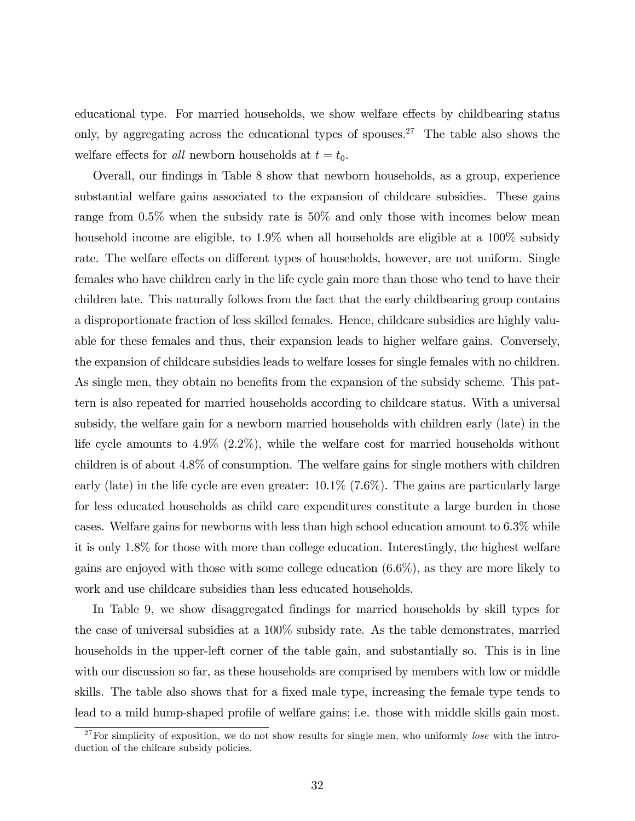educational type. For married households, we show welfare effects by childbearing status only, by aggregating across the educational types of spouses.<sup>27</sup> The table also shows the welfare effects for *all* newborn households at  $t = t_0$ .

Overall, our findings in Table 8 show that newborn households, as a group, experience substantial welfare gains associated to the expansion of childcare subsidies. These gains range from 0.5% when the subsidy rate is 50% and only those with incomes below mean household income are eligible, to 1.9% when all households are eligible at a 100% subsidy rate. The welfare effects on different types of households, however, are not uniform. Single females who have children early in the life cycle gain more than those who tend to have their children late. This naturally follows from the fact that the early childbearing group contains a disproportionate fraction of less skilled females. Hence, childcare subsidies are highly valuable for these females and thus, their expansion leads to higher welfare gains. Conversely, the expansion of childcare subsidies leads to welfare losses for single females with no children. As single men, they obtain no benefits from the expansion of the subsidy scheme. This pattern is also repeated for married households according to childcare status. With a universal subsidy, the welfare gain for a newborn married households with children early (late) in the life cycle amounts to 4.9% (2.2%), while the welfare cost for married households without children is of about 4.8% of consumption. The welfare gains for single mothers with children early (late) in the life cycle are even greater: 10.1% (7.6%). The gains are particularly large for less educated households as child care expenditures constitute a large burden in those cases. Welfare gains for newborns with less than high school education amount to 6.3% while it is only 1.8% for those with more than college education. Interestingly, the highest welfare gains are enjoyed with those with some college education (6.6%), as they are more likely to work and use childcare subsidies than less educated households.

In Table 9, we show disaggregated findings for married households by skill types for the case of universal subsidies at a 100% subsidy rate. As the table demonstrates, married households in the upper-left corner of the table gain, and substantially so. This is in line with our discussion so far, as these households are comprised by members with low or middle skills. The table also shows that for a fixed male type, increasing the female type tends to lead to a mild hump-shaped profile of welfare gains; i.e. those with middle skills gain most.

 $27$ For simplicity of exposition, we do not show results for single men, who uniformly *lose* with the introduction of the chilcare subsidy policies.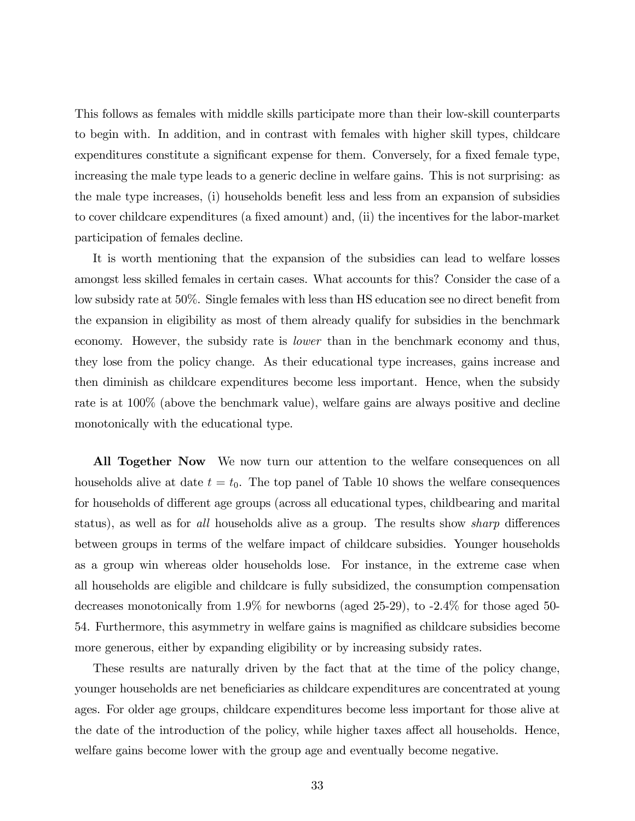This follows as females with middle skills participate more than their low-skill counterparts to begin with. In addition, and in contrast with females with higher skill types, childcare expenditures constitute a significant expense for them. Conversely, for a fixed female type, increasing the male type leads to a generic decline in welfare gains. This is not surprising: as the male type increases, (i) households benefit less and less from an expansion of subsidies to cover childcare expenditures (a fixed amount) and, (ii) the incentives for the labor-market participation of females decline.

It is worth mentioning that the expansion of the subsidies can lead to welfare losses amongst less skilled females in certain cases. What accounts for this? Consider the case of a low subsidy rate at 50%. Single females with less than HS education see no direct benefit from the expansion in eligibility as most of them already qualify for subsidies in the benchmark economy. However, the subsidy rate is lower than in the benchmark economy and thus, they lose from the policy change. As their educational type increases, gains increase and then diminish as childcare expenditures become less important. Hence, when the subsidy rate is at 100% (above the benchmark value), welfare gains are always positive and decline monotonically with the educational type.

All Together Now We now turn our attention to the welfare consequences on all households alive at date  $t = t_0$ . The top panel of Table 10 shows the welfare consequences for households of different age groups (across all educational types, childbearing and marital status), as well as for all households alive as a group. The results show *sharp* differences between groups in terms of the welfare impact of childcare subsidies. Younger households as a group win whereas older households lose. For instance, in the extreme case when all households are eligible and childcare is fully subsidized, the consumption compensation decreases monotonically from 1.9% for newborns (aged 25-29), to -2.4% for those aged 50- 54. Furthermore, this asymmetry in welfare gains is magnified as childcare subsidies become more generous, either by expanding eligibility or by increasing subsidy rates.

These results are naturally driven by the fact that at the time of the policy change, younger households are net beneficiaries as childcare expenditures are concentrated at young ages. For older age groups, childcare expenditures become less important for those alive at the date of the introduction of the policy, while higher taxes affect all households. Hence, welfare gains become lower with the group age and eventually become negative.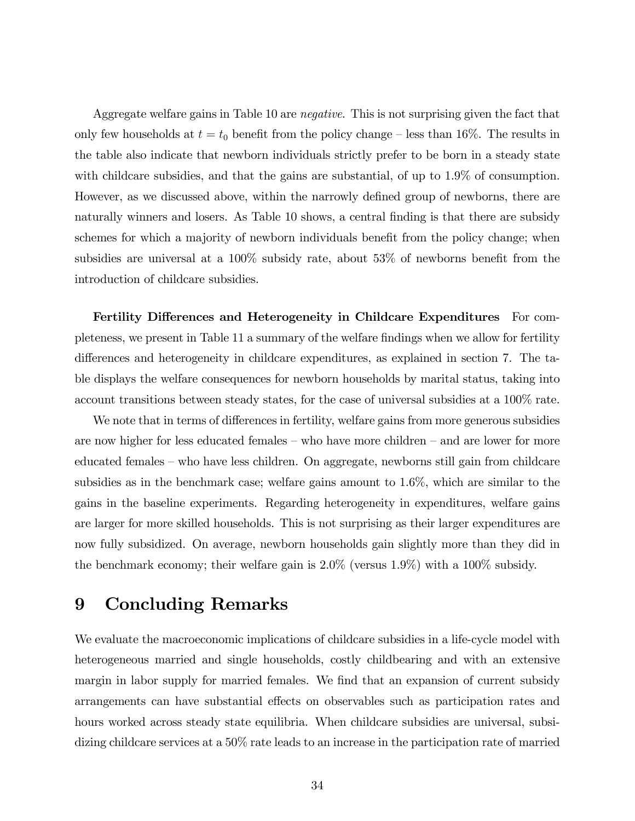Aggregate welfare gains in Table 10 are *negative*. This is not surprising given the fact that only few households at  $t = t_0$  benefit from the policy change – less than 16%. The results in the table also indicate that newborn individuals strictly prefer to be born in a steady state with childcare subsidies, and that the gains are substantial, of up to 1.9% of consumption. However, as we discussed above, within the narrowly defined group of newborns, there are naturally winners and losers. As Table 10 shows, a central finding is that there are subsidy schemes for which a majority of newborn individuals benefit from the policy change; when subsidies are universal at a  $100\%$  subsidy rate, about  $53\%$  of newborns benefit from the introduction of childcare subsidies.

Fertility Differences and Heterogeneity in Childcare Expenditures For completeness, we present in Table 11 a summary of the welfare Öndings when we allow for fertility differences and heterogeneity in childcare expenditures, as explained in section 7. The table displays the welfare consequences for newborn households by marital status, taking into account transitions between steady states, for the case of universal subsidies at a 100% rate.

We note that in terms of differences in fertility, welfare gains from more generous subsidies are now higher for less educated females  $-$  who have more children  $-$  and are lower for more educated females – who have less children. On aggregate, newborns still gain from childcare subsidies as in the benchmark case; welfare gains amount to 1.6%, which are similar to the gains in the baseline experiments. Regarding heterogeneity in expenditures, welfare gains are larger for more skilled households. This is not surprising as their larger expenditures are now fully subsidized. On average, newborn households gain slightly more than they did in the benchmark economy; their welfare gain is 2.0% (versus 1.9%) with a 100% subsidy.

# 9 Concluding Remarks

We evaluate the macroeconomic implications of childcare subsidies in a life-cycle model with heterogeneous married and single households, costly childbearing and with an extensive margin in labor supply for married females. We find that an expansion of current subsidy arrangements can have substantial effects on observables such as participation rates and hours worked across steady state equilibria. When childcare subsidies are universal, subsidizing childcare services at a 50% rate leads to an increase in the participation rate of married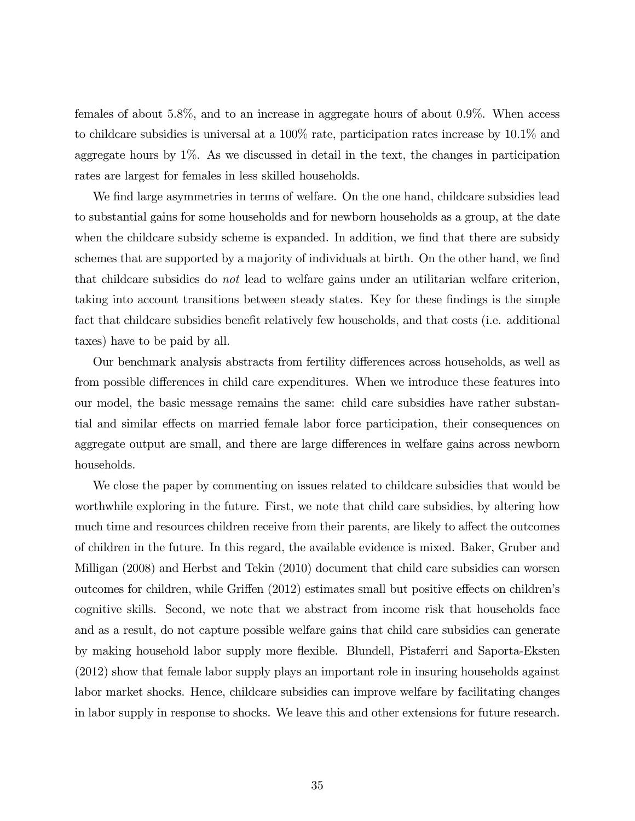females of about 5.8%, and to an increase in aggregate hours of about 0.9%. When access to childcare subsidies is universal at a 100% rate, participation rates increase by 10.1% and aggregate hours by  $1\%$ . As we discussed in detail in the text, the changes in participation rates are largest for females in less skilled households.

We find large asymmetries in terms of welfare. On the one hand, childcare subsidies lead to substantial gains for some households and for newborn households as a group, at the date when the childcare subsidy scheme is expanded. In addition, we find that there are subsidy schemes that are supported by a majority of individuals at birth. On the other hand, we find that childcare subsidies do not lead to welfare gains under an utilitarian welfare criterion, taking into account transitions between steady states. Key for these findings is the simple fact that childcare subsidies benefit relatively few households, and that costs (i.e. additional taxes) have to be paid by all.

Our benchmark analysis abstracts from fertility differences across households, as well as from possible differences in child care expenditures. When we introduce these features into our model, the basic message remains the same: child care subsidies have rather substantial and similar effects on married female labor force participation, their consequences on aggregate output are small, and there are large differences in welfare gains across newborn households.

We close the paper by commenting on issues related to childcare subsidies that would be worthwhile exploring in the future. First, we note that child care subsidies, by altering how much time and resources children receive from their parents, are likely to affect the outcomes of children in the future. In this regard, the available evidence is mixed. Baker, Gruber and Milligan (2008) and Herbst and Tekin (2010) document that child care subsidies can worsen outcomes for children, while Griffen (2012) estimates small but positive effects on children's cognitive skills. Second, we note that we abstract from income risk that households face and as a result, do not capture possible welfare gains that child care subsidies can generate by making household labor supply more áexible. Blundell, Pistaferri and Saporta-Eksten (2012) show that female labor supply plays an important role in insuring households against labor market shocks. Hence, childcare subsidies can improve welfare by facilitating changes in labor supply in response to shocks. We leave this and other extensions for future research.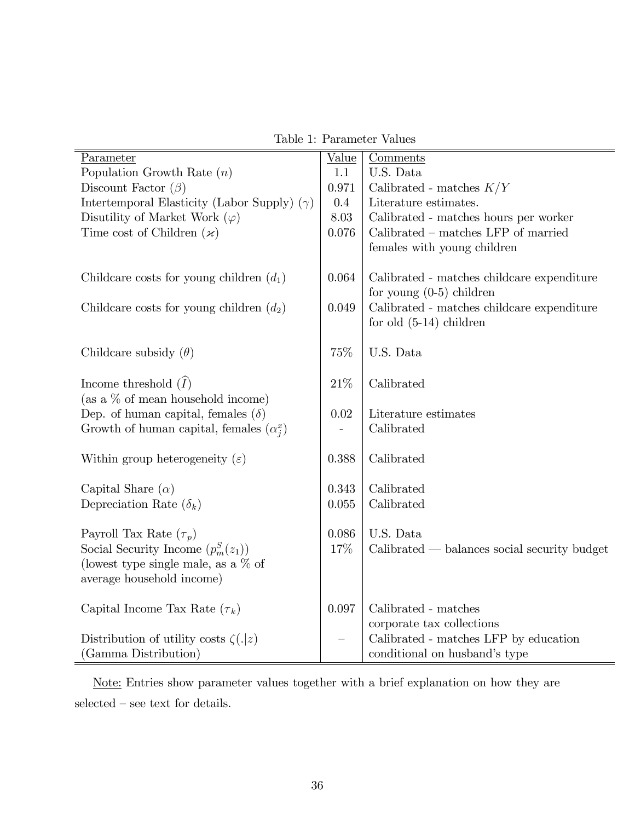Table 1: Parameter Values

| Parameter                                          | Value | Comments                                       |
|----------------------------------------------------|-------|------------------------------------------------|
| Population Growth Rate $(n)$                       | 1.1   | U.S. Data                                      |
| Discount Factor $(\beta)$                          | 0.971 | Calibrated - matches $K/Y$                     |
| Intertemporal Elasticity (Labor Supply) $(\gamma)$ | 0.4   | Literature estimates.                          |
| Disutility of Market Work $(\varphi)$              | 8.03  | Calibrated - matches hours per worker          |
| Time cost of Children $(\varkappa)$                | 0.076 | $Calibrated - matches LFP of married$          |
|                                                    |       | females with young children                    |
|                                                    |       |                                                |
| Childcare costs for young children $(d_1)$         | 0.064 | Calibrated - matches childcare expenditure     |
|                                                    |       | for young $(0-5)$ children                     |
| Childcare costs for young children $(d_2)$         | 0.049 | Calibrated - matches childcare expenditure     |
|                                                    |       | for old $(5-14)$ children                      |
|                                                    |       |                                                |
| Childcare subsidy $(\theta)$                       | 75%   | U.S. Data                                      |
|                                                    |       |                                                |
| Income threshold $(\tilde{I})$                     | 21\%  | Calibrated                                     |
| (as a $\%$ of mean household income)               |       |                                                |
| Dep. of human capital, females $(\delta)$          | 0.02  | Literature estimates                           |
| Growth of human capital, females $(\alpha_i^x)$    |       | Calibrated                                     |
| Within group heterogeneity $(\varepsilon)$         | 0.388 | Calibrated                                     |
|                                                    |       |                                                |
| Capital Share $(\alpha)$                           | 0.343 | Calibrated                                     |
| Depreciation Rate $(\delta_k)$                     | 0.055 | Calibrated                                     |
|                                                    |       |                                                |
| Payroll Tax Rate $(\tau_p)$                        | 0.086 | U.S. Data                                      |
| Social Security Income $(p_m^S(z_1))$              | 17%   | $Calibrated - balances social security budget$ |
| (lowest type single male, as a $\%$ of             |       |                                                |
| average household income)                          |       |                                                |
|                                                    |       |                                                |
| Capital Income Tax Rate $(\tau_k)$                 | 0.097 | Calibrated - matches                           |
|                                                    |       | corporate tax collections                      |
| Distribution of utility costs $\zeta(. z)$         |       | Calibrated - matches LFP by education          |
| (Gamma Distribution)                               |       | conditional on husband's type                  |

Note: Entries show parameter values together with a brief explanation on how they are  $\rm selected$  –  $\rm see$  text for details.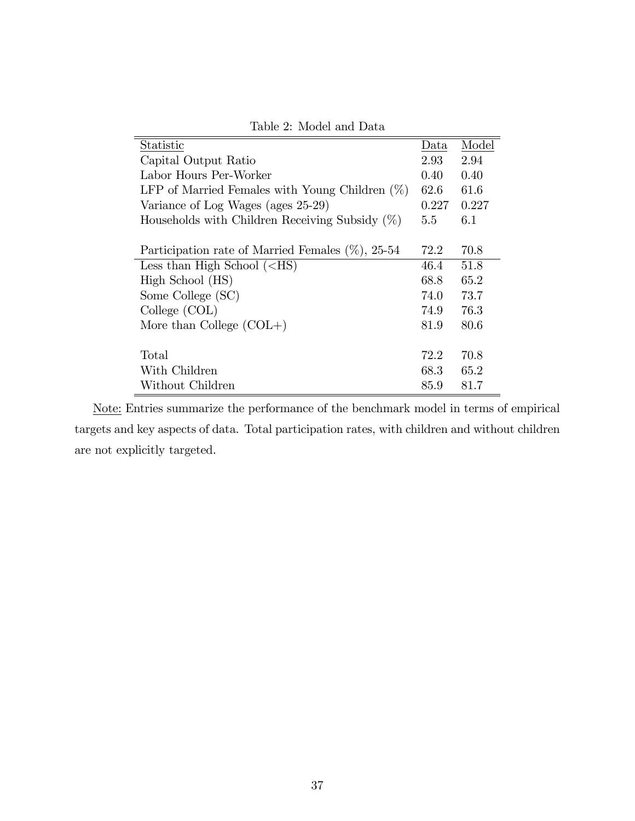| Statistic                                            | Data  | Model |
|------------------------------------------------------|-------|-------|
| Capital Output Ratio                                 | 2.93  | 2.94  |
| Labor Hours Per-Worker                               | 0.40  | 0.40  |
| LFP of Married Females with Young Children $(\%)$    | 62.6  | 61.6  |
| Variance of Log Wages (ages 25-29)                   | 0.227 | 0.227 |
| Households with Children Receiving Subsidy $(\%)$    | 5.5   | 6.1   |
|                                                      |       |       |
| Participation rate of Married Females $(\%)$ , 25-54 | 72.2  | 70.8  |
| Less than High School $(<\text{HS})$                 | 46.4  | 51.8  |
| High School (HS)                                     | 68.8  | 65.2  |
| Some College (SC)                                    | 74.0  | 73.7  |
| College (COL)                                        | 74.9  | 76.3  |
| More than College $(COL+)$                           | 81.9  | 80.6  |
|                                                      |       |       |
| Total                                                | 72.2  | 70.8  |
| With Children                                        | 68.3  | 65.2  |
| Without Children                                     | 85.9  | 81.7  |

Table 2: Model and Data

Note: Entries summarize the performance of the benchmark model in terms of empirical targets and key aspects of data. Total participation rates, with children and without children are not explicitly targeted.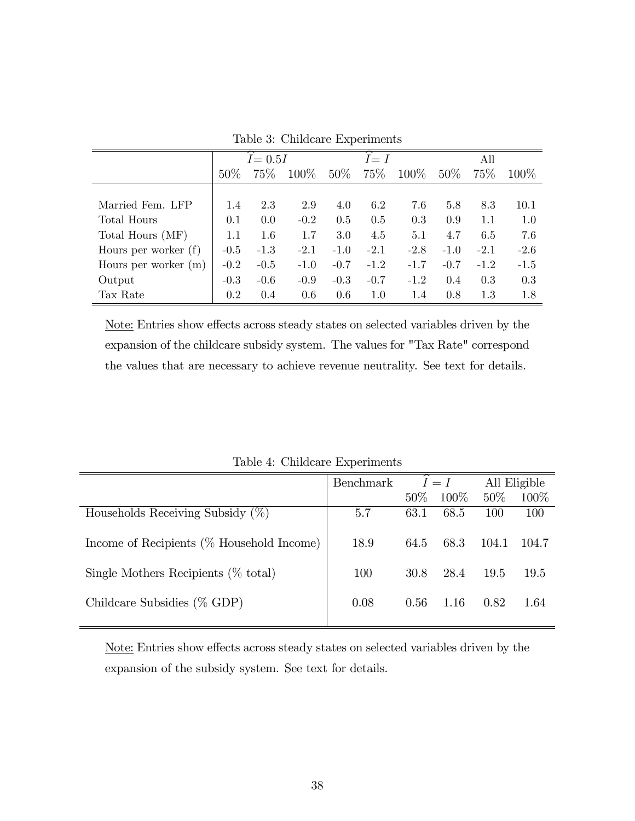|                        |        | $I = 0.5I$ |         |        | $\overline{\phantom{1}}$<br>$I=I$ |         |        | All    |         |
|------------------------|--------|------------|---------|--------|-----------------------------------|---------|--------|--------|---------|
|                        | $50\%$ | 75\%       | $100\%$ | $50\%$ | 75\%                              | $100\%$ | $50\%$ | 75\%   | $100\%$ |
|                        |        |            |         |        |                                   |         |        |        |         |
| Married Fem. LFP       | 1.4    | 2.3        | 2.9     | 4.0    | 6.2                               | 7.6     | 5.8    | 8.3    | 10.1    |
| Total Hours            | 0.1    | 0.0        | $-0.2$  | 0.5    | 0.5                               | 0.3     | 0.9    | 1.1    | 1.0     |
| Total Hours (MF)       | 1.1    | 1.6        | 1.7     | 3.0    | 4.5                               | 5.1     | 4.7    | 6.5    | 7.6     |
| Hours per worker $(f)$ | $-0.5$ | $-1.3$     | $-2.1$  | $-1.0$ | $-2.1$                            | $-2.8$  | $-1.0$ | $-2.1$ | $-2.6$  |
| Hours per worker $(m)$ | $-0.2$ | $-0.5$     | $-1.0$  | $-0.7$ | $-1.2$                            | $-1.7$  | $-0.7$ | $-1.2$ | $-1.5$  |
| Output                 | $-0.3$ | $-0.6$     | $-0.9$  | $-0.3$ | $-0.7$                            | $-1.2$  | 0.4    | 0.3    | 0.3     |
| Tax Rate               | 0.2    | 0.4        | 0.6     | 0.6    | $1.0\,$                           | 1.4     | 0.8    | 1.3    | 1.8     |

Table 3: Childcare Experiments

Note: Entries show effects across steady states on selected variables driven by the expansion of the childcare subsidy system. The values for "Tax Rate" correspond the values that are necessary to achieve revenue neutrality. See text for details.

|                                              | Benchmark | $I=I$  |       | All Eligible |       |
|----------------------------------------------|-----------|--------|-------|--------------|-------|
|                                              |           | $50\%$ | 100\% | $50\%$       | 100\% |
| Households Receiving Subsidy $(\%)$          | 5.7       | 63.1   | 68.5  | 100          | 100   |
| Income of Recipients $(\%$ Household Income) | 18.9      | 64.5   | 68.3  | 104.1        | 104.7 |
| Single Mothers Recipients $(\%$ total)       | 100       | 30.8   | 28.4  | 19.5         | 19.5  |
| Childcare Subsidies $(\%$ GDP)               | 0.08      | 0.56   | 1.16  | 0.82         | 1.64  |
|                                              |           |        |       |              |       |

Table 4: Childcare Experiments

Note: Entries show effects across steady states on selected variables driven by the expansion of the subsidy system. See text for details.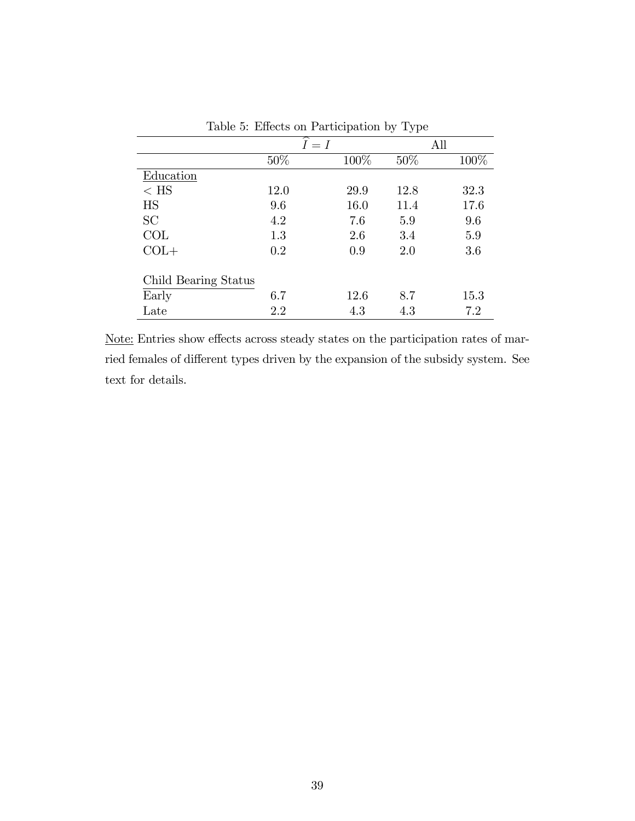|                      |         | л.   | ັ້   |         |
|----------------------|---------|------|------|---------|
|                      | $I = I$ |      | All  |         |
|                      | 50%     | 100% | 50%  | 100%    |
| Education            |         |      |      |         |
| $<$ HS               | 12.0    | 29.9 | 12.8 | 32.3    |
| HS                   | 9.6     | 16.0 | 11.4 | 17.6    |
| SC                   | 4.2     | 7.6  | 5.9  | 9.6     |
| COL                  | 1.3     | 2.6  | 3.4  | $5.9\,$ |
| $COL+$               | 0.2     | 0.9  | 2.0  | 3.6     |
|                      |         |      |      |         |
| Child Bearing Status |         |      |      |         |
| Early                | 6.7     | 12.6 | 8.7  | 15.3    |
| Late                 | 2.2     | 4.3  | 4.3  | 7.2     |

Table 5: Effects on Participation by Type

Note: Entries show effects across steady states on the participation rates of married females of different types driven by the expansion of the subsidy system. See text for details.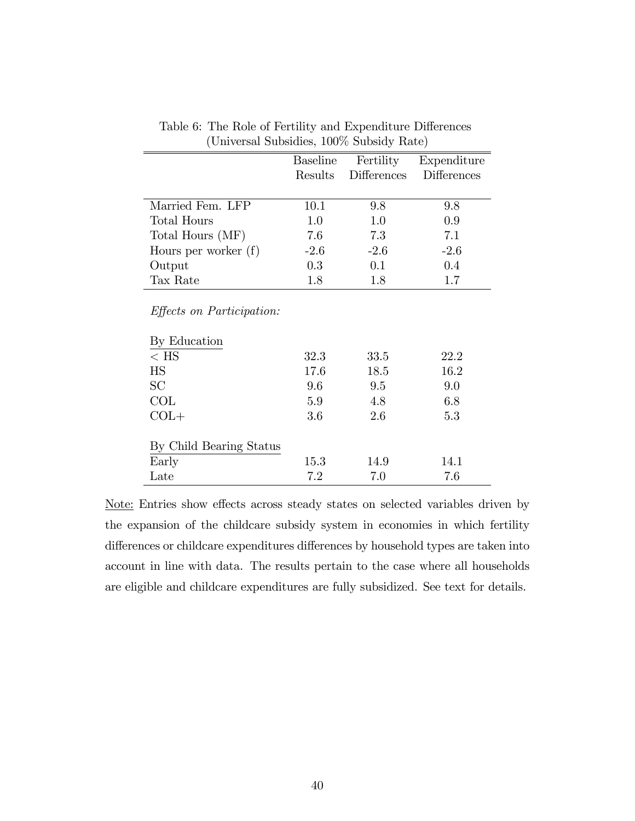|                                                  | <b>Baseline</b> | Fertility          | Expenditure        |
|--------------------------------------------------|-----------------|--------------------|--------------------|
|                                                  | Results         | <b>Differences</b> | <b>Differences</b> |
|                                                  |                 |                    |                    |
| Married Fem. LFP                                 | 10.1            | 9.8                | 9.8                |
| <b>Total Hours</b>                               | 1.0             | 1.0                | 0.9                |
| Total Hours (MF)                                 | 7.6             | 7.3                | 7.1                |
| Hours per worker $(f)$                           | $-2.6$          | $-2.6$             | $-2.6$             |
| Output                                           | 0.3             | 0.1                | 0.4                |
| Tax Rate                                         | 1.8             | 1.8                | 1.7                |
| <i>Effects on Participation:</i><br>By Education |                 |                    |                    |
| $<$ HS                                           | 32.3            | 33.5               | 22.2               |
| $\mathop{\rm HS}\nolimits$                       | 17.6            | 18.5               | 16.2               |
| SC                                               | 9.6             | 9.5                | 9.0                |
| COL                                              | 5.9             | 4.8                | 6.8                |
| $COL+$                                           | 3.6             | 2.6                | 5.3                |
|                                                  |                 |                    |                    |
| By Child Bearing Status                          |                 |                    |                    |
| Early                                            | 15.3            | 14.9               | 14.1               |
| Late                                             | 7.2             | 7.0                | 7.6                |

Table 6: The Role of Fertility and Expenditure Differences (Universal Subsidies, 100% Subsidy Rate)

Note: Entries show effects across steady states on selected variables driven by the expansion of the childcare subsidy system in economies in which fertility differences or childcare expenditures differences by household types are taken into account in line with data. The results pertain to the case where all households are eligible and childcare expenditures are fully subsidized. See text for details.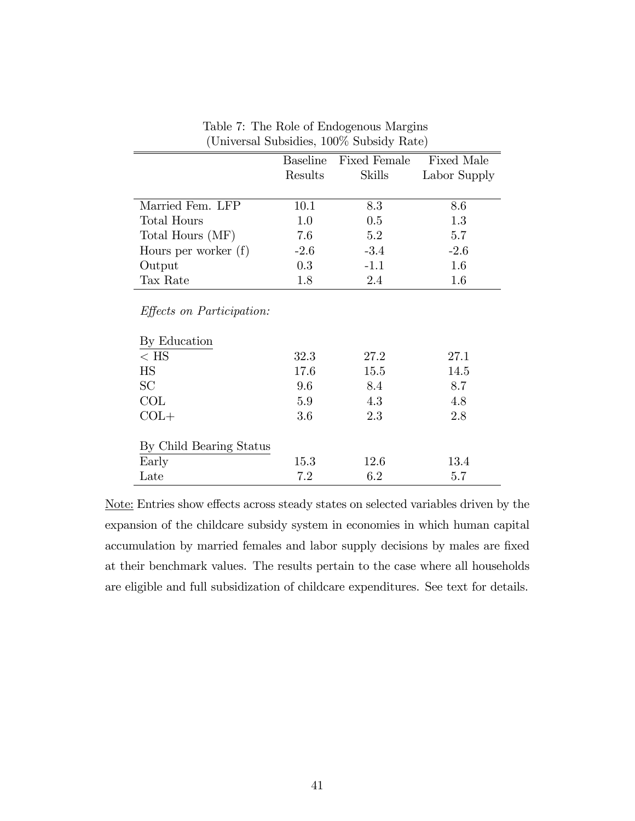|                                  |         | Baseline Fixed Female Fixed Male |              |
|----------------------------------|---------|----------------------------------|--------------|
|                                  | Results | <b>Skills</b>                    | Labor Supply |
|                                  |         |                                  |              |
| Married Fem. LFP                 | 10.1    | 8.3                              | 8.6          |
| <b>Total Hours</b>               | 1.0     | 0.5                              | 1.3          |
| Total Hours (MF)                 | 7.6     | 5.2                              | 5.7          |
| Hours per worker $(f)$           | $-2.6$  | $-3.4$                           | $-2.6$       |
| Output                           | $0.3\,$ | $-1.1$                           | 1.6          |
| Tax Rate                         | 1.8     | 2.4                              | 1.6          |
| <i>Effects on Participation:</i> |         |                                  |              |
| By Education                     |         |                                  |              |
| $<$ HS                           | 32.3    | 27.2                             | 27.1         |
| $_{\rm HS}$                      | 17.6    | 15.5                             | 14.5         |
| <b>SC</b>                        | 9.6     | 8.4                              | 8.7          |
| COL                              | 5.9     | 4.3                              | 4.8          |
| $COL+$                           | 3.6     | 2.3                              | 2.8          |
|                                  |         |                                  |              |
| By Child Bearing Status          |         |                                  |              |
| Early                            | 15.3    | 12.6                             | 13.4         |
| Late                             | 7.2     | 6.2                              | 5.7          |

Table 7: The Role of Endogenous Margins (Universal Subsidies, 100% Subsidy Rate)

Note: Entries show effects across steady states on selected variables driven by the expansion of the childcare subsidy system in economies in which human capital accumulation by married females and labor supply decisions by males are fixed at their benchmark values. The results pertain to the case where all households are eligible and full subsidization of childcare expenditures. See text for details.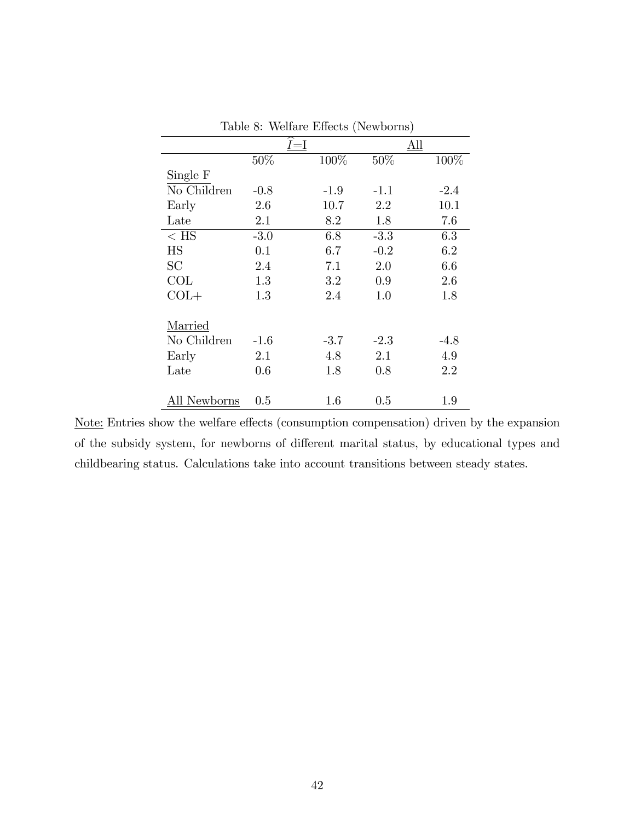|              |         |         |        | ,      |
|--------------|---------|---------|--------|--------|
|              |         | $I = I$ |        | All    |
|              | 50%     | 100%    | 50%    | 100%   |
| Single F     |         |         |        |        |
| No Children  | $-0.8$  | $-1.9$  | $-1.1$ | $-2.4$ |
| Early        | 2.6     | 10.7    | 2.2    | 10.1   |
| Late         | 2.1     | 8.2     | 1.8    | 7.6    |
| $<$ HS $\,$  | $-3.0$  | 6.8     | $-3.3$ | 6.3    |
| <b>HS</b>    | 0.1     | 6.7     | $-0.2$ | 6.2    |
| <b>SC</b>    | 2.4     | 7.1     | 2.0    | 6.6    |
| COL          | 1.3     | 3.2     | 0.9    | 2.6    |
| $COL+$       | 1.3     | 2.4     | 1.0    | 1.8    |
|              |         |         |        |        |
| Married      |         |         |        |        |
| No Children  | $-1.6$  | $-3.7$  | $-2.3$ | $-4.8$ |
| Early        | $2.1\,$ | 4.8     | 2.1    | 4.9    |
| Late         | 0.6     | 1.8     | 0.8    | 2.2    |
|              |         |         |        |        |
| All Newborns | 0.5     | 1.6     | 0.5    | 1.9    |

Table 8: Welfare Effects (Newborns)

Note: Entries show the welfare effects (consumption compensation) driven by the expansion of the subsidy system, for newborns of different marital status, by educational types and childbearing status. Calculations take into account transitions between steady states.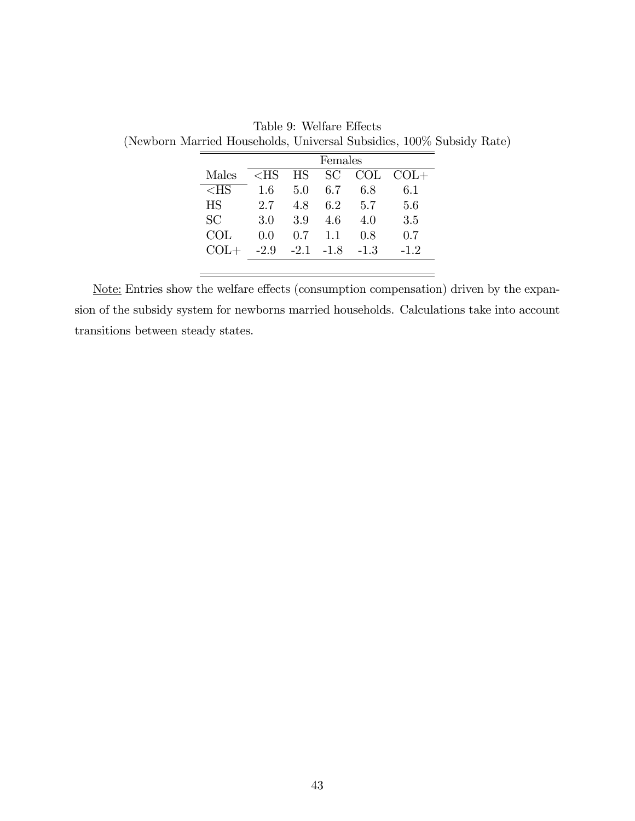|           | Females |     |             |        |        |  |
|-----------|---------|-----|-------------|--------|--------|--|
| Males     | $<$ HS  | HS  | <b>SC</b>   | COL    | $COL+$ |  |
| $<$ HS    | 1.6     | 5.0 | 6.7         | 6.8    | 6.1    |  |
| <b>HS</b> | 2.7     | 48  | 62          | 5.7    | 5.6    |  |
| SC        | 3.0     | 3.9 | 4.6         | 4.0    | 3.5    |  |
| COL       | 0.0     | 0.7 | 11          | 08     | 07     |  |
| $COL +$   | $-2.9$  |     | $-2.1 -1.8$ | $-1.3$ | $-1.2$ |  |
|           |         |     |             |        |        |  |

Table 9: Welfare Effects (Newborn Married Households, Universal Subsidies, 100% Subsidy Rate)

Note: Entries show the welfare effects (consumption compensation) driven by the expansion of the subsidy system for newborns married households. Calculations take into account transitions between steady states.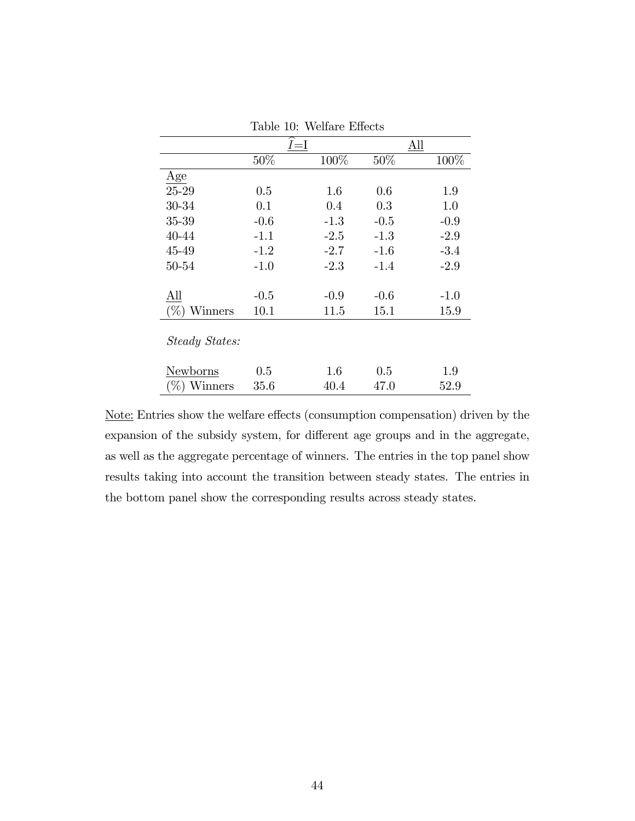|                          |          | ⊥∪.<br>,,,,,,,,,,,,,,,,,,,,, |        |        |
|--------------------------|----------|------------------------------|--------|--------|
|                          |          | $I = I$                      |        | All    |
|                          | $50\%$   | 100%                         | $50\%$ | 100%   |
| Age                      |          |                              |        |        |
| 25-29                    | 0.5      | $1.6\,$                      | 0.6    | 1.9    |
| 30-34                    | 0.1      | 0.4                          | 0.3    | 1.0    |
| 35-39                    | $-0.6$   | $-1.3$                       | $-0.5$ | $-0.9$ |
| 40-44                    | $-1.1$   | $-2.5$                       | $-1.3$ | $-2.9$ |
| 45-49                    | $-1.2$   | $-2.7$                       | $-1.6$ | $-3.4$ |
| 50-54                    | $-1.0$   | $-2.3$                       | $-1.4$ | $-2.9$ |
|                          |          |                              |        |        |
| All                      | $-0.5$   | $-0.9$                       | $-0.6$ | $-1.0$ |
| $(\%)$<br>$\rm{Winners}$ | 10.1     | 11.5                         | 15.1   | 15.9   |
| Steady States:           |          |                              |        |        |
| Newborns                 | 0.5      | 1.6                          | 0.5    | 1.9    |
| $(\%)$ Winners           | $35.6\,$ | 40.4                         | 47.0   | 52.9   |

Table 10: Welfare Effects

Note: Entries show the welfare effects (consumption compensation) driven by the expansion of the subsidy system, for different age groups and in the aggregate, as well as the aggregate percentage of winners. The entries in the top panel show results taking into account the transition between steady states. The entries in the bottom panel show the corresponding results across steady states.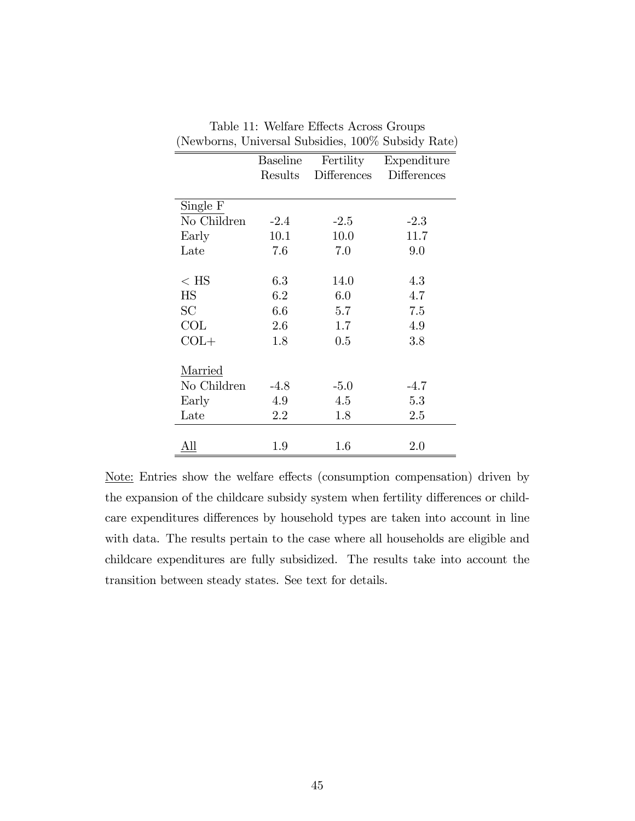|             | <b>Baseline</b> |                    | Fertility Expenditure |
|-------------|-----------------|--------------------|-----------------------|
|             | Results         | <b>Differences</b> | <b>Differences</b>    |
|             |                 |                    |                       |
| Single F    |                 |                    |                       |
| No Children | $-2.4$          | $-2.5$             | $-2.3$                |
| Early       | 10.1            | 10.0               | 11.7                  |
| Late        | 7.6             | 7.0                | 9.0                   |
|             |                 |                    |                       |
| $<$ HS      | 6.3             | 14.0               | 4.3                   |
| <b>HS</b>   | 6.2             | 6.0                | 4.7                   |
| SC          | 6.6             | 5.7                | 7.5                   |
| COL         | 2.6             | 1.7                | 4.9                   |
| $COL+$      | 1.8             | 0.5                | $3.8\,$               |
|             |                 |                    |                       |
| Married     |                 |                    |                       |
| No Children | $-4.8$          | $-5.0$             | $-4.7$                |
| Early       | 4.9             | 4.5                | 5.3                   |
| Late        | 2.2             | 1.8                | 2.5                   |
|             |                 |                    |                       |
| All         | 1.9             | 1.6                | 2.0                   |

Table 11: Welfare Effects Across Groups (Newborns, Universal Subsidies, 100% Subsidy Rate)

Note: Entries show the welfare effects (consumption compensation) driven by the expansion of the childcare subsidy system when fertility differences or childcare expenditures differences by household types are taken into account in line with data. The results pertain to the case where all households are eligible and childcare expenditures are fully subsidized. The results take into account the transition between steady states. See text for details.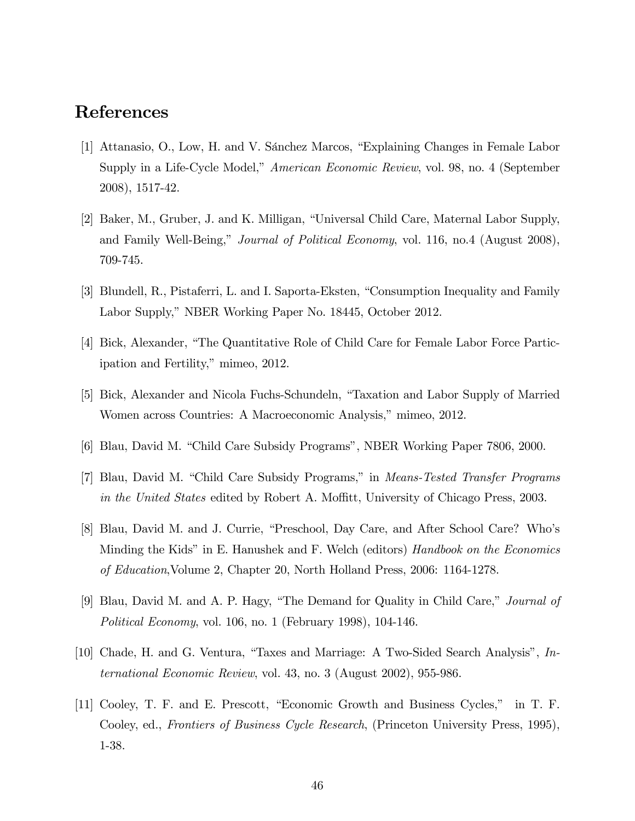# References

- [1] Attanasio, O., Low, H. and V. Sánchez Marcos, "Explaining Changes in Female Labor Supply in a Life-Cycle Model," American Economic Review, vol. 98, no. 4 (September 2008), 1517-42.
- [2] Baker, M., Gruber, J. and K. Milligan, "Universal Child Care, Maternal Labor Supply, and Family Well-Being," *Journal of Political Economy*, vol. 116, no.4 (August 2008), 709-745.
- [3] Blundell, R., Pistaferri, L. and I. Saporta-Eksten, "Consumption Inequality and Family Labor Supply," NBER Working Paper No. 18445, October 2012.
- [4] Bick, Alexander, "The Quantitative Role of Child Care for Female Labor Force Participation and Fertility," mimeo, 2012.
- [5] Bick, Alexander and Nicola Fuchs-Schundeln, "Taxation and Labor Supply of Married Women across Countries: A Macroeconomic Analysis," mimeo, 2012.
- [6] Blau, David M. "Child Care Subsidy Programs", NBER Working Paper 7806, 2000.
- [7] Blau, David M. "Child Care Subsidy Programs," in *Means-Tested Transfer Programs* in the United States edited by Robert A. Moffitt, University of Chicago Press, 2003.
- [8] Blau, David M. and J. Currie, "Preschool, Day Care, and After School Care? Who's Minding the Kids" in E. Hanushek and F. Welch (editors) Handbook on the Economics of Education,Volume 2, Chapter 20, North Holland Press, 2006: 1164-1278.
- [9] Blau, David M. and A. P. Hagy, "The Demand for Quality in Child Care," Journal of Political Economy, vol. 106, no. 1 (February 1998), 104-146.
- [10] Chade, H. and G. Ventura, "Taxes and Marriage: A Two-Sided Search Analysis",  $In$ ternational Economic Review, vol. 43, no. 3 (August 2002), 955-986.
- [11] Cooley, T. F. and E. Prescott, "Economic Growth and Business Cycles," in T. F. Cooley, ed., Frontiers of Business Cycle Research, (Princeton University Press, 1995), 1-38.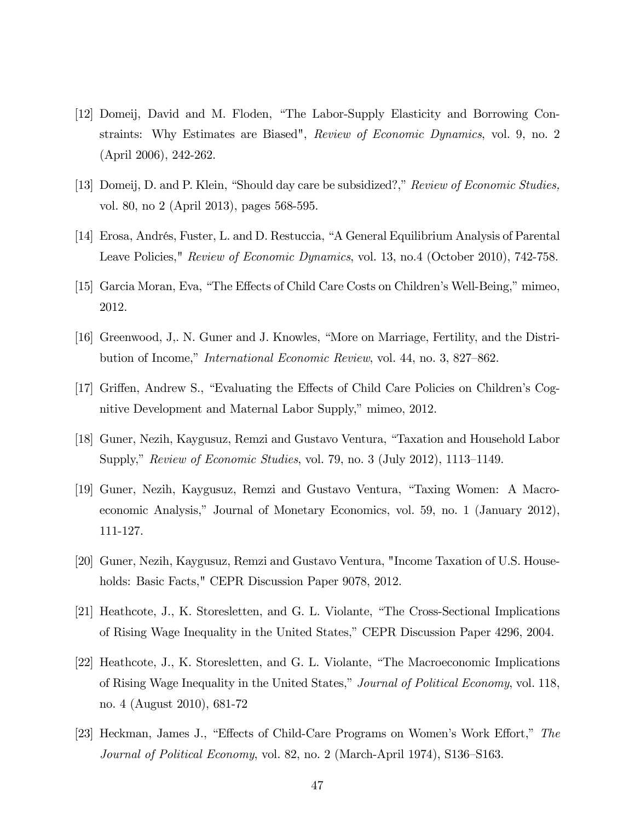- [12] Domeij, David and M. Floden, "The Labor-Supply Elasticity and Borrowing Constraints: Why Estimates are Biased", Review of Economic Dynamics, vol. 9, no. 2 (April 2006), 242-262.
- [13] Domeij, D. and P. Klein, "Should day care be subsidized?," Review of Economic Studies, vol. 80, no 2 (April 2013), pages 568-595.
- [14] Erosa, Andrés, Fuster, L. and D. Restuccia, "A General Equilibrium Analysis of Parental Leave Policies," Review of Economic Dynamics, vol. 13, no.4 (October 2010), 742-758.
- [15] Garcia Moran, Eva, "The Effects of Child Care Costs on Children's Well-Being," mimeo, 2012.
- [16] Greenwood, J., N. Guner and J. Knowles, "More on Marriage, Fertility, and the Distribution of Income," *International Economic Review*, vol. 44, no. 3, 827–862.
- [17] Griffen, Andrew S., "Evaluating the Effects of Child Care Policies on Children's Cognitive Development and Maternal Labor Supply," mimeo, 2012.
- [18] Guner, Nezih, Kaygusuz, Remzi and Gustavo Ventura, "Taxation and Household Labor Supply," Review of Economic Studies, vol. 79, no. 3 (July 2012), 1113–1149.
- [19] Guner, Nezih, Kaygusuz, Remzi and Gustavo Ventura, "Taxing Women: A Macroeconomic Analysis," Journal of Monetary Economics, vol. 59, no. 1 (January 2012), 111-127.
- [20] Guner, Nezih, Kaygusuz, Remzi and Gustavo Ventura, "Income Taxation of U.S. Households: Basic Facts," CEPR Discussion Paper 9078, 2012.
- [21] Heathcote, J., K. Storesletten, and G. L. Violante, "The Cross-Sectional Implications of Rising Wage Inequality in the United States," CEPR Discussion Paper 4296, 2004.
- [22] Heathcote, J., K. Storesletten, and G. L. Violante, "The Macroeconomic Implications of Rising Wage Inequality in the United States," Journal of Political Economy, vol. 118, no. 4 (August 2010), 681-72
- [23] Heckman, James J., "Effects of Child-Care Programs on Women's Work Effort," The Journal of Political Economy, vol. 82, no. 2 (March-April 1974), S136–S163.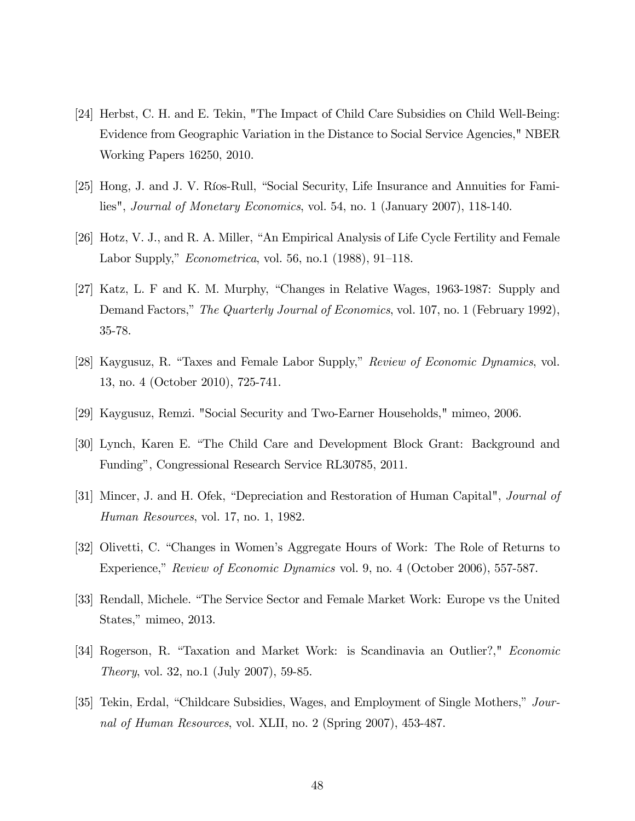- [24] Herbst, C. H. and E. Tekin, "The Impact of Child Care Subsidies on Child Well-Being: Evidence from Geographic Variation in the Distance to Social Service Agencies," NBER Working Papers 16250, 2010.
- [25] Hong, J. and J. V. Ríos-Rull, "Social Security, Life Insurance and Annuities for Families", Journal of Monetary Economics, vol. 54, no. 1 (January 2007), 118-140.
- [26] Hotz, V. J., and R. A. Miller, "An Empirical Analysis of Life Cycle Fertility and Female Labor Supply,"  $Econometrica$ , vol. 56, no.1 (1988), 91–118.
- [27] Katz, L. F and K. M. Murphy, "Changes in Relative Wages, 1963-1987: Supply and Demand Factors," The Quarterly Journal of Economics, vol. 107, no. 1 (February 1992), 35-78.
- [28] Kaygusuz, R. "Taxes and Female Labor Supply," Review of Economic Dynamics, vol. 13, no. 4 (October 2010), 725-741.
- [29] Kaygusuz, Remzi. "Social Security and Two-Earner Households," mimeo, 2006.
- [30] Lynch, Karen E. "The Child Care and Development Block Grant: Background and Fundingî, Congressional Research Service RL30785, 2011.
- [31] Mincer, J. and H. Ofek, "Depreciation and Restoration of Human Capital", *Journal of* Human Resources, vol. 17, no. 1, 1982.
- [32] Olivetti, C. "Changes in Women's Aggregate Hours of Work: The Role of Returns to Experience," Review of Economic Dynamics vol. 9, no. 4 (October 2006), 557-587.
- [33] Rendall, Michele. "The Service Sector and Female Market Work: Europe vs the United States," mimeo, 2013.
- [34] Rogerson, R. "Taxation and Market Work: is Scandinavia an Outlier?," Economic Theory, vol. 32, no.1 (July 2007), 59-85.
- [35] Tekin, Erdal, "Childcare Subsidies, Wages, and Employment of Single Mothers," Journal of Human Resources, vol. XLII, no. 2 (Spring 2007), 453-487.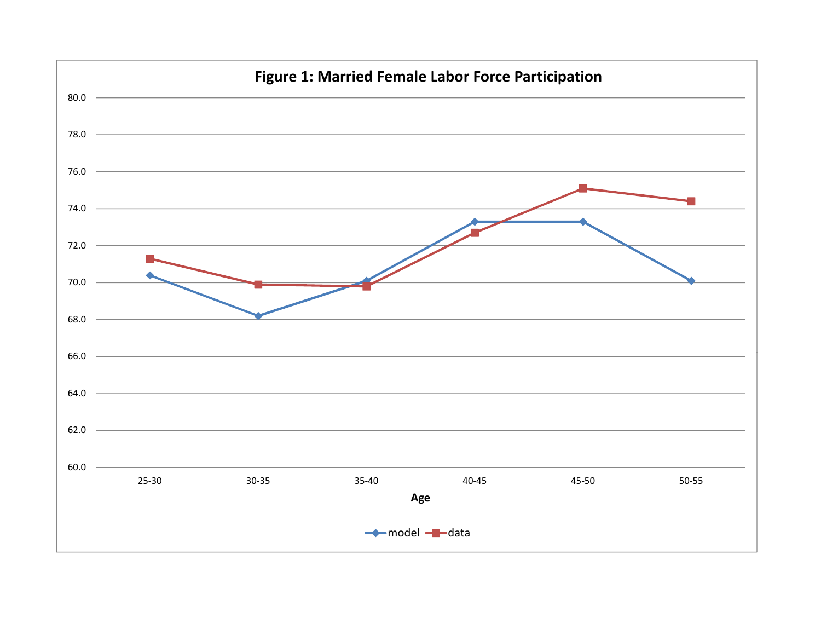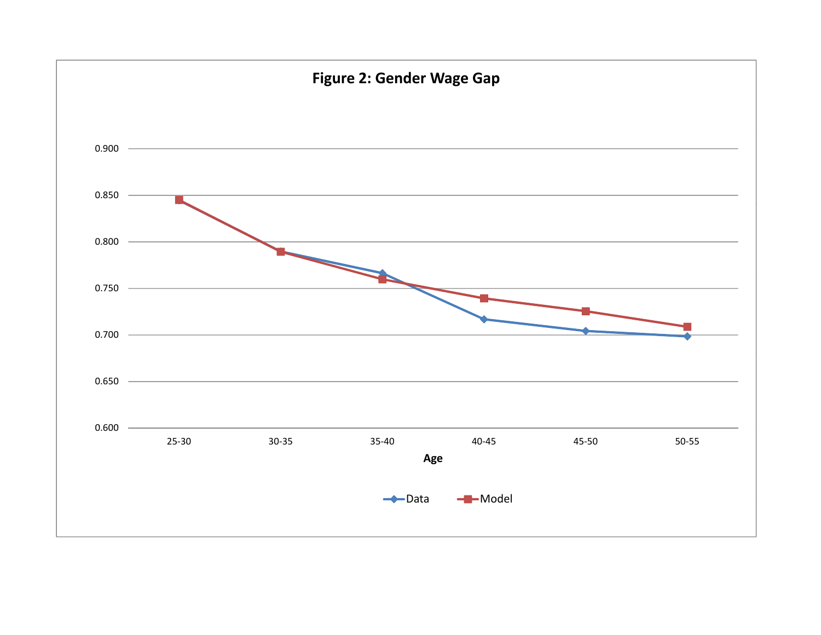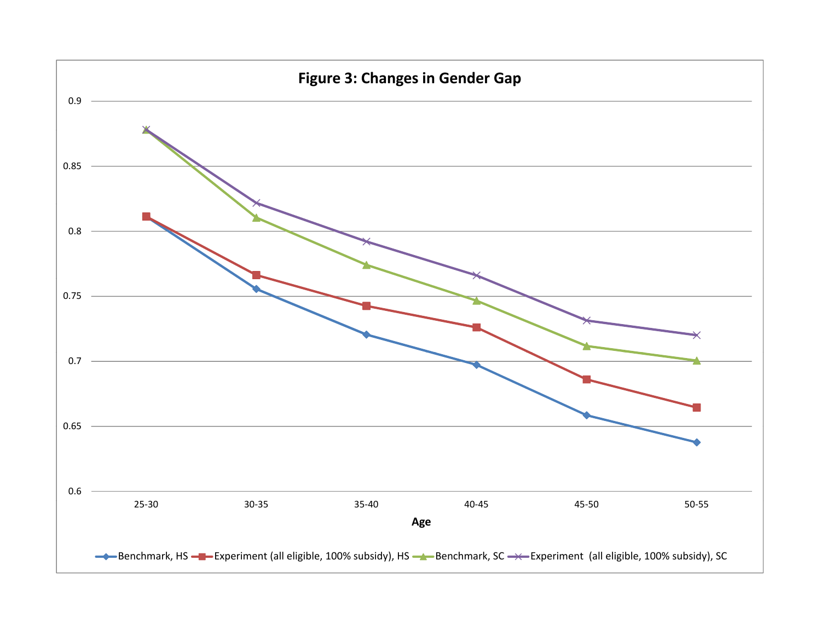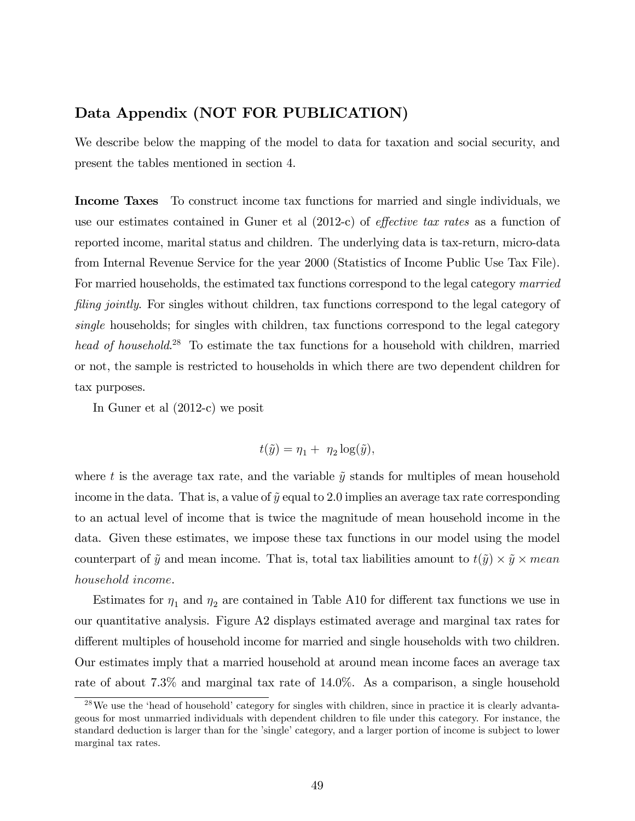### Data Appendix (NOT FOR PUBLICATION)

We describe below the mapping of the model to data for taxation and social security, and present the tables mentioned in section 4.

Income Taxes To construct income tax functions for married and single individuals, we use our estimates contained in Guner et al  $(2012-c)$  of *effective tax rates* as a function of reported income, marital status and children. The underlying data is tax-return, micro-data from Internal Revenue Service for the year 2000 (Statistics of Income Public Use Tax File). For married households, the estimated tax functions correspond to the legal category married filing jointly. For singles without children, tax functions correspond to the legal category of single households; for singles with children, tax functions correspond to the legal category head of household.<sup>28</sup> To estimate the tax functions for a household with children, married or not, the sample is restricted to households in which there are two dependent children for tax purposes.

In Guner et al (2012-c) we posit

$$
t(\tilde{y}) = \eta_1 + \eta_2 \log(\tilde{y}),
$$

where t is the average tax rate, and the variable  $\tilde{y}$  stands for multiples of mean household income in the data. That is, a value of  $\tilde{y}$  equal to 2.0 implies an average tax rate corresponding to an actual level of income that is twice the magnitude of mean household income in the data. Given these estimates, we impose these tax functions in our model using the model counterpart of  $\tilde{y}$  and mean income. That is, total tax liabilities amount to  $t(\tilde{y}) \times \tilde{y} \times mean$ household income.

Estimates for  $\eta_1$  and  $\eta_2$  are contained in Table A10 for different tax functions we use in our quantitative analysis. Figure A2 displays estimated average and marginal tax rates for different multiples of household income for married and single households with two children. Our estimates imply that a married household at around mean income faces an average tax rate of about 7.3% and marginal tax rate of 14.0%. As a comparison, a single household

 $^{28}$ We use the 'head of household' category for singles with children, since in practice it is clearly advantageous for most unmarried individuals with dependent children to Öle under this category. For instance, the standard deduction is larger than for the 'single' category, and a larger portion of income is subject to lower marginal tax rates.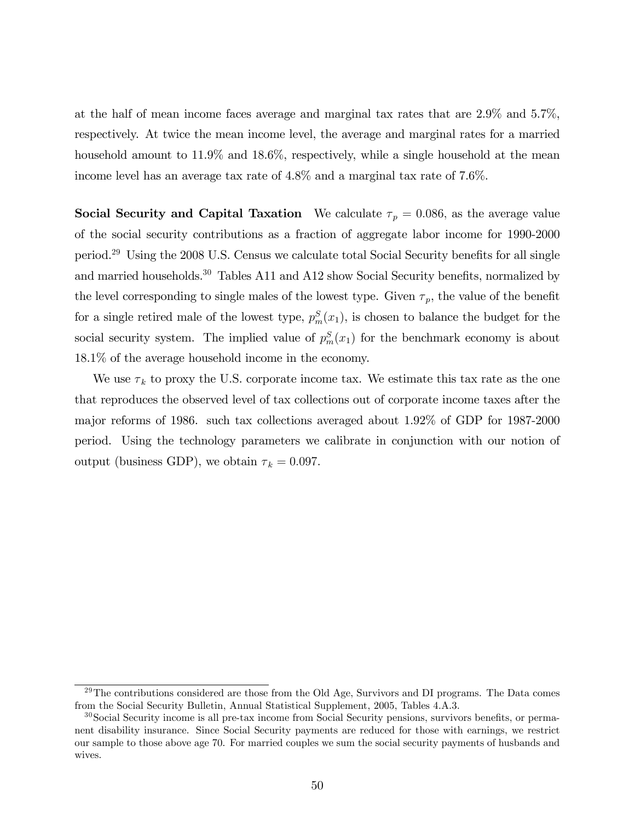at the half of mean income faces average and marginal tax rates that are 2.9% and 5.7%, respectively. At twice the mean income level, the average and marginal rates for a married household amount to  $11.9\%$  and  $18.6\%$ , respectively, while a single household at the mean income level has an average tax rate of 4.8% and a marginal tax rate of 7.6%.

**Social Security and Capital Taxation** We calculate  $\tau_p = 0.086$ , as the average value of the social security contributions as a fraction of aggregate labor income for 1990-2000 period.<sup>29</sup> Using the 2008 U.S. Census we calculate total Social Security benefits for all single and married households.<sup>30</sup> Tables A11 and A12 show Social Security benefits, normalized by the level corresponding to single males of the lowest type. Given  $\tau_p$ , the value of the benefit for a single retired male of the lowest type,  $p_m^S(x_1)$ , is chosen to balance the budget for the social security system. The implied value of  $p_m^S(x_1)$  for the benchmark economy is about 18.1% of the average household income in the economy.

We use  $\tau_k$  to proxy the U.S. corporate income tax. We estimate this tax rate as the one that reproduces the observed level of tax collections out of corporate income taxes after the major reforms of 1986. such tax collections averaged about 1.92% of GDP for 1987-2000 period. Using the technology parameters we calibrate in conjunction with our notion of output (business GDP), we obtain  $\tau_k = 0.097$ .

 $29$ The contributions considered are those from the Old Age, Survivors and DI programs. The Data comes from the Social Security Bulletin, Annual Statistical Supplement, 2005, Tables 4.A.3.

 $30$ Social Security income is all pre-tax income from Social Security pensions, survivors benefits, or permanent disability insurance. Since Social Security payments are reduced for those with earnings, we restrict our sample to those above age 70. For married couples we sum the social security payments of husbands and wives.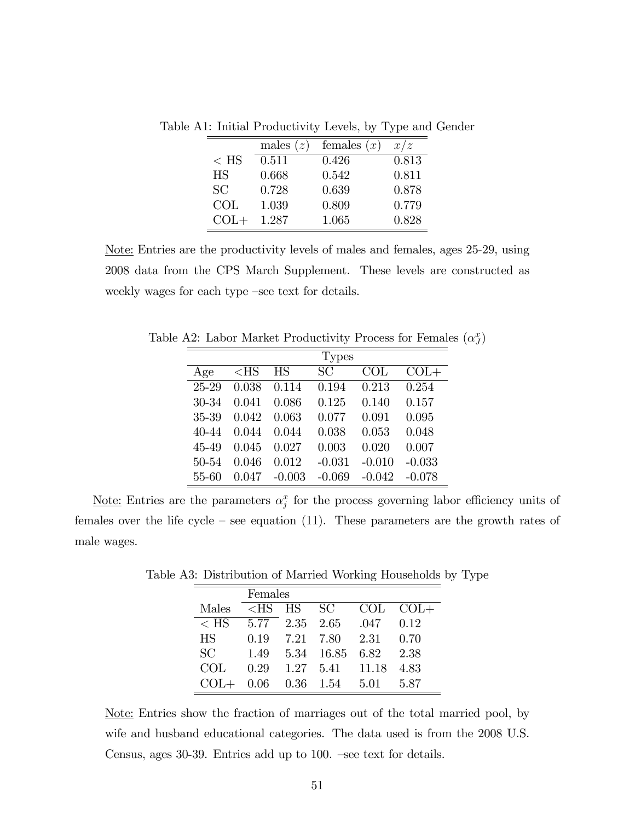|           | males $(z)$ | females $(x)$ | x/z   |
|-----------|-------------|---------------|-------|
| $<$ HS    | 0.511       | 0.426         | 0.813 |
| <b>HS</b> | 0.668       | 0.542         | 0.811 |
| <b>SC</b> | 0.728       | 0.639         | 0.878 |
| COL       | 1.039       | 0.809         | 0.779 |
| $COL+$    | 1.287       | 1.065         | 0.828 |

Table A1: Initial Productivity Levels, by Type and Gender

Note: Entries are the productivity levels of males and females, ages 25-29, using 2008 data from the CPS March Supplement. These levels are constructed as weekly wages for each type –see text for details.

Table A2: Labor Market Productivity Process for Females  $(\alpha_J^x)$ 

|       |        |          | <b>Types</b> |                |          |
|-------|--------|----------|--------------|----------------|----------|
| Age   | $<$ HS | HS       | SC           | $\mathrm{COL}$ | $COL+$   |
| 25-29 | 0.038  | 0.114    | 0.194        | 0.213          | 0.254    |
| 30-34 | 0.041  | 0.086    | 0.125        | 0.140          | 0.157    |
| 35-39 | 0.042  | 0.063    | 0.077        | 0.091          | 0.095    |
| 40-44 | 0.044  | 0.044    | 0.038        | 0.053          | 0.048    |
| 45-49 | 0.045  | 0.027    | 0.003        | 0.020          | 0.007    |
| 50-54 | 0.046  | 0.012    | $-0.031$     | $-0.010$       | $-0.033$ |
| 55-60 | 0.047  | $-0.003$ | $-0.069$     | $-0.042$       | $-0.078$ |

Note: Entries are the parameters  $\alpha_j^x$  for the process governing labor efficiency units of females over the life cycle – see equation (11). These parameters are the growth rates of male wages.

Table A3: Distribution of Married Working Households by Type

|           | Females |                |                |       |        |  |  |  |
|-----------|---------|----------------|----------------|-------|--------|--|--|--|
| Males     | $<$ HS  | HS SC          |                | COL   | $COL+$ |  |  |  |
| $<$ HS    |         | 5.77 2.35 2.65 |                | .047  | 0.12   |  |  |  |
| <b>HS</b> | 0.19    |                | 7.21 7.80 2.31 |       | 0.70   |  |  |  |
| SC        | 1.49    |                | 5.34 16.85     | 6.82  | 2.38   |  |  |  |
| COL.      | 0.29    |                | 1.27 5.41      | 11.18 | 4.83   |  |  |  |
|           | 0.06    |                | $0.36$ 1.54    | 5.01  | 5 87   |  |  |  |

Note: Entries show the fraction of marriages out of the total married pool, by wife and husband educational categories. The data used is from the 2008 U.S. Census, ages  $30-39$ . Entries add up to  $100$ .  $-$ see text for details.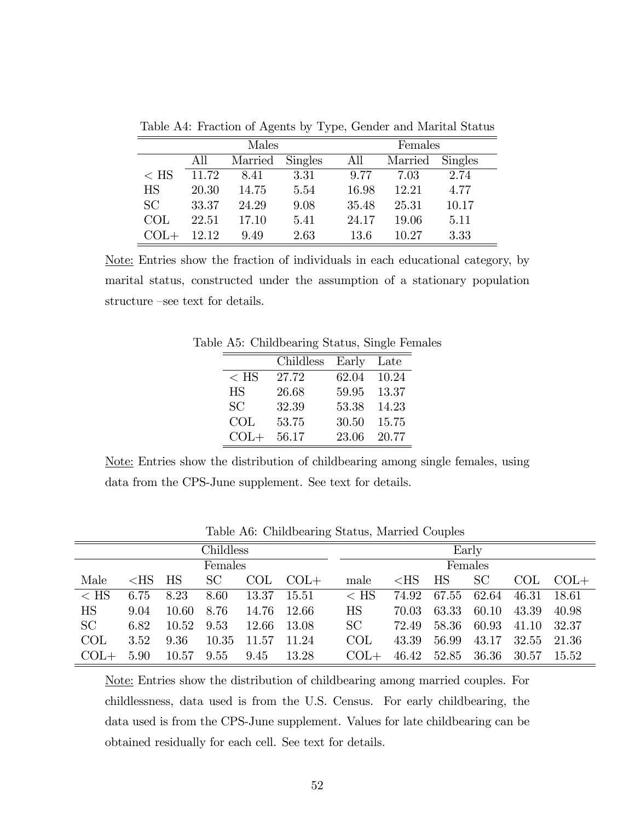|           | Males |         |                |       | Females |         |  |  |
|-----------|-------|---------|----------------|-------|---------|---------|--|--|
|           | All   | Married | <b>Singles</b> | All   | Married | Singles |  |  |
| $<$ HS    | 11.72 | 8.41    | 3.31           | 9.77  | 7.03    | 2.74    |  |  |
| <b>HS</b> | 20.30 | 14.75   | 5.54           | 16.98 | 12.21   | 4.77    |  |  |
| <b>SC</b> | 33.37 | 24.29   | 9.08           | 35.48 | 25.31   | 10.17   |  |  |
| COL       | 22.51 | 17.10   | 5.41           | 24.17 | 19.06   | 5.11    |  |  |
| COL+      | 12.12 | 9.49    | 2.63           | 13.6  | 10.27   | 3.33    |  |  |

Table A4: Fraction of Agents by Type, Gender and Marital Status

Note: Entries show the fraction of individuals in each educational category, by marital status, constructed under the assumption of a stationary population structure –see text for details.

|           | Childless | Early | Late  |
|-----------|-----------|-------|-------|
| $<$ HS    | 27.72     | 62.04 | 10.24 |
| <b>HS</b> | 26.68     | 59.95 | 13.37 |
| SC        | 32.39     | 53.38 | 14.23 |
| COL       | 53.75     | 30.50 | 15.75 |
| $COL+$    | 56.17     | 23.06 | 20.77 |

Table A5: Childbearing Status, Single Females

Note: Entries show the distribution of childbearing among single females, using data from the CPS-June supplement. See text for details.

| Childless  |               |       |           |       |        |            | Early  |           |                 |             |              |
|------------|---------------|-------|-----------|-------|--------|------------|--------|-----------|-----------------|-------------|--------------|
| Females    |               |       |           |       |        | Females    |        |           |                 |             |              |
| Male       | ${ <\,>HS}$ . | HS    | <b>SC</b> | COL   | COL+   | male       | $<$ HS | <b>HS</b> | SC <sup>1</sup> |             | $COL$ $COL+$ |
| $\rm < HS$ | 6.75          | 8.23  | 8.60      | 13.37 | -15.51 | $\rm < HS$ | 74.92  | 67.55     | 62.64           | 46.31 18.61 |              |
| <b>HS</b>  | 9.04          | 10.60 | 8.76      | 14.76 | -12.66 | <b>HS</b>  | 70.03  | 63.33     | 60.10           | 43.39       | 40.98        |
| SC         | 6.82          | 10.52 | 9.53      | 12.66 | -13.08 | SC         | 72.49  | 58.36     | 60.93           | 41.10 32.37 |              |
| COL        | 3.52          | 9.36  | 10.35     | 11.57 | 11.24  | COL        | 43.39  | 56.99     | 43.17           | 32.55 21.36 |              |
| $COL+$     | 5.90          | 10.57 | 9.55      | 9.45  | 13.28  | $COL+$     | 46.42  | 52.85     | 36.36           | 30.57 15.52 |              |

Table A6: Childbearing Status, Married Couples

Note: Entries show the distribution of childbearing among married couples. For childlessness, data used is from the U.S. Census. For early childbearing, the data used is from the CPS-June supplement. Values for late childbearing can be obtained residually for each cell. See text for details.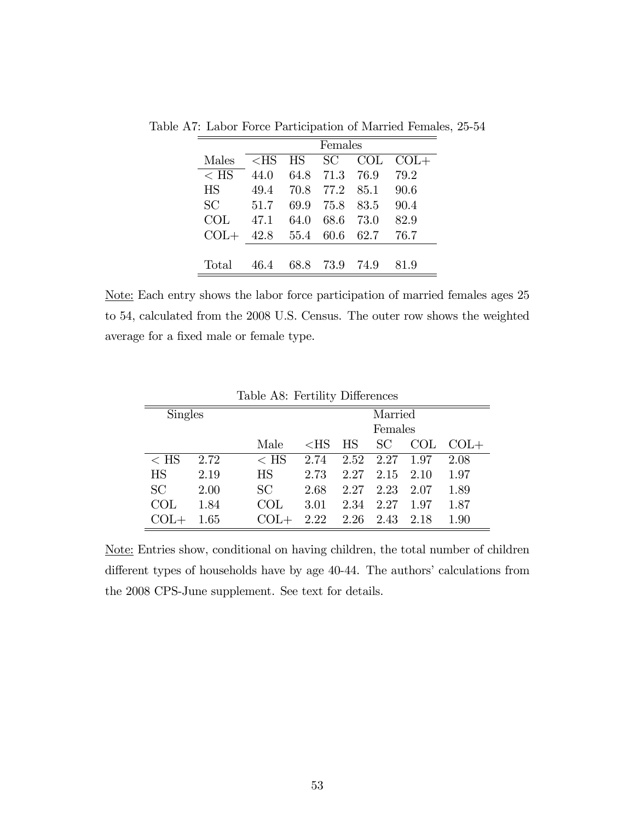|            | Females |      |      |        |        |  |  |
|------------|---------|------|------|--------|--------|--|--|
| Males      | $<$ HS  | HS . | SC.  | COL    | $COL+$ |  |  |
| $<$ HS     | 44.0    | 64.8 | 71.3 | 76.9   | 79.2   |  |  |
| <b>HS</b>  | 49.4    | 70.8 | 77.2 | 85.1   | 90.6   |  |  |
| <b>SC</b>  | 51.7    | 69.9 | 75.8 | 83.5   | 90.4   |  |  |
| <b>COL</b> | 47.1    | 64.0 | 68.6 | 73.0   | 82.9   |  |  |
| $COL+$     | 42.8    | 55.4 | 60.6 | 62.7   | 76.7   |  |  |
|            |         |      |      |        |        |  |  |
| Total      | 46.4    | 68.8 | 73.9 | - 74.9 | 81.9   |  |  |

Table A7: Labor Force Participation of Married Females, 25-54

Note: Each entry shows the labor force participation of married females ages 25 to 54, calculated from the 2008 U.S. Census. The outer row shows the weighted average for a fixed male or female type.

| <b>Singles</b> | Married  |                |        |         |      |      |        |
|----------------|----------|----------------|--------|---------|------|------|--------|
|                |          |                |        | Females |      |      |        |
|                |          | Male           | $<$ HS | ΗS      | SC   | COL  | $COL+$ |
| $\rm < HS$     | 2.72     | $\rm < HS$     | 2.74   | 2.52    | 2.27 | 1.97 | 2.08   |
| <b>HS</b>      | 2.19     | <b>HS</b>      | 2.73   | 2.27    | 2.15 | 2.10 | 1.97   |
| SC             | 2.00     | SC             | 2.68   | 2.27    | 2.23 | 2.07 | 1.89   |
| COL            | 1.84     | $\mathrm{COL}$ | 3.01   | 2.34    | 2.27 | 1.97 | 1.87   |
|                | $1.65\,$ |                | 2.22   | 2.26    | 2.43 | 2.18 | 1.90   |

Table A8: Fertility Differences

Note: Entries show, conditional on having children, the total number of children different types of households have by age 40-44. The authors' calculations from the 2008 CPS-June supplement. See text for details.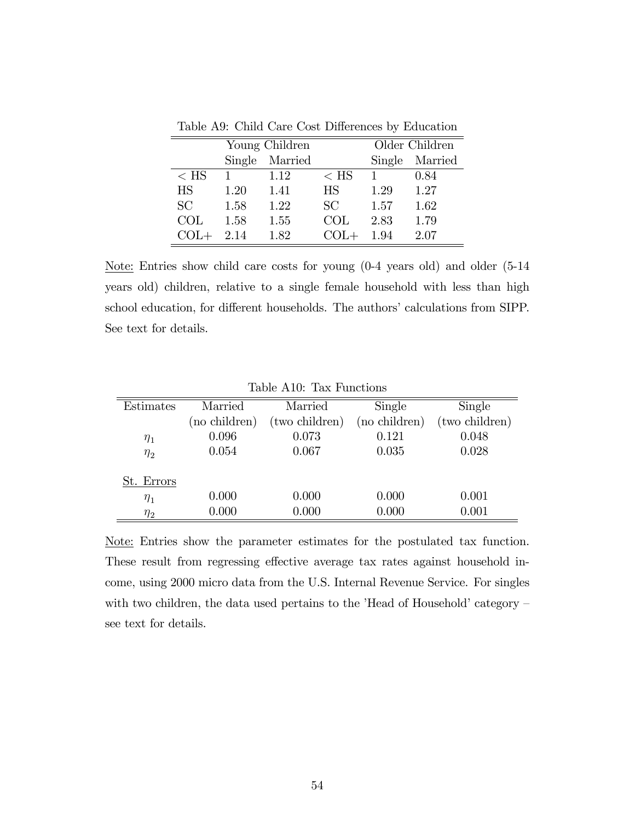|           |        | Young Children |            | Older Children |         |
|-----------|--------|----------------|------------|----------------|---------|
|           | Single | Married        |            | Single         | Married |
| $<$ HS    |        | 1.12           | $\rm < HS$ |                | 0.84    |
| <b>HS</b> | 1.20   | 1.41           | <b>HS</b>  | 1.29           | 1.27    |
| SC        | 1.58   | 1.22           | SC.        | 1.57           | 1.62    |
| COL.      | 1.58   | 1.55           | COL.       | 2.83           | 1.79    |
|           | 2.14   | 1.82           |            | 1.94           | 2.07    |

Table A9: Child Care Cost Differences by Education

Note: Entries show child care costs for young (0-4 years old) and older (5-14 years old) children, relative to a single female household with less than high school education, for different households. The authors' calculations from SIPP. See text for details.

|            |               | TODIO ITIO, TODI I GIRCOIOID |               |                |
|------------|---------------|------------------------------|---------------|----------------|
| Estimates  | Married       | Married                      | Single        | Single         |
|            | (no children) | (two children)               | (no children) | (two children) |
| $\eta_1$   | 0.096         | 0.073                        | 0.121         | 0.048          |
| $\eta_2$   | 0.054         | 0.067                        | 0.035         | 0.028          |
| St. Errors |               |                              |               |                |
| $\eta_1$   | 0.000         | 0.000                        | 0.000         | 0.001          |
| $\eta_2$   | 0.000         | 0.000                        | 0.000         | 0.001          |

Table A10: Tax Functions

Note: Entries show the parameter estimates for the postulated tax function. These result from regressing effective average tax rates against household income, using 2000 micro data from the U.S. Internal Revenue Service. For singles with two children, the data used pertains to the 'Head of Household' category  $$ see text for details.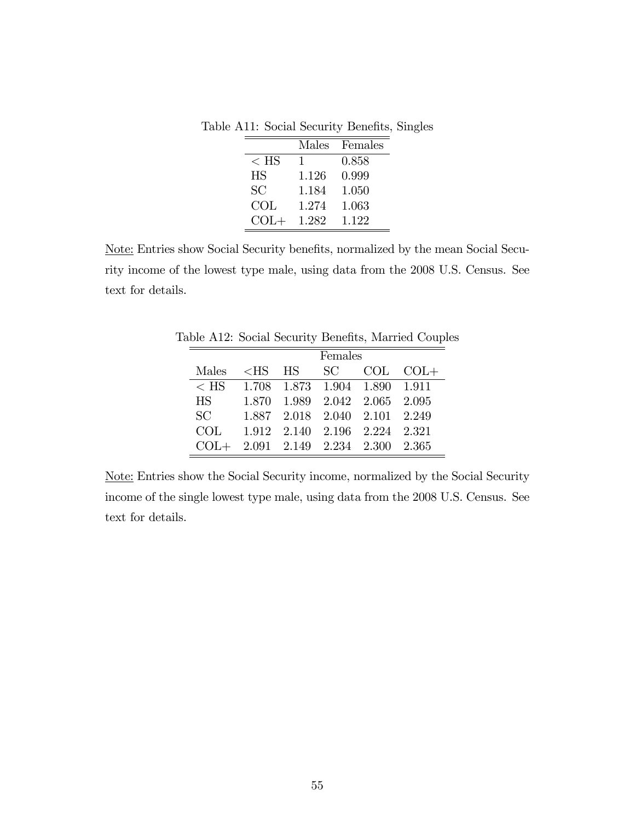Table A11: Social Security Benefits, Singles

|           | <b>Males</b> | Females |
|-----------|--------------|---------|
| $<$ HS    | T            | 0.858   |
| <b>HS</b> | 1.126        | 0.999   |
| SC        | 1.184        | 1.050   |
| COL       | 1.274        | 1.063   |
| $COL+$    | 1.282        | 1.122   |

Note: Entries show Social Security benefits, normalized by the mean Social Security income of the lowest type male, using data from the 2008 U.S. Census. See text for details.

|            |                                      |         |  |                               | able A12. Social Security Defielits, Married Couple |  |  |  |  |
|------------|--------------------------------------|---------|--|-------------------------------|-----------------------------------------------------|--|--|--|--|
|            |                                      | Females |  |                               |                                                     |  |  |  |  |
| Males      |                                      |         |  |                               | $\langle$ HS HS SC COL COL+                         |  |  |  |  |
| $<$ HS     |                                      |         |  | 1.708 1.873 1.904 1.890 1.911 |                                                     |  |  |  |  |
| HS         |                                      |         |  | 1.870 1.989 2.042 2.065 2.095 |                                                     |  |  |  |  |
| SC         |                                      |         |  | 1.887 2.018 2.040 2.101 2.249 |                                                     |  |  |  |  |
| <b>COL</b> |                                      |         |  | 1.912 2.140 2.196 2.224 2.321 |                                                     |  |  |  |  |
|            | $COL+ 2.091 2.149 2.234 2.300 2.365$ |         |  |                               |                                                     |  |  |  |  |

Table A12: Social Security Benefits, Married Couples

Note: Entries show the Social Security income, normalized by the Social Security income of the single lowest type male, using data from the 2008 U.S. Census. See text for details.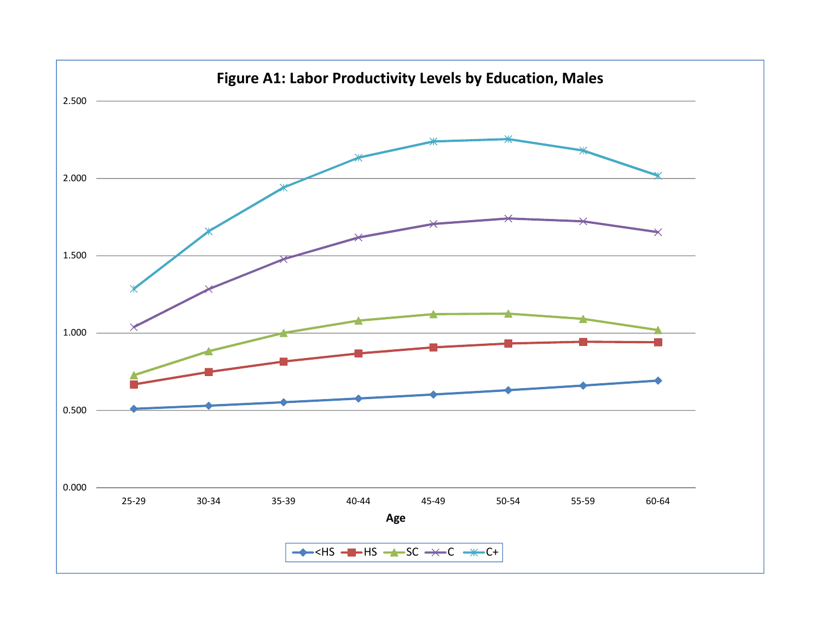